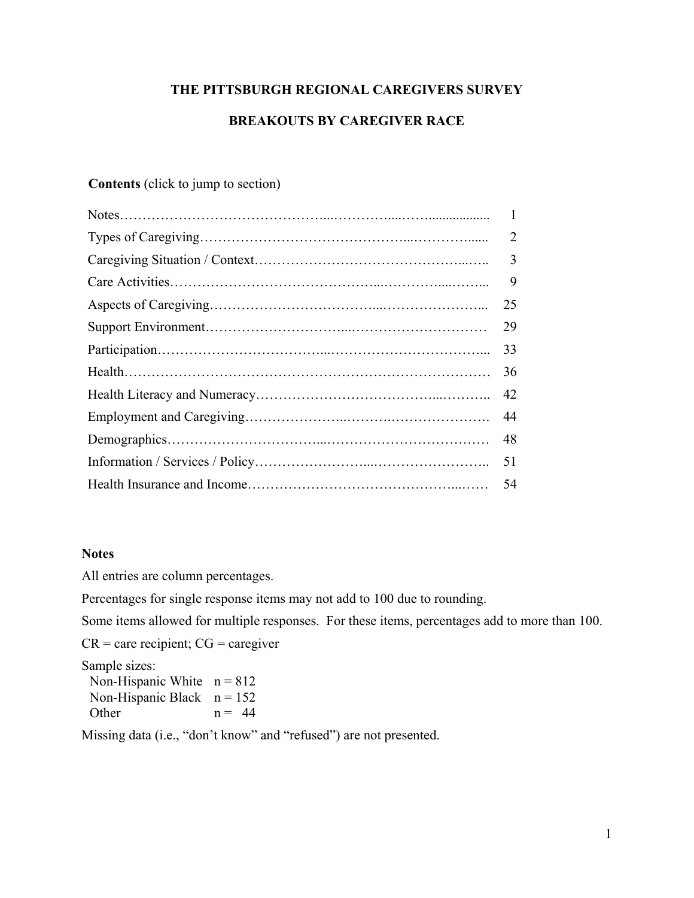# **THE PITTSBURGH REGIONAL CAREGIVERS SURVEY**

# **BREAKOUTS BY CAREGIVER RACE**

# **Contents** (click to jump to section)

| $\overline{2}$ |
|----------------|
| $\overline{3}$ |
| 9              |
| 25             |
| 29             |
| 33             |
| 36             |
| 42             |
| 44             |
| 48             |
| 51             |
| 54             |
|                |

### **Notes**

All entries are column percentages.

Percentages for single response items may not add to 100 due to rounding.

Some items allowed for multiple responses. For these items, percentages add to more than 100.

 $CR =$  care recipient;  $CG =$  caregiver

Sample sizes:

Non-Hispanic White  $n = 812$ Non-Hispanic Black  $n = 152$ Other  $n = 44$ 

Missing data (i.e., "don't know" and "refused") are not presented.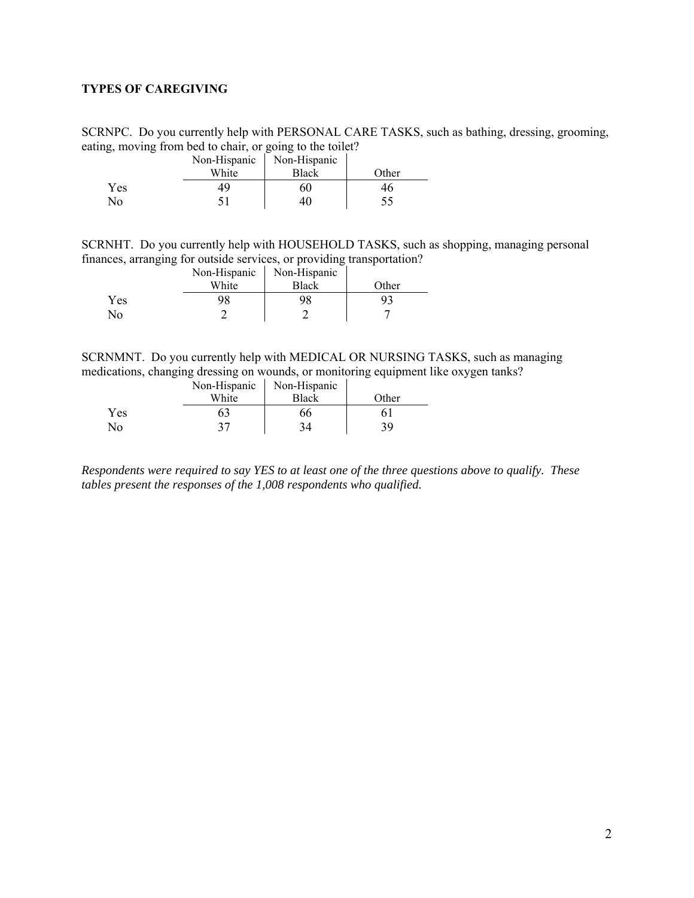### <span id="page-1-0"></span>**TYPES OF CAREGIVING**

SCRNPC. Do you currently help with PERSONAL CARE TASKS, such as bathing, dressing, grooming, eating, moving from bed to chair, or going to the toilet?

|     | Non-Hispanic | Non-Hispanic |       |
|-----|--------------|--------------|-------|
|     | White        | Black        | Other |
| Yes | 49           | 60           | 46    |
| No  |              | 40           |       |

SCRNHT. Do you currently help with HOUSEHOLD TASKS, such as shopping, managing personal finances, arranging for outside services, or providing transportation?

|     | Non-Hispanic | Non-Hispanic |       |
|-----|--------------|--------------|-------|
|     | White        | Black        | Other |
| Yes | 98           | 98           |       |
| No  |              |              |       |

SCRNMNT. Do you currently help with MEDICAL OR NURSING TASKS, such as managing medications, changing dressing on wounds, or monitoring equipment like oxygen tanks?

|     | Non-Hispanic | Non-Hispanic |       |
|-----|--------------|--------------|-------|
|     | White        | <b>Black</b> | Other |
| Yes |              | 66           |       |
| No  | າາ           | 34           | 39.   |

*Respondents were required to say YES to at least one of the three questions above to qualify. These tables present the responses of the 1,008 respondents who qualified.*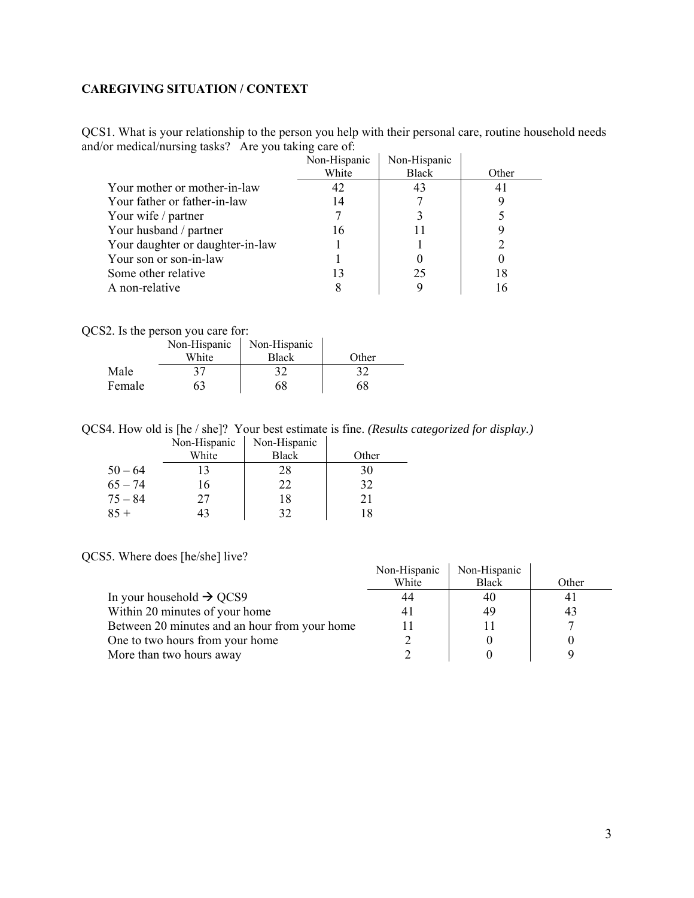### <span id="page-2-0"></span>**CAREGIVING SITUATION / CONTEXT**

QCS1. What is your relationship to the person you help with their personal care, routine household needs and/or medical/nursing tasks? Are you taking care of:

|                                  | Non-Hispanic | Non-Hispanic |       |
|----------------------------------|--------------|--------------|-------|
|                                  | White        | <b>Black</b> | Other |
| Your mother or mother-in-law     | 42           | 43           | 41    |
| Your father or father-in-law     | 14           |              |       |
| Your wife / partner              |              |              |       |
| Your husband / partner           | 16           |              |       |
| Your daughter or daughter-in-law |              |              |       |
| Your son or son-in-law           |              |              |       |
| Some other relative              |              | 25           | 18    |
| A non-relative                   |              |              |       |

QCS2. Is the person you care for:

|        | Non-Hispanic | Non-Hispanic |       |
|--------|--------------|--------------|-------|
|        | White        | <b>Black</b> | Other |
| Male   | 37           | 32           | 32    |
| Female | 63           | 68           | 68    |

QCS4. How old is [he / she]? Your best estimate is fine. *(Results categorized for display.)* Non-Hispanic Non-Hispanic

|           | TVUI-THSPAINU | TVOIT-TIISPAINU |       |
|-----------|---------------|-----------------|-------|
|           | White         | <b>Black</b>    | Other |
| $50 - 64$ | 13            | 28              | 30    |
| $65 - 74$ | 16            | 22              | 32    |
| $75 - 84$ | 27            | 18              | 21    |
| $85 +$    | 43            | 32              | 18    |
|           |               |                 |       |

QCS5. Where does [he/she] live?

| Non-Hispanic | Non-Hispanic |                |
|--------------|--------------|----------------|
| White        | Black        | Other          |
|              | 40           | 4 <sub>1</sub> |
| 4            | 49           | 43             |
|              |              |                |
|              |              |                |
|              |              |                |
|              |              |                |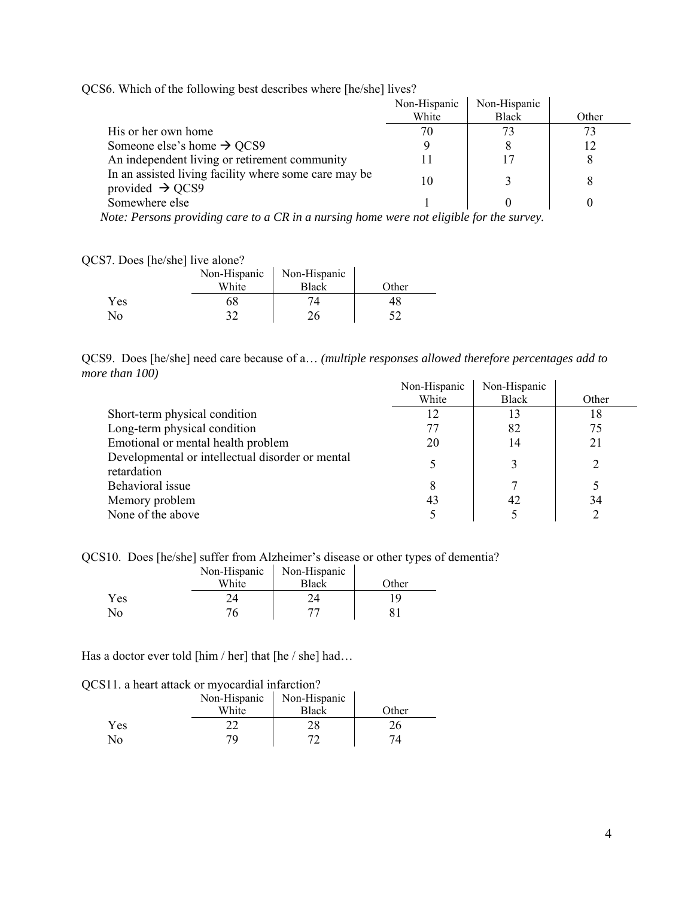QCS6. Which of the following best describes where [he/she] lives?

|                                                                                      | Non-Hispanic | Non-Hispanic |       |
|--------------------------------------------------------------------------------------|--------------|--------------|-------|
|                                                                                      | White        | <b>Black</b> | Other |
| His or her own home                                                                  | 70           |              |       |
| Someone else's home $\rightarrow$ QCS9                                               |              |              |       |
| An independent living or retirement community                                        |              |              |       |
| In an assisted living facility where some care may be<br>provided $\rightarrow$ QCS9 | 10           |              |       |
| Somewhere else                                                                       |              |              |       |

 *Note: Persons providing care to a CR in a nursing home were not eligible for the survey.* 

### QCS7. Does [he/she] live alone?

|            | Non-Hispanic<br>White | Non-Hispanic<br><b>Black</b> | Other |
|------------|-----------------------|------------------------------|-------|
| <b>Yes</b> |                       |                              |       |
| No         |                       |                              |       |

QCS9. Does [he/she] need care because of a… *(multiple responses allowed therefore percentages add to more than 100)* 

|                                                                 | Non-Hispanic | Non-Hispanic |               |
|-----------------------------------------------------------------|--------------|--------------|---------------|
|                                                                 | White        | <b>Black</b> | Other         |
| Short-term physical condition                                   | 12           | 13           | 18            |
| Long-term physical condition                                    | 77           | 82           | 75            |
| Emotional or mental health problem                              | 20           | 14           | 21            |
| Developmental or intellectual disorder or mental<br>retardation |              | 3            | $\mathcal{D}$ |
| Behavioral issue                                                | 8            |              |               |
| Memory problem                                                  | 43           | 42           | 34            |
| None of the above                                               |              |              |               |

QCS10. Does [he/she] suffer from Alzheimer's disease or other types of dementia?

|     | Non-Hispanic | Non-Hispanic |       |
|-----|--------------|--------------|-------|
|     | White        | <b>Black</b> | Other |
| Yes | 7/           |              | 1 Q   |
| No  | 76           |              |       |

Has a doctor ever told [him / her] that [he / she] had...

### QCS11. a heart attack or myocardial infarction?

|              | Non-Hispanic | Non-Hispanic |       |
|--------------|--------------|--------------|-------|
|              | White        | <b>Black</b> | Other |
| Yes          |              |              |       |
| $N_{\Omega}$ | 70           |              |       |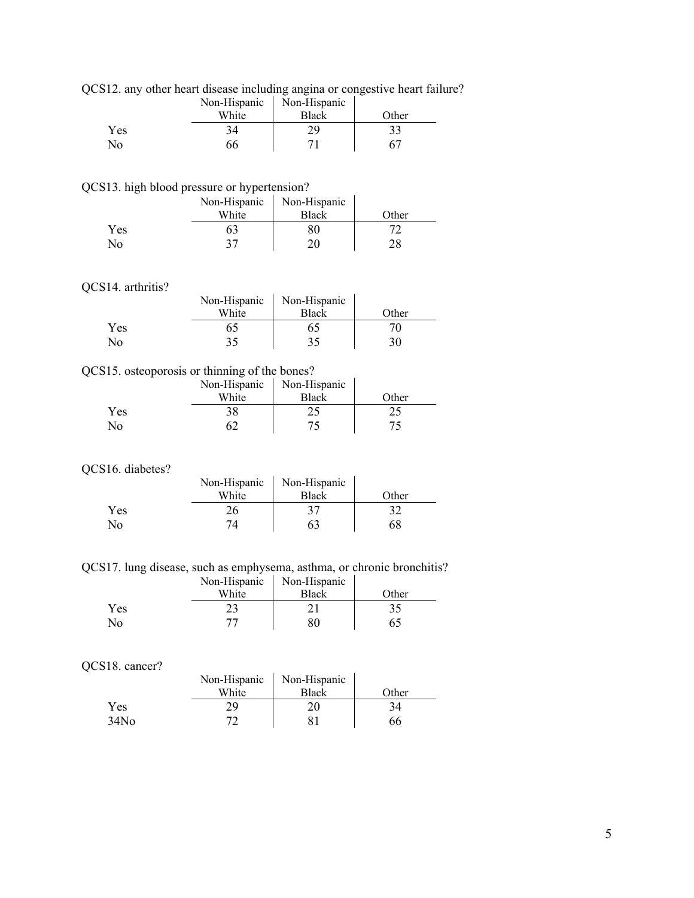|  |  |  |  |  |  | QCS12. any other heart disease including angina or congestive heart failure? |  |
|--|--|--|--|--|--|------------------------------------------------------------------------------|--|
|  |  |  |  |  |  |                                                                              |  |
|  |  |  |  |  |  |                                                                              |  |
|  |  |  |  |  |  |                                                                              |  |

|     | Non-Hispanic | Non-Hispanic |       |
|-----|--------------|--------------|-------|
|     | White        | <b>Black</b> | Other |
| Yes |              | σq           |       |
| No  | 66           | −            |       |

QCS13. high blood pressure or hypertension?

|                | Non-Hispanic | Non-Hispanic |       |
|----------------|--------------|--------------|-------|
|                | White        | <b>Black</b> | Other |
| Yes            | 63           |              |       |
| N <sub>o</sub> |              | or           | ററ    |

### QCS14. arthritis?

| 517. aiulilus: |              |              |       |
|----------------|--------------|--------------|-------|
|                | Non-Hispanic | Non-Hispanic |       |
|                | White        | <b>Black</b> | Other |
| Yes            |              | ó۵           |       |
| No             | 35           |              | 30    |
|                |              |              |       |

# QCS15. osteoporosis or thinning of the bones?

|     | Non-Hispanic | Non-Hispanic |       |
|-----|--------------|--------------|-------|
|     | White        | <b>Black</b> | Other |
| Yes |              |              |       |
| No  |              |              |       |

# QCS16. diabetes?

|     | Non-Hispanic | Non-Hispanic |       |
|-----|--------------|--------------|-------|
|     | White        | Black        | Other |
| Yes | 26           |              |       |
| No  | 71           |              | 68    |

QCS17. lung disease, such as emphysema, asthma, or chronic bronchitis?

|                         | Non-Hispanic | Non-Hispanic |       |
|-------------------------|--------------|--------------|-------|
|                         | White        | Black        | Other |
| Yes                     |              |              |       |
| $\overline{N}_{\Omega}$ |              |              | 65    |

#### QCS18. cancer?

| 510. Cancel :    |              |              |       |
|------------------|--------------|--------------|-------|
|                  | Non-Hispanic | Non-Hispanic |       |
|                  | White        | <b>Black</b> | Other |
| Yes              | 29           |              | 34    |
| 34N <sub>0</sub> |              |              | 66    |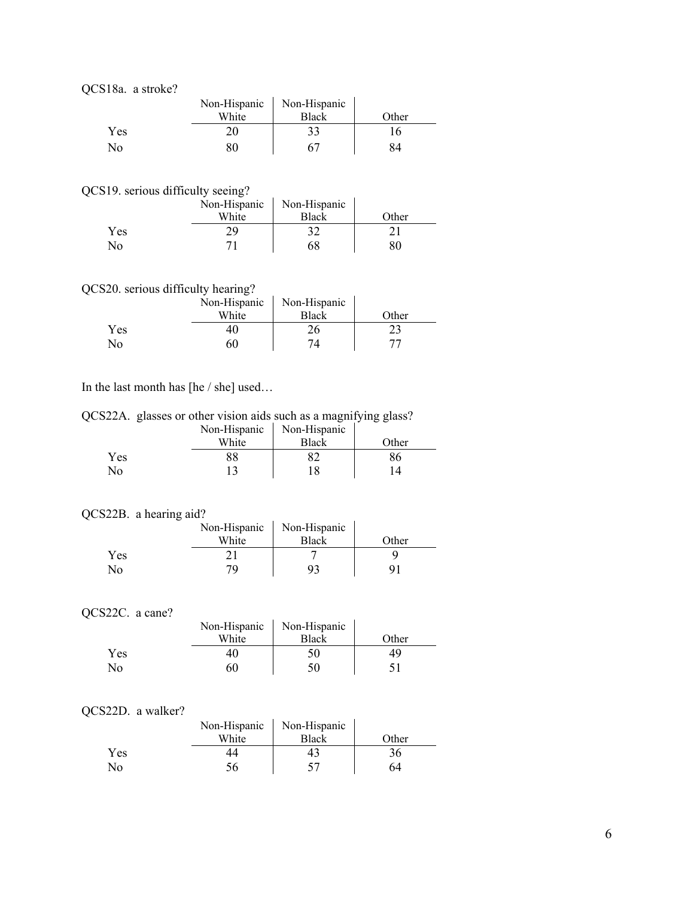QCS18a. a stroke?

|     | Non-Hispanic | Non-Hispanic |       |
|-----|--------------|--------------|-------|
|     | White        | <b>Black</b> | Other |
| Yes | 20           |              | l 6   |
| No  |              |              |       |

QCS19. serious difficulty seeing?

|            | Non-Hispanic | Non-Hispanic |       |
|------------|--------------|--------------|-------|
|            | White        | <b>Black</b> | Other |
| <b>Yes</b> |              |              |       |
| No         |              |              |       |

# QCS20. serious difficulty hearing?

|     | Non-Hispanic | Non-Hispanic |       |
|-----|--------------|--------------|-------|
|     | White        | Black        | Other |
| Yes | 4U           |              |       |
| No  | 60           |              |       |

### In the last month has [he / she] used…

QCS22A. glasses or other vision aids such as a magnifying glass?

|     | Non-Hispanic | Non-Hispanic |       |
|-----|--------------|--------------|-------|
|     | White        | <b>Black</b> | Other |
| Yes | 88           |              |       |
| No  |              |              |       |

#### QCS22B. a hearing aid?

|     | Non-Hispanic | Non-Hispanic |       |
|-----|--------------|--------------|-------|
|     | White        | Black        | Other |
| Yes |              |              |       |
| No  | 70           |              |       |

# QCS22C. a cane?

| White | <b>Black</b> | Other                       |
|-------|--------------|-----------------------------|
| 40    | 50           | 49                          |
| 60    | 50           |                             |
|       |              | Non-Hispanic   Non-Hispanic |

#### QCS22D. a walker?

| 522D. a walker? |                             |              |       |
|-----------------|-----------------------------|--------------|-------|
|                 | Non-Hispanic   Non-Hispanic |              |       |
|                 | White                       | <b>Black</b> | Other |
| Yes             |                             |              | 36    |
| No              | 56                          |              | 64    |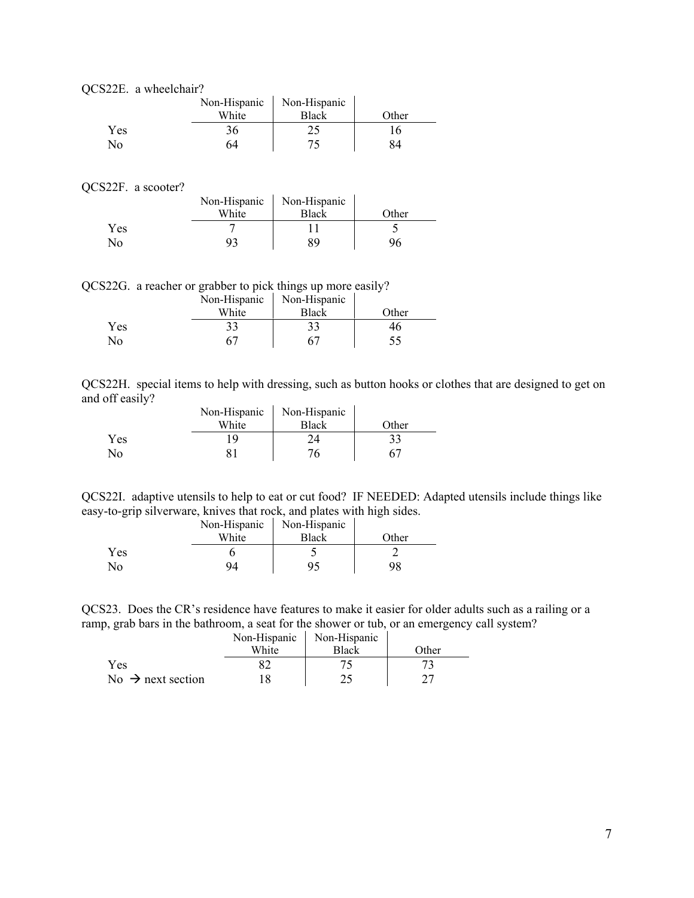|  | OCS22E. a wheelchair? |
|--|-----------------------|
|--|-----------------------|

|     | Non-Hispanic | Non-Hispanic |       |
|-----|--------------|--------------|-------|
|     | White        | <b>Black</b> | Other |
| Yes | 36           |              | 16    |
| No  | 64           |              |       |

### QCS22F. a scooter?

| $221 \cdot 90000$ |              |              |       |
|-------------------|--------------|--------------|-------|
|                   | Non-Hispanic | Non-Hispanic |       |
|                   | White        | <b>Black</b> | Other |
| Yes               |              |              |       |
| N <sub>0</sub>    |              | 89           |       |

QCS22G. a reacher or grabber to pick things up more easily? Non-Hispanic Non-Hispanic

|     | Non-Hispanic | Non-Hispanic |       |
|-----|--------------|--------------|-------|
|     | White        | Black        | Other |
| Yes | 33           | 33           |       |
| No  |              |              |       |
|     |              |              |       |

QCS22H. special items to help with dressing, such as button hooks or clothes that are designed to get on and off easily?  $\overline{1}$ 

|              | Non-Hispanic | Non-Hispanic |       |
|--------------|--------------|--------------|-------|
|              | White        | <b>Black</b> | Other |
| <b>Yes</b>   |              |              |       |
| $N_{\Omega}$ |              |              |       |

QCS22I. adaptive utensils to help to eat or cut food? IF NEEDED: Adapted utensils include things like easy-to-grip silverware, knives that rock, and plates with high sides.

|     | Non-Hispanic | Non-Hispanic |       |
|-----|--------------|--------------|-------|
|     | White        | Black        | Other |
| Yes |              |              |       |
| No  |              |              |       |

QCS23. Does the CR's residence have features to make it easier for older adults such as a railing or a ramp, grab bars in the bathroom, a seat for the shower or tub, or an emergency call system?

|                               | Non-Hispanic | Non-Hispanic |       |
|-------------------------------|--------------|--------------|-------|
|                               | White        | <b>Black</b> | Other |
| Yes                           |              |              |       |
| No $\rightarrow$ next section |              |              |       |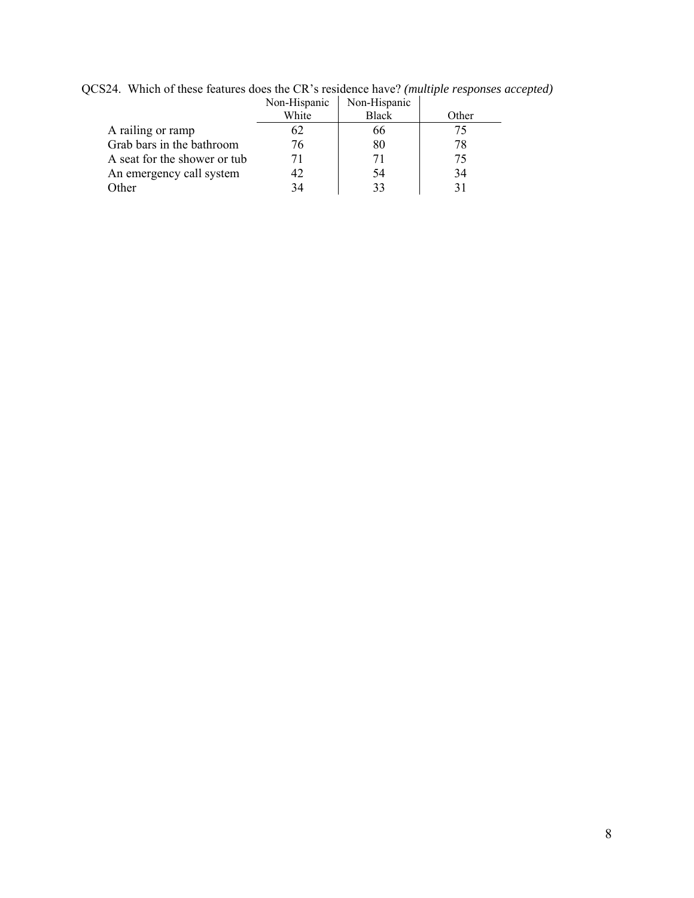|                              | Non-Hispanic | Non-Hispanic |       |
|------------------------------|--------------|--------------|-------|
|                              | White        | <b>Black</b> | Other |
| A railing or ramp            | 62           | 66           | 75.   |
| Grab bars in the bathroom    | 76           | 80           | 78    |
| A seat for the shower or tub | 71           |              | 75    |
| An emergency call system     |              | 54           | 34    |
| <b>Other</b>                 | 34           |              | 31    |

QCS24. Which of these features does the CR's residence have? *(multiple responses accepted)*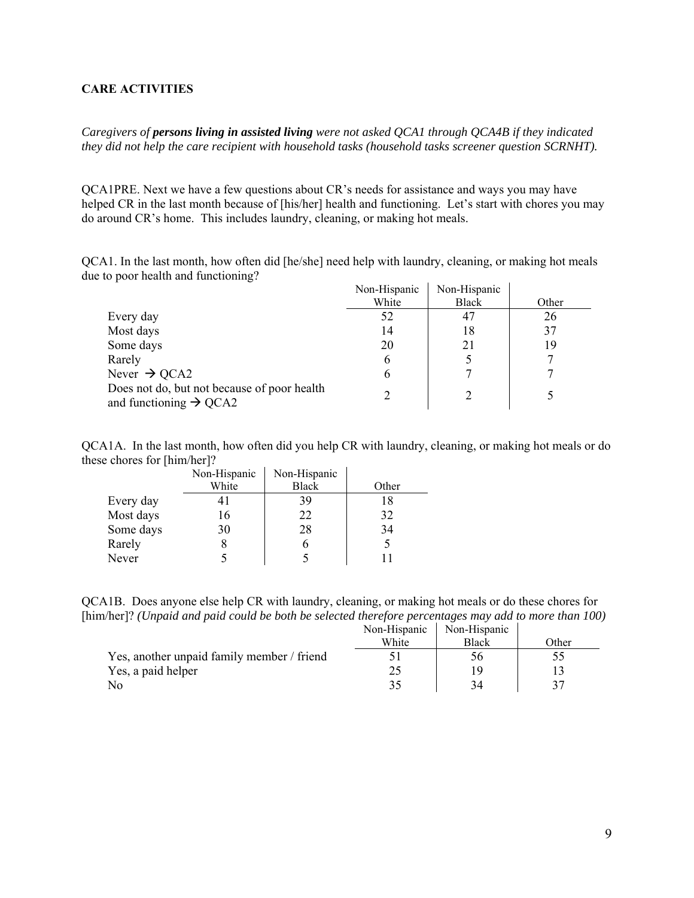### <span id="page-8-0"></span>**CARE ACTIVITIES**

*Caregivers of persons living in assisted living were not asked QCA1 through QCA4B if they indicated they did not help the care recipient with household tasks (household tasks screener question SCRNHT).* 

QCA1PRE. Next we have a few questions about CR's needs for assistance and ways you may have helped CR in the last month because of [his/her] health and functioning. Let's start with chores you may do around CR's home. This includes laundry, cleaning, or making hot meals.

QCA1. In the last month, how often did [he/she] need help with laundry, cleaning, or making hot meals due to poor health and functioning?

|                                                                                   | Non-Hispanic | Non-Hispanic |       |
|-----------------------------------------------------------------------------------|--------------|--------------|-------|
|                                                                                   | White        | Black        | Other |
| Every day                                                                         | 52           | 47           | 26    |
| Most days                                                                         | 14           | 18           | 37    |
| Some days                                                                         | 20           | 21           | 19    |
| Rarely                                                                            | b            |              |       |
| Never $\rightarrow$ QCA2                                                          | b            |              |       |
| Does not do, but not because of poor health<br>and functioning $\rightarrow$ QCA2 |              |              |       |

QCA1A. In the last month, how often did you help CR with laundry, cleaning, or making hot meals or do these chores for [him/her]?

|           | Non-Hispanic | Non-Hispanic |       |
|-----------|--------------|--------------|-------|
|           | White        | <b>Black</b> | Other |
| Every day |              | 39           | 18    |
| Most days | 16           | 22           | 32    |
| Some days | 30           | 28           | 34    |
| Rarely    |              | O            |       |
| Never     |              |              |       |

QCA1B. Does anyone else help CR with laundry, cleaning, or making hot meals or do these chores for [him/her]? *(Unpaid and paid could be both be selected therefore percentages may add to more than 100)* 

|                                            | Non-Hispanic | Non-Hispanic |       |
|--------------------------------------------|--------------|--------------|-------|
|                                            | White        | <b>Black</b> | Other |
| Yes, another unpaid family member / friend |              |              |       |
| Yes, a paid helper                         |              | 19           |       |
| No                                         |              | 34           |       |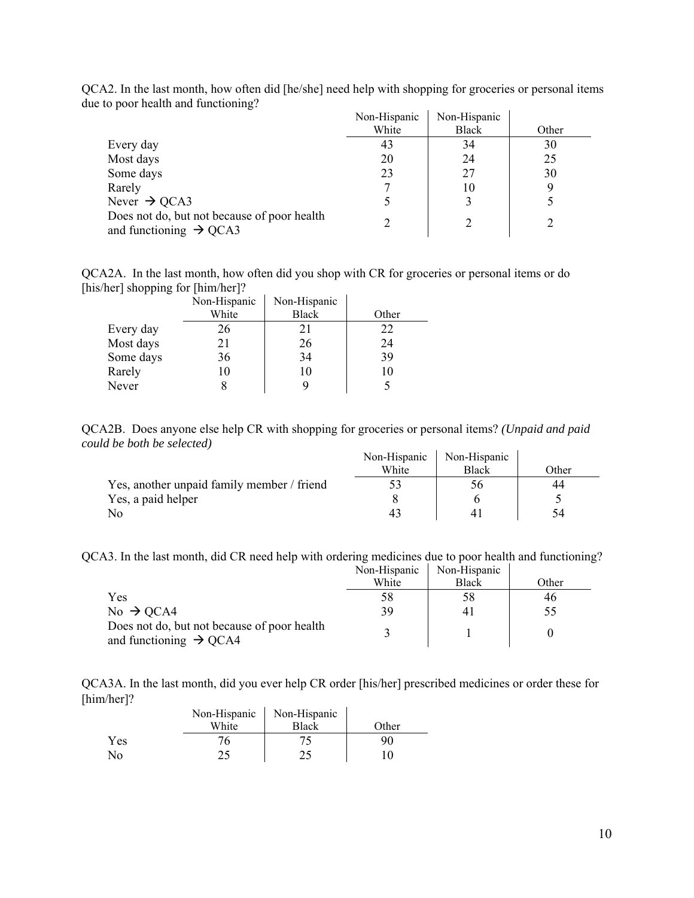|                                                                                   | Non-Hispanic | Non-Hispanic |       |
|-----------------------------------------------------------------------------------|--------------|--------------|-------|
|                                                                                   | White        | <b>Black</b> | Other |
| Every day                                                                         | 43           | 34           | 30    |
| Most days                                                                         | 20           | 24           | 25    |
| Some days                                                                         | 23           | 27           | 30    |
| Rarely                                                                            |              | 10           | 9     |
| Never $\rightarrow$ QCA3                                                          |              | 3            |       |
| Does not do, but not because of poor health<br>and functioning $\rightarrow$ QCA3 |              |              |       |

QCA2. In the last month, how often did [he/she] need help with shopping for groceries or personal items due to poor health and functioning?

QCA2A. In the last month, how often did you shop with CR for groceries or personal items or do [his/her] shopping for [him/her]?

|           | Non-Hispanic | Non-Hispanic |       |
|-----------|--------------|--------------|-------|
|           | White        | <b>Black</b> | Other |
| Every day | 26           | 21           | 22    |
| Most days | 21           | 26           | 24    |
| Some days | 36           | 34           | 39    |
| Rarely    |              |              |       |
| Never     |              |              |       |

QCA2B. Does anyone else help CR with shopping for groceries or personal items? *(Unpaid and paid could be both be selected)* 

|                                            | Non-Hispanic | Non-Hispanic |       |
|--------------------------------------------|--------------|--------------|-------|
|                                            | White        | Black        | Other |
| Yes, another unpaid family member / friend | د د          | $_{\rm 50}$  | 44    |
| Yes, a paid helper                         |              |              |       |
| No                                         |              |              | 54    |

QCA3. In the last month, did CR need help with ordering medicines due to poor health and functioning?

|                                                                                   | Non-Hispanic | Non-Hispanic |       |
|-----------------------------------------------------------------------------------|--------------|--------------|-------|
|                                                                                   | White        | <b>Black</b> | Other |
| Yes                                                                               | 58           | 58           | 46    |
| $No \rightarrow QCA4$                                                             | 39           | 41           | 55    |
| Does not do, but not because of poor health<br>and functioning $\rightarrow$ QCA4 |              |              |       |

QCA3A. In the last month, did you ever help CR order [his/her] prescribed medicines or order these for [him/her]?  $\hat{\mathbf{r}}$ 

|     | Non-Hispanic | Non-Hispanic |       |
|-----|--------------|--------------|-------|
|     | White        | <b>Black</b> | Other |
| Yes |              |              | 90    |
| No  |              |              |       |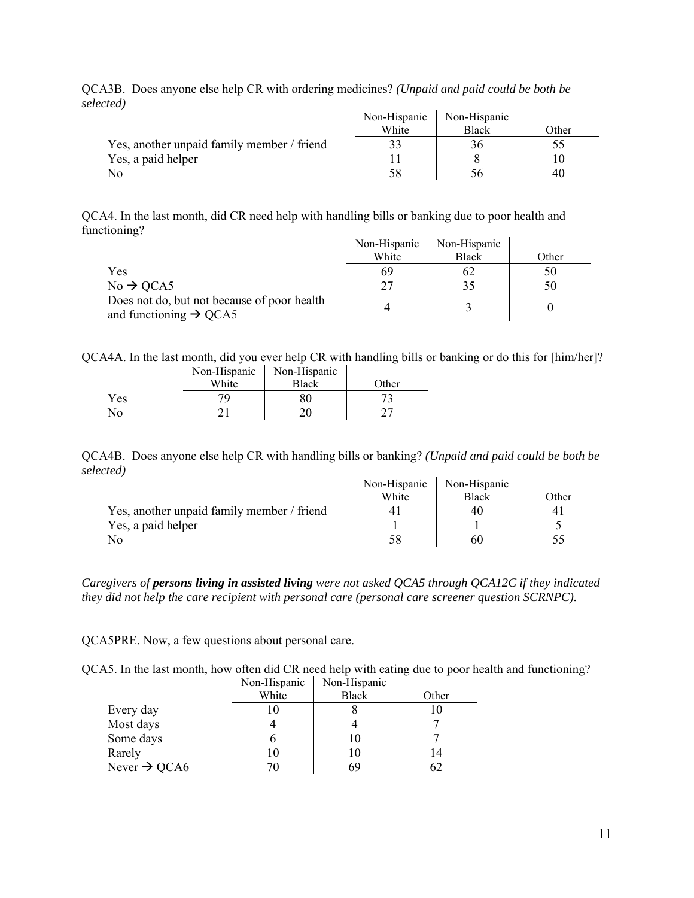| .                                          | Non-Hispanic<br>White | Non-Hispanic<br><b>Black</b> | Other |
|--------------------------------------------|-----------------------|------------------------------|-------|
| Yes, another unpaid family member / friend |                       | 36                           |       |
| Yes, a paid helper                         |                       |                              |       |
|                                            | 58                    |                              | 40    |

QCA3B. Does anyone else help CR with ordering medicines? *(Unpaid and paid could be both be selected)*

QCA4. In the last month, did CR need help with handling bills or banking due to poor health and functioning?

|                                                                                   | Non-Hispanic | Non-Hispanic |       |
|-----------------------------------------------------------------------------------|--------------|--------------|-------|
|                                                                                   | White        | <b>Black</b> | Other |
| Yes                                                                               | 69           |              | 50    |
| $No \rightarrow QCA5$                                                             |              | 35           | 50    |
| Does not do, but not because of poor health<br>and functioning $\rightarrow$ QCA5 |              |              |       |

QCA4A. In the last month, did you ever help CR with handling bills or banking or do this for [him/her]? Non-Hispanic Non-Hispanic

|     | THAT THIS DAILY<br>White | $110H$ THPpthIP<br>Black | Other |
|-----|--------------------------|--------------------------|-------|
| Yes |                          | 80                       |       |
| No  |                          |                          |       |

QCA4B. Does anyone else help CR with handling bills or banking? *(Unpaid and paid could be both be selected)*

|                                            | Non-Hispanic | Non-Hispanic |       |
|--------------------------------------------|--------------|--------------|-------|
|                                            | White        | Black        | Other |
| Yes, another unpaid family member / friend |              | 40           |       |
| Yes, a paid helper                         |              |              |       |
|                                            | 58           | 60           |       |

*Caregivers of persons living in assisted living were not asked QCA5 through QCA12C if they indicated they did not help the care recipient with personal care (personal care screener question SCRNPC).* 

QCA5PRE. Now, a few questions about personal care.

QCA5. In the last month, how often did CR need help with eating due to poor health and functioning?

|                          | Non-Hispanic | Non-Hispanic |       |
|--------------------------|--------------|--------------|-------|
|                          | White        | <b>Black</b> | Other |
| Every day                | 10           |              | 10    |
| Most days                |              |              |       |
| Some days                |              | 10           |       |
| Rarely                   | 10           | 10           | 14    |
| Never $\rightarrow$ QCA6 | 70           | 69           | 62    |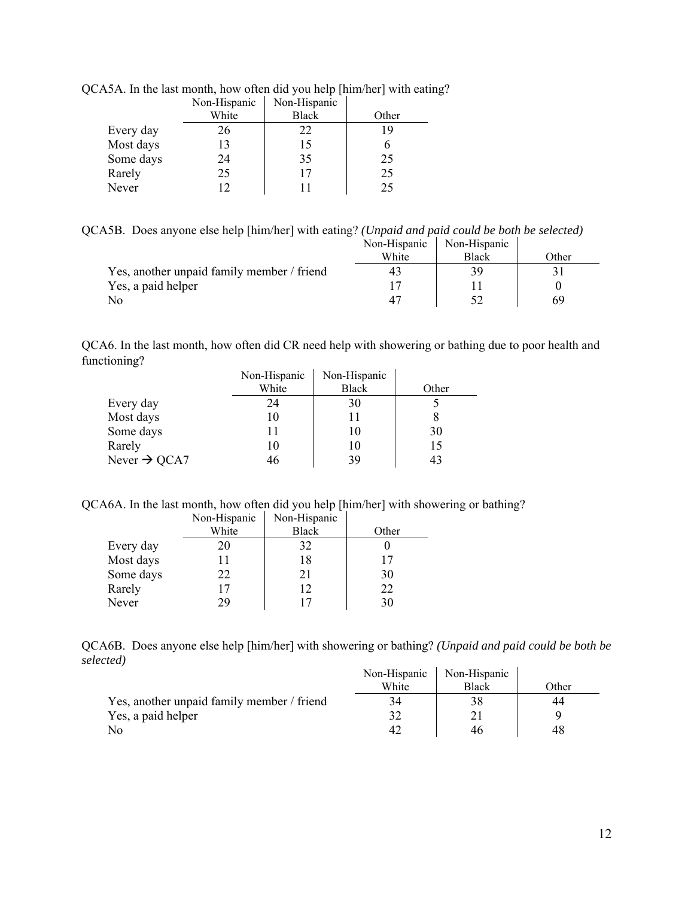|           | Non-Hispanic | Non-Hispanic |       |
|-----------|--------------|--------------|-------|
|           | White        | <b>Black</b> | Other |
| Every day | 26           | 22           |       |
| Most days | 13           | 15           |       |
| Some days | 24           | 35           | 25    |
| Rarely    | 25           | 17           | 25    |
| Never     | 12           | 11           | 25    |

QCA5A. In the last month, how often did you help [him/her] with eating?

QCA5B. Does anyone else help [him/her] with eating? *(Unpaid and paid could be both be selected)* Non-Hispanic Non-Hispanic

|                                            | TVUIL-TIIPPAIII | TWII-THDDAIIIU |       |
|--------------------------------------------|-----------------|----------------|-------|
|                                            | White           | Black          | Other |
| Yes, another unpaid family member / friend | 43              |                |       |
| Yes, a paid helper                         |                 |                |       |
| No                                         |                 |                |       |

QCA6. In the last month, how often did CR need help with showering or bathing due to poor health and functioning?  $\hat{\mathbf{r}}$ 

|                          | Non-Hispanic | Non-Hispanic |       |
|--------------------------|--------------|--------------|-------|
|                          | White        | <b>Black</b> | Other |
| Every day                | 24           | 30           |       |
| Most days                | 10           |              |       |
| Some days                |              | 10           | 30    |
| Rarely                   | 10           | 10           | 15    |
| Never $\rightarrow$ QCA7 | 46           | 39           | 43    |

QCA6A. In the last month, how often did you help [him/her] with showering or bathing?

|           | Non-Hispanic | Non-Hispanic |       |
|-----------|--------------|--------------|-------|
|           | White        | <b>Black</b> | Other |
| Every day | 20           | 32           |       |
| Most days |              | 18           | 17    |
| Some days | 22           | 21           | 30    |
| Rarely    | 17           | 12           | 22    |
| Never     | 29           | 17           | 30    |

QCA6B. Does anyone else help [him/her] with showering or bathing? *(Unpaid and paid could be both be selected)*  $\mathbf{r}$  $\hat{\mathbf{r}}$ 

|                                            | Non-Hispanic | Non-Hispanic |              |
|--------------------------------------------|--------------|--------------|--------------|
|                                            | White        | <b>Black</b> | <b>Other</b> |
| Yes, another unpaid family member / friend | 34           |              | 44           |
| Yes, a paid helper                         |              |              |              |
| No                                         |              |              |              |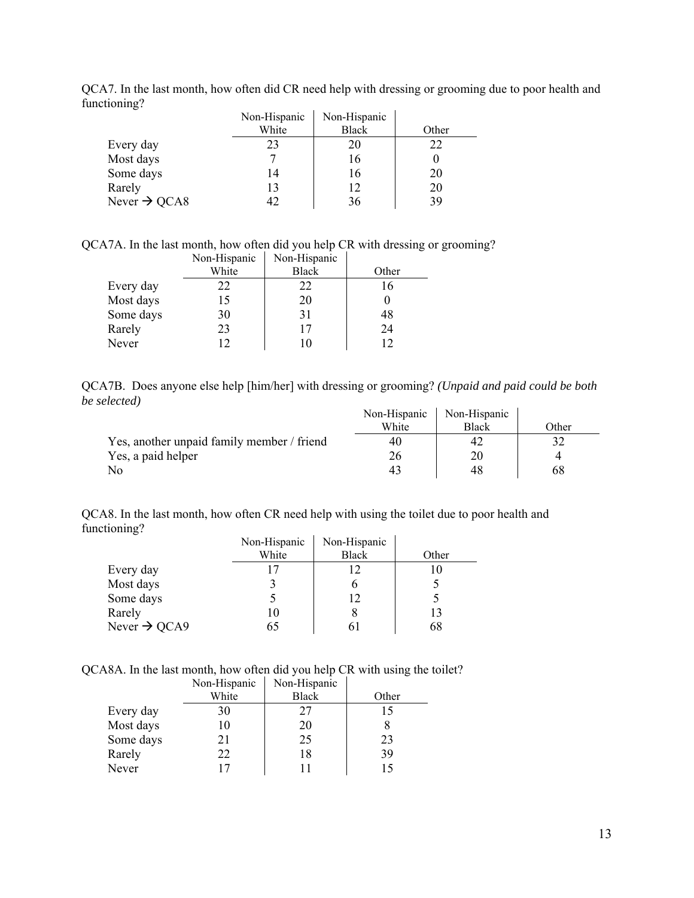|                          | Non-Hispanic | Non-Hispanic |       |
|--------------------------|--------------|--------------|-------|
|                          | White        | <b>Black</b> | Other |
| Every day                | 23           | 20           | 22    |
| Most days                |              | 16           |       |
| Some days                | 14           | 16           | 20    |
| Rarely                   | 13           | 12           | 20    |
| Never $\rightarrow$ QCA8 | 42           | 36           | 39    |

QCA7. In the last month, how often did CR need help with dressing or grooming due to poor health and functioning?

QCA7A. In the last month, how often did you help CR with dressing or grooming? Non-Hispanic Non-Hispanic

|           | THOIL THIS DRIVE | THAT THIS DAILY |       |
|-----------|------------------|-----------------|-------|
|           | White            | <b>Black</b>    | Other |
| Every day | 22               | 22              | 16    |
| Most days | 15               | 20              |       |
| Some days | 30               | 31              | 48    |
| Rarely    | 23               | 17              | 24    |
| Never     | ר ו              |                 | 12    |

QCA7B. Does anyone else help [him/her] with dressing or grooming? *(Unpaid and paid could be both be selected)*  $\mathbf{r}$  $\hat{\mathbf{r}}$ 

|                                            | Non-Hispanic | Non-Hispanic |       |
|--------------------------------------------|--------------|--------------|-------|
|                                            | White        | <b>Black</b> | Other |
| Yes, another unpaid family member / friend | 40           | 42           |       |
| Yes, a paid helper                         |              | 20           |       |
| No                                         |              | 48           | 68    |

QCA8. In the last month, how often CR need help with using the toilet due to poor health and functioning?

|                          | Non-Hispanic | Non-Hispanic |       |
|--------------------------|--------------|--------------|-------|
|                          | White        | Black        | Other |
| Every day                |              | 12           |       |
| Most days                |              |              |       |
| Some days                |              | 12           |       |
| Rarely                   | 10           |              | 13    |
| Never $\rightarrow$ QCA9 | 65           |              | 68    |

QCA8A. In the last month, how often did you help CR with using the toilet?

|           | Non-Hispanic | Non-Hispanic |       |
|-----------|--------------|--------------|-------|
|           | White        | <b>Black</b> | Other |
| Every day | 30           | 27           | 15    |
| Most days | 10           | 20           |       |
| Some days | 21           | 25           | 23    |
| Rarely    | 22           | 18           | 39    |
| Never     |              |              |       |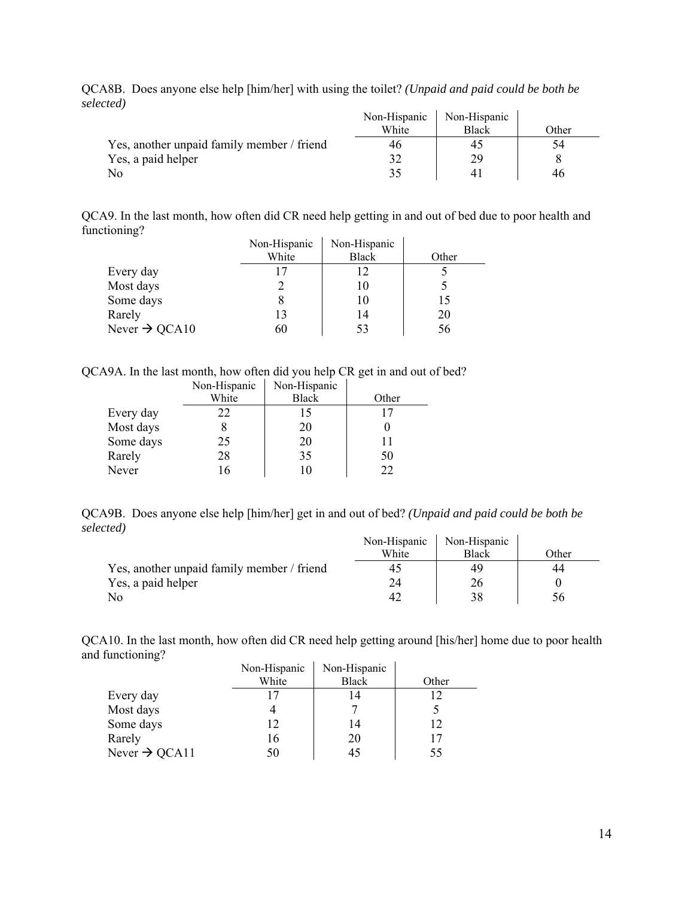QCA8B. Does anyone else help [him/her] with using the toilet? *(Unpaid and paid could be both be selected)*  $\overline{1}$ 

|                                            | Non-Hispanic | Non-Hispanic |       |
|--------------------------------------------|--------------|--------------|-------|
|                                            | White        | <b>Black</b> | Other |
| Yes, another unpaid family member / friend | 46           |              | 54    |
| Yes, a paid helper                         |              | 29           |       |
| No                                         |              |              | 46    |

QCA9. In the last month, how often did CR need help getting in and out of bed due to poor health and functioning?  $\mathbf{r}$  $\hat{\mathbf{r}}$ 

|                           | Non-Hispanic | Non-Hispanic |       |
|---------------------------|--------------|--------------|-------|
|                           | White        | <b>Black</b> | Other |
| Every day                 |              | 12           |       |
| Most days                 |              | 10           |       |
| Some days                 |              | 10           | 15    |
| Rarely                    | 13           | 14           | 20    |
| Never $\rightarrow$ QCA10 | 60           | 53           | 56    |

QCA9A. In the last month, how often did you help CR get in and out of bed?

|           | Non-Hispanic | Non-Hispanic |       |
|-----------|--------------|--------------|-------|
|           | White        | <b>Black</b> | Other |
| Every day | 22           | 15           |       |
| Most days |              | 20           |       |
| Some days | 25           | 20           |       |
| Rarely    | 28           | 35           | 50    |
| Never     | l6           | 10           | つつ    |

QCA9B. Does anyone else help [him/her] get in and out of bed? *(Unpaid and paid could be both be selected)*

|                                            | Non-Hispanic | Non-Hispanic |       |
|--------------------------------------------|--------------|--------------|-------|
|                                            | White        | <b>Black</b> | Other |
| Yes, another unpaid family member / friend |              | 49           | 44    |
| Yes, a paid helper                         |              | 26           |       |
|                                            |              |              | 56    |

QCA10. In the last month, how often did CR need help getting around [his/her] home due to poor health and functioning?

|                           | Non-Hispanic | Non-Hispanic |       |
|---------------------------|--------------|--------------|-------|
|                           | White        | <b>Black</b> | Other |
| Every day                 |              | 14           | 12    |
| Most days                 |              |              |       |
| Some days                 | 12           | 14           | 12    |
| Rarely                    | 16           | 20           | 17    |
| Never $\rightarrow$ QCA11 | 50           | 45           | 55    |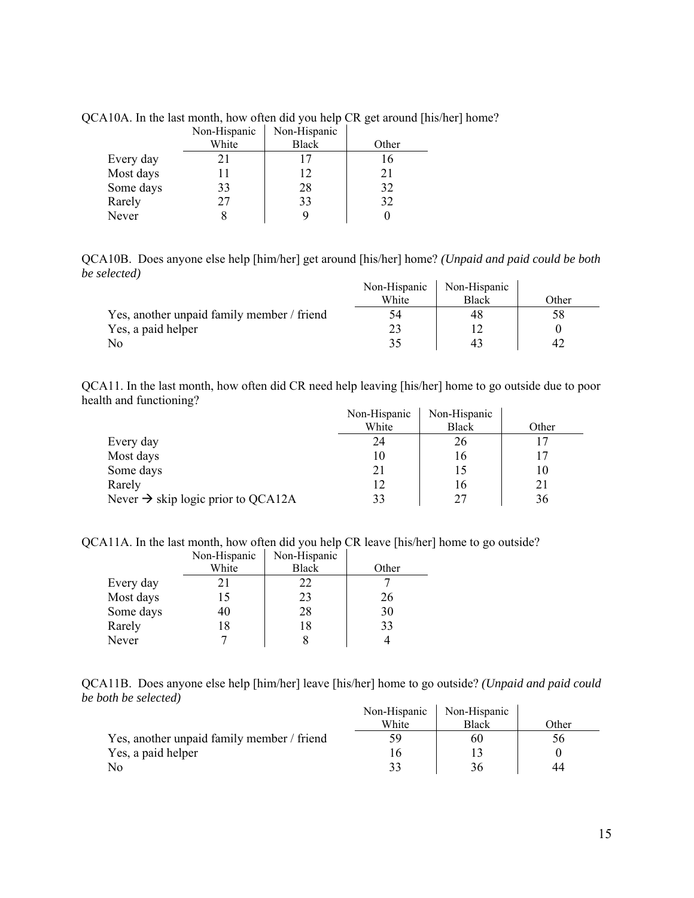|           | Non-Hispanic | Non-Hispanic |       |
|-----------|--------------|--------------|-------|
|           | White        | <b>Black</b> | Other |
| Every day | 21           | 17           | 16    |
| Most days |              | 12           | 21    |
| Some days | 33           | 28           | 32    |
| Rarely    | 27           | 33           | 32    |
| Never     |              | q            |       |

QCA10A. In the last month, how often did you help CR get around [his/her] home?

QCA10B. Does anyone else help [him/her] get around [his/her] home? *(Unpaid and paid could be both be selected)*  $\mathcal{L}_{\mathcal{A}}$ 

|                                            | Non-Hispanic | Non-Hispanic |       |
|--------------------------------------------|--------------|--------------|-------|
|                                            | White        | <b>Black</b> | Other |
| Yes, another unpaid family member / friend | 54           |              |       |
| Yes, a paid helper                         |              |              |       |
| N <sub>0</sub>                             |              |              | 47    |

QCA11. In the last month, how often did CR need help leaving [his/her] home to go outside due to poor health and functioning?  $\mathbf{r}$  $\mathbf{r}$ 

|                                                | Non-Hispanic | Non-Hispanic |       |
|------------------------------------------------|--------------|--------------|-------|
|                                                | White        | <b>Black</b> | Other |
| Every day                                      | 24           | 26           |       |
| Most days                                      | 10           | 16           |       |
| Some days                                      | 21           |              | 10    |
| Rarely                                         |              | I6           | 21    |
| Never $\rightarrow$ skip logic prior to QCA12A | 33           | າາ           | 36    |

QCA11A. In the last month, how often did you help CR leave [his/her] home to go outside?

|           | Non-Hispanic | Non-Hispanic |       |
|-----------|--------------|--------------|-------|
|           | White        | <b>Black</b> | Other |
| Every day |              | 22           |       |
| Most days | 15           | 23           | 26    |
| Some days | 40           | 28           | 30    |
| Rarely    | 18           | 18           | 33    |
| Never     |              |              |       |

QCA11B. Does anyone else help [him/her] leave [his/her] home to go outside? *(Unpaid and paid could be both be selected)*

|                                            | Non-Hispanic | Non-Hispanic |                 |
|--------------------------------------------|--------------|--------------|-----------------|
|                                            | White        | <b>Black</b> | Other           |
| Yes, another unpaid family member / friend | 59           | 60           | 26 <sub>1</sub> |
| Yes, a paid helper                         |              |              |                 |
| No                                         |              | 36           | 44              |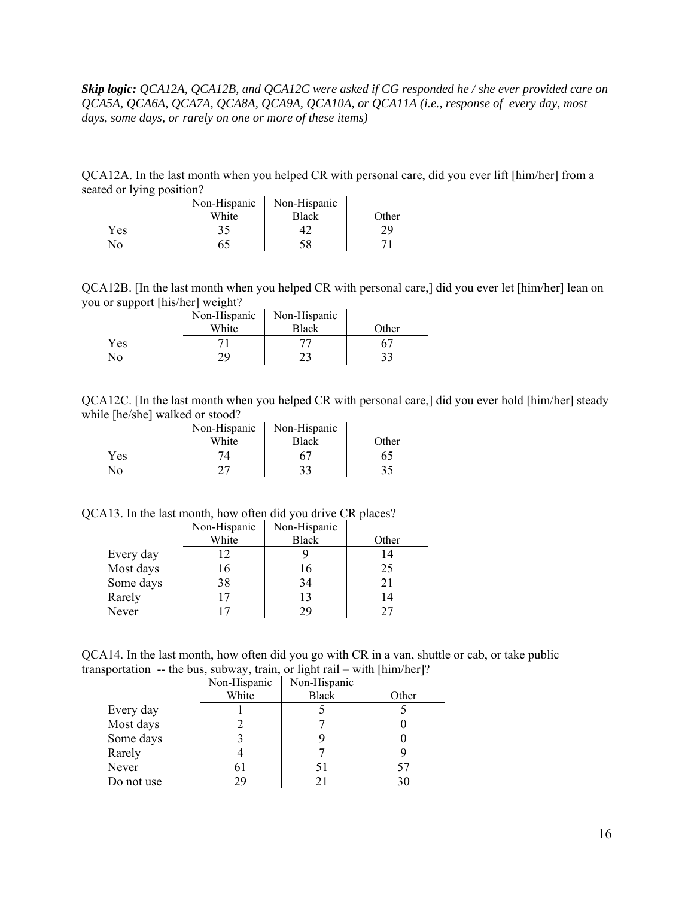*Skip logic: QCA12A, QCA12B, and QCA12C were asked if CG responded he / she ever provided care on QCA5A, QCA6A, QCA7A, QCA8A, QCA9A, QCA10A, or QCA11A (i.e., response of every day, most days, some days, or rarely on one or more of these items)* 

QCA12A. In the last month when you helped CR with personal care, did you ever lift [him/her] from a seated or lying position?

|     | Non-Hispanic | Non-Hispanic |       |
|-----|--------------|--------------|-------|
|     | White        | Black        | Other |
| Yes | 35           |              |       |
| No  |              |              |       |

QCA12B. [In the last month when you helped CR with personal care,] did you ever let [him/her] lean on you or support [his/her] weight?  $\mathbf{r}$ 

|     | Non-Hispanic | Non-Hispanic |       |
|-----|--------------|--------------|-------|
|     | White        | <b>Black</b> | Other |
| Yes |              | 77           |       |
| No  |              | າາ           |       |

QCA12C. [In the last month when you helped CR with personal care,] did you ever hold [him/her] steady while [he/she] walked or stood?

|     | Non-Hispanic | Non-Hispanic |       |
|-----|--------------|--------------|-------|
|     | White        | <b>Black</b> | Other |
| Yes |              |              |       |
| Nο  |              | 33           | 35    |

QCA13. In the last month, how often did you drive CR places?

|           | Non-Hispanic | Non-Hispanic |       |
|-----------|--------------|--------------|-------|
|           | White        | <b>Black</b> | Other |
| Every day | 12           |              | 14    |
| Most days | 16           | 16           | 25    |
| Some days | 38           | 34           | 21    |
| Rarely    |              | 13           | 14    |
| Never     |              | 29           | 77    |

QCA14. In the last month, how often did you go with CR in a van, shuttle or cab, or take public transportation -- the bus, subway, train, or light rail – with [him/her]?

|            | Non-Hispanic | Non-Hispanic |       |
|------------|--------------|--------------|-------|
|            | White        | <b>Black</b> | Other |
| Every day  |              |              |       |
| Most days  |              |              |       |
| Some days  |              |              |       |
| Rarely     |              |              |       |
| Never      | 6 I          | 51           | 57    |
| Do not use | 29           |              | 30    |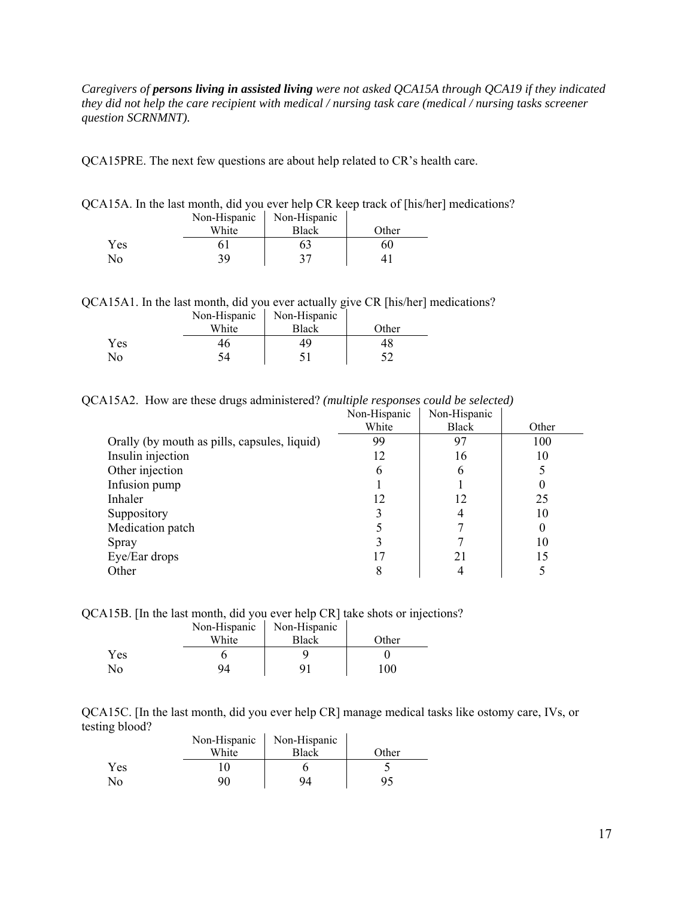*Caregivers of persons living in assisted living were not asked QCA15A through QCA19 if they indicated they did not help the care recipient with medical / nursing task care (medical / nursing tasks screener question SCRNMNT).* 

QCA15PRE. The next few questions are about help related to CR's health care.

| QCA15A. In the last month, did you ever help CR keep track of [his/her] medications? |  |  |  |
|--------------------------------------------------------------------------------------|--|--|--|
|--------------------------------------------------------------------------------------|--|--|--|

|     | Non-Hispanic | Non-Hispanic |       |
|-----|--------------|--------------|-------|
|     | White        | <b>Black</b> | Other |
| Yes |              | Ьź           | 60    |
| No  | 39.          | 27           |       |

QCA15A1. In the last month, did you ever actually give CR [his/her] medications?

|            | Non-Hispanic | Non-Hispanic |       |
|------------|--------------|--------------|-------|
|            | White        | <b>Black</b> | Other |
| <b>Yes</b> | 46           | 49           | 48    |
| Nο         |              |              |       |

QCA15A2. How are these drugs administered? *(multiple responses could be selected)* 

|                                              | Non-Hispanic | Non-Hispanic |       |
|----------------------------------------------|--------------|--------------|-------|
|                                              | White        | <b>Black</b> | Other |
| Orally (by mouth as pills, capsules, liquid) | 99           | 97           | 100   |
| Insulin injection                            | 12           | 16           | 10    |
| Other injection                              | 6            | 6            |       |
| Infusion pump                                |              |              |       |
| Inhaler                                      | 12           | 12           | 25    |
| Suppository                                  |              | 4            | 10    |
| Medication patch                             |              |              | 0     |
| Spray                                        |              |              | 10    |
| Eye/Ear drops                                |              | 21           | 15    |
| Other                                        | 8            |              |       |

QCA15B. [In the last month, did you ever help CR] take shots or injections?

|     | Non-Hispanic | Non-Hispanic |       |
|-----|--------------|--------------|-------|
|     | White        | <b>Black</b> | Other |
| Yes |              |              |       |
| No  | 94           | Q1           | 100   |

QCA15C. [In the last month, did you ever help CR] manage medical tasks like ostomy care, IVs, or testing blood?  $\hat{\mathbf{r}}$  $\mathcal{L}$ 

|            | Non-Hispanic | Non-Hispanic |       |
|------------|--------------|--------------|-------|
|            | White        | <b>Black</b> | Other |
| <b>Yes</b> |              |              |       |
| No         |              | 94           |       |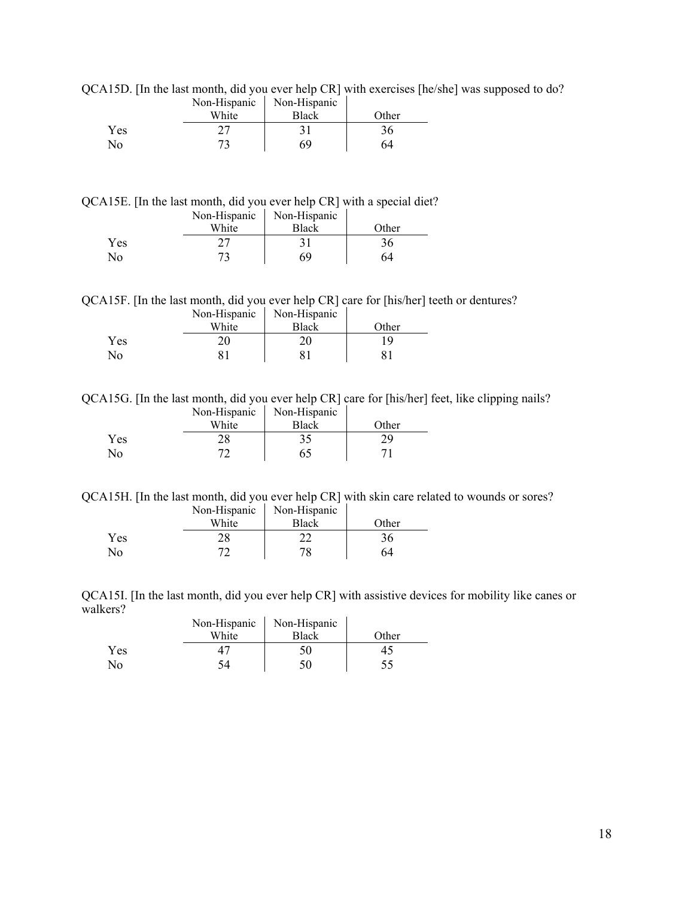|     | Non-Hispanic | Non-Hispanic |       |
|-----|--------------|--------------|-------|
|     | White        | Black        | Other |
| Yes |              |              | 36    |
| No  |              | 69           |       |

QCA15D. [In the last month, did you ever help CR] with exercises [he/she] was supposed to do?

QCA15E. [In the last month, did you ever help CR] with a special diet?

|     | Non-Hispanic | Non-Hispanic |       |
|-----|--------------|--------------|-------|
|     | White        | Black        | Other |
| Yes |              |              | 36    |
| No  |              | 69           | 64    |

QCA15F. [In the last month, did you ever help CR] care for [his/her] teeth or dentures?

|     | Non-Hispanic | Non-Hispanic |       |
|-----|--------------|--------------|-------|
|     | White        | Black        | Other |
| Yes |              |              |       |
| No  |              |              |       |

QCA15G. [In the last month, did you ever help CR] care for [his/her] feet, like clipping nails? Non-Hispanic Non-Hispanic

|     | $1$ NOII- $\Box$ ISPAIIIC | $1$ NOII- $\pi$ ISPAIIIC |       |
|-----|---------------------------|--------------------------|-------|
|     | White                     | <b>Black</b>             | Other |
| Yes | າດ                        | 7 E                      |       |
| No  |                           |                          |       |

QCA15H. [In the last month, did you ever help CR] with skin care related to wounds or sores?

|     | Non-Hispanic | Non-Hispanic |       |
|-----|--------------|--------------|-------|
|     | White        | <b>Black</b> | Other |
| Yes |              |              | 36    |
| Nο  |              | 70           | 64    |

QCA15I. [In the last month, did you ever help CR] with assistive devices for mobility like canes or walkers?  $\hat{\mathbf{r}}$  $\overline{1}$ 

|     | Non-Hispanic | Non-Hispanic |       |
|-----|--------------|--------------|-------|
|     | White        | <b>Black</b> | Other |
| Yes |              | 50           |       |
| No  |              |              |       |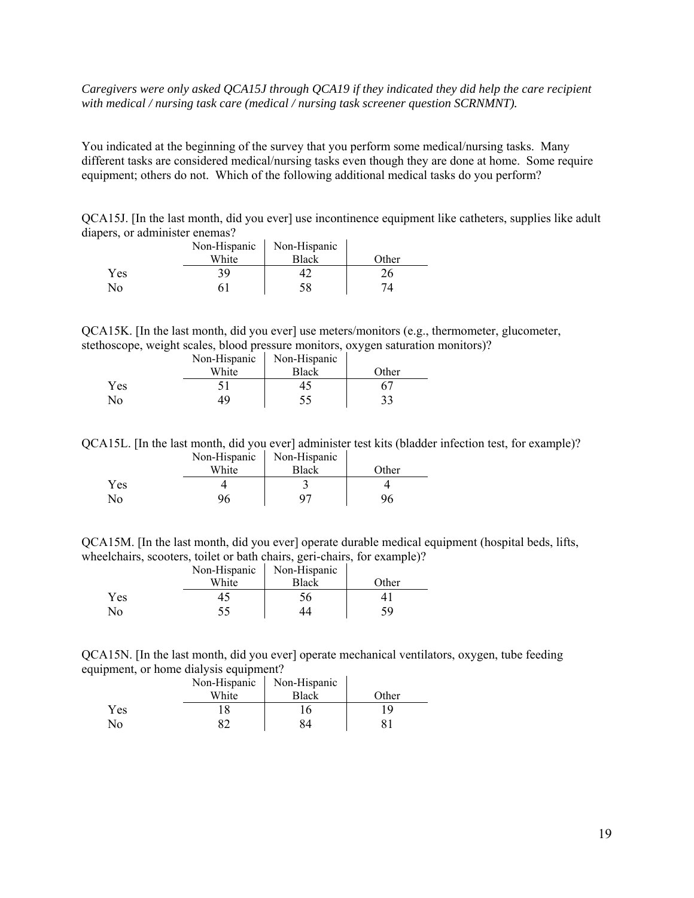### *Caregivers were only asked QCA15J through QCA19 if they indicated they did help the care recipient with medical / nursing task care (medical / nursing task screener question SCRNMNT).*

You indicated at the beginning of the survey that you perform some medical/nursing tasks. Many different tasks are considered medical/nursing tasks even though they are done at home. Some require equipment; others do not. Which of the following additional medical tasks do you perform?

QCA15J. [In the last month, did you ever] use incontinence equipment like catheters, supplies like adult diapers, or administer enemas?  $\mathcal{L}_{\text{max}}$ 

|            | Non-Hispanic | Non-Hispanic |       |
|------------|--------------|--------------|-------|
|            | White        | <b>Black</b> | Other |
| <b>Yes</b> | 39.          |              |       |
| Nο         |              | 58           |       |

QCA15K. [In the last month, did you ever] use meters/monitors (e.g., thermometer, glucometer, stethoscope, weight scales, blood pressure monitors, oxygen saturation monitors)?

|            | Non-Hispanic | Non-Hispanic |       |
|------------|--------------|--------------|-------|
|            | White        | <b>Black</b> | Other |
| <b>Yes</b> |              |              |       |
| No         | 49           |              |       |

QCA15L. [In the last month, did you ever] administer test kits (bladder infection test, for example)? Non-Hispanic Non-Hispanic

|     | $1.011$ 111994110<br>White | $1.011$ 11100 01110<br>Black | Other |
|-----|----------------------------|------------------------------|-------|
| Yes |                            |                              |       |
| No  |                            | רי                           |       |

QCA15M. [In the last month, did you ever] operate durable medical equipment (hospital beds, lifts, wheelchairs, scooters, toilet or bath chairs, geri-chairs, for example)?

|     | Non-Hispanic | Non-Hispanic |       |
|-----|--------------|--------------|-------|
|     | White        | <b>Black</b> | Other |
| Yes |              | 56           |       |
| Nο  |              |              |       |

QCA15N. [In the last month, did you ever] operate mechanical ventilators, oxygen, tube feeding equipment, or home dialysis equipment?

|     | Non-Hispanic | Non-Hispanic |       |
|-----|--------------|--------------|-------|
|     | White        | Black        | Other |
| Yes |              |              |       |
| No  |              |              |       |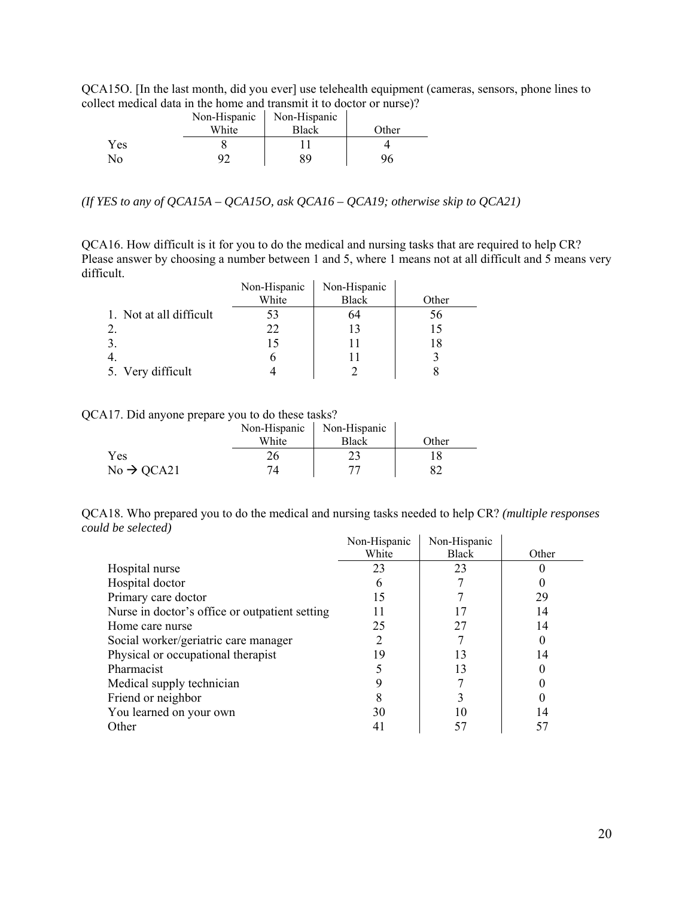QCA15O. [In the last month, did you ever] use telehealth equipment (cameras, sensors, phone lines to collect medical data in the home and transmit it to doctor or nurse)?

|     | Non-Hispanic | Non-Hispanic |       |
|-----|--------------|--------------|-------|
|     | White        | <b>Black</b> | Other |
| Yes |              |              |       |
| Nο  |              | 89           |       |

*(If YES to any of QCA15A – QCA15O, ask QCA16 – QCA19; otherwise skip to QCA21)* 

QCA16. How difficult is it for you to do the medical and nursing tasks that are required to help CR? Please answer by choosing a number between 1 and 5, where 1 means not at all difficult and 5 means very difficult.

|                         | Non-Hispanic | Non-Hispanic |       |
|-------------------------|--------------|--------------|-------|
|                         | White        | <b>Black</b> | Other |
| 1. Not at all difficult | 53           | 64           | 56    |
|                         | 22           |              | 15    |
|                         |              |              | 18    |
|                         |              |              |       |
| 5. Very difficult       |              |              |       |

QCA17. Did anyone prepare you to do these tasks?

|                        | Non-Hispanic | Non-Hispanic |       |
|------------------------|--------------|--------------|-------|
|                        | White        | Black        | Other |
| <b>Yes</b>             |              |              |       |
| $No \rightarrow QCA21$ |              |              |       |

QCA18. Who prepared you to do the medical and nursing tasks needed to help CR? *(multiple responses could be selected)*   $\mathbf{r}$  $\mathbf{r}$ 

|                                                | Non-Hispanic | Non-Hispanic |       |
|------------------------------------------------|--------------|--------------|-------|
|                                                | White        | <b>Black</b> | Other |
| Hospital nurse                                 | 23           | 23           |       |
| Hospital doctor                                |              |              |       |
| Primary care doctor                            | 15           |              | 29    |
| Nurse in doctor's office or outpatient setting |              |              | 14    |
| Home care nurse                                | 25           | 27           | 14    |
| Social worker/geriatric care manager           |              |              |       |
| Physical or occupational therapist             | 19           | 13           | 14    |
| Pharmacist                                     |              | 13           |       |
| Medical supply technician                      |              |              |       |
| Friend or neighbor                             |              |              |       |
| You learned on your own                        | 30           |              | 14    |
| Other                                          |              |              |       |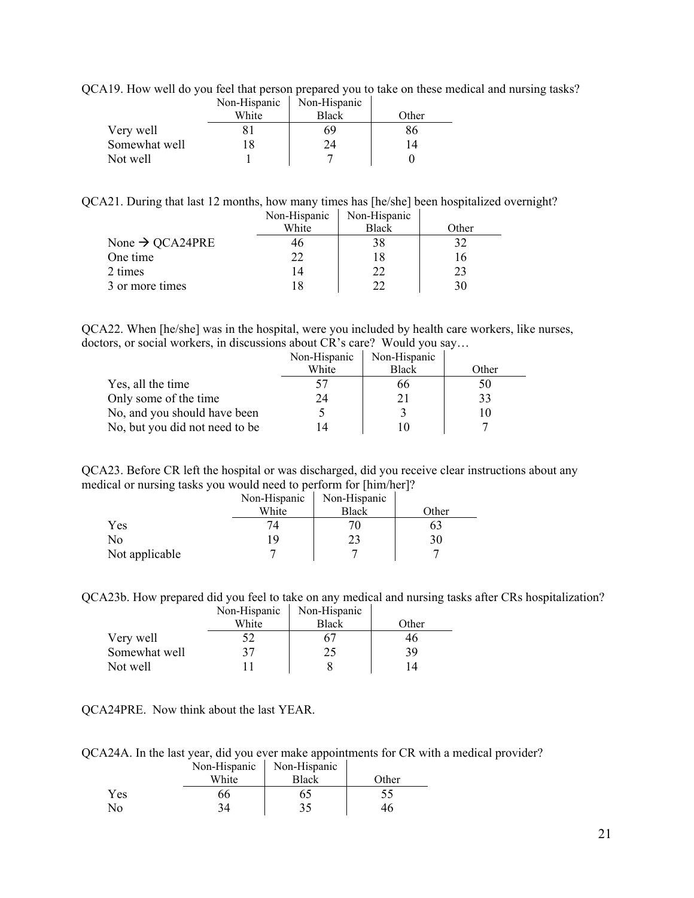QCA19. How well do you feel that person prepared you to take on these medical and nursing tasks?

|               | Non-Hispanic | Non-Hispanic |       |
|---------------|--------------|--------------|-------|
|               | White        | <b>Black</b> | Other |
| Very well     |              | 69           | 86    |
| Somewhat well | 18           | 24           | 14    |
| Not well      |              |              |       |

QCA21. During that last 12 months, how many times has [he/she] been hospitalized overnight?

|                             | Non-Hispanic | Non-Hispanic |       |
|-----------------------------|--------------|--------------|-------|
|                             | White        | <b>Black</b> | Other |
| None $\rightarrow$ QCA24PRE | 46           |              |       |
| One time                    | 22           |              | 16    |
| 2 times                     | 14           | 22.          | 23    |
| 3 or more times             |              |              | 30    |

QCA22. When [he/she] was in the hospital, were you included by health care workers, like nurses, doctors, or social workers, in discussions about CR's care? Would you say…

|                                | Non-Hispanic | Non-Hispanic |       |
|--------------------------------|--------------|--------------|-------|
|                                | White        | <b>Black</b> | Other |
| Yes, all the time              | 57           | იი           | 50    |
| Only some of the time          | 24           |              | 33    |
| No, and you should have been   |              |              |       |
| No, but you did not need to be | 14           |              |       |

QCA23. Before CR left the hospital or was discharged, did you receive clear instructions about any medical or nursing tasks you would need to perform for [him/her]?

|                | Non-Hispanic | Non-Hispanic |       |
|----------------|--------------|--------------|-------|
|                | White        | Black        | Other |
| Yes            | 74.          |              | oź    |
| No             | 19           |              | 30    |
| Not applicable |              |              |       |

QCA23b. How prepared did you feel to take on any medical and nursing tasks after CRs hospitalization?

|               | Non-Hispanic | Non-Hispanic |       |
|---------------|--------------|--------------|-------|
|               | White        | <b>Black</b> | Other |
| Very well     |              |              | 46    |
| Somewhat well | 37           | 25           | 39    |
| Not well      |              |              | 14    |

QCA24PRE. Now think about the last YEAR.

QCA24A. In the last year, did you ever make appointments for CR with a medical provider?

|            | Non-Hispanic | Non-Hispanic |       |
|------------|--------------|--------------|-------|
|            | White        | <b>Black</b> | Other |
| <b>Yes</b> | 66           | 65           |       |
| Nο         |              | 35           |       |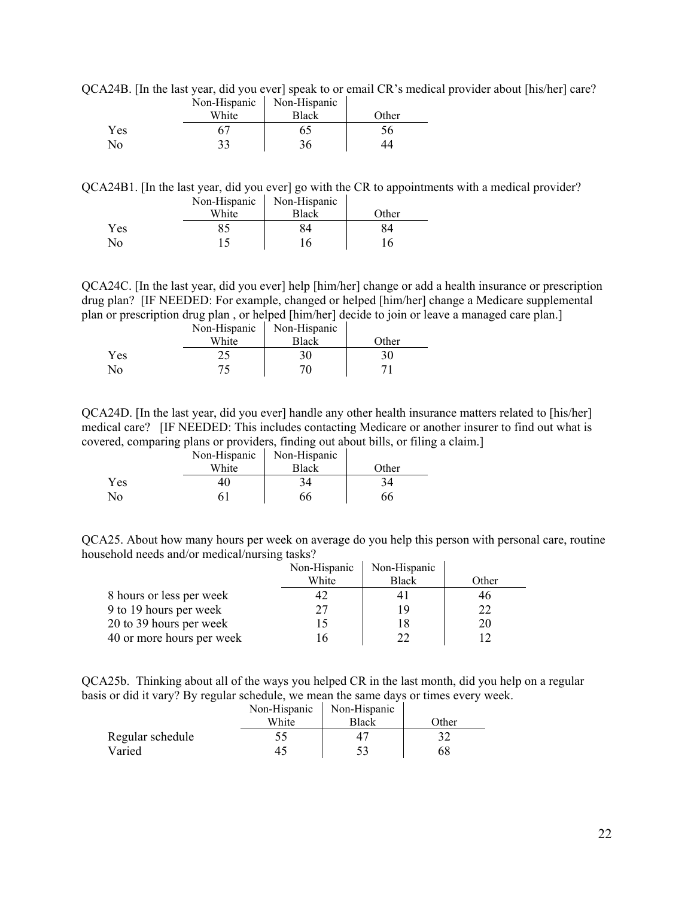QCA24B. [In the last year, did you ever] speak to or email CR's medical provider about [his/her] care? Non-Hispanic Non-Hispanic

|     | $N$ . $n_{\text{H}}$ $\sim$ $n_{\text{H}}$ | $N$ . $n$ $\sim$ $n$ $\sim$ $n$ |       |
|-----|--------------------------------------------|---------------------------------|-------|
|     | White                                      | Black                           | Other |
| Yes |                                            | 65                              |       |
| No  | າາ                                         | 36                              |       |

QCA24B1. [In the last year, did you ever] go with the CR to appointments with a medical provider? Non-Hispanic Non-Hispanic

|     | White | <b>Black</b> | <b>Other</b> |
|-----|-------|--------------|--------------|
| Yes |       | OЛ           | 84           |
| No  |       |              | 6            |

QCA24C. [In the last year, did you ever] help [him/her] change or add a health insurance or prescription drug plan? [IF NEEDED: For example, changed or helped [him/her] change a Medicare supplemental plan or prescription drug plan , or helped [him/her] decide to join or leave a managed care plan.]

|     | Non-Hispanic | Non-Hispanic |       |
|-----|--------------|--------------|-------|
|     | White        | Black        | Other |
| Yes |              | 30           |       |
| No  |              | 70           |       |

QCA24D. [In the last year, did you ever] handle any other health insurance matters related to [his/her] medical care? [IF NEEDED: This includes contacting Medicare or another insurer to find out what is covered, comparing plans or providers, finding out about bills, or filing a claim.]

|            | Non-Hispanic | Non-Hispanic |       |
|------------|--------------|--------------|-------|
|            | White        | <b>Black</b> | Other |
| <b>Yes</b> | 40           | 34           |       |
| Nο         |              | 66           | 66    |

QCA25. About how many hours per week on average do you help this person with personal care, routine household needs and/or medical/nursing tasks?

|                           | Non-Hispanic | Non-Hispanic |       |
|---------------------------|--------------|--------------|-------|
|                           | White        | <b>Black</b> | Other |
| 8 hours or less per week  | 42           |              | 46    |
| 9 to 19 hours per week    | 27           | 19           |       |
| 20 to 39 hours per week   |              |              | 20    |
| 40 or more hours per week |              |              |       |

QCA25b. Thinking about all of the ways you helped CR in the last month, did you help on a regular basis or did it vary? By regular schedule, we mean the same days or times every week.

|                  | Non-Hispanic | Non-Hispanic |       |
|------------------|--------------|--------------|-------|
|                  | White        | Black        | Other |
| Regular schedule |              |              |       |
| Varied           |              |              | 68    |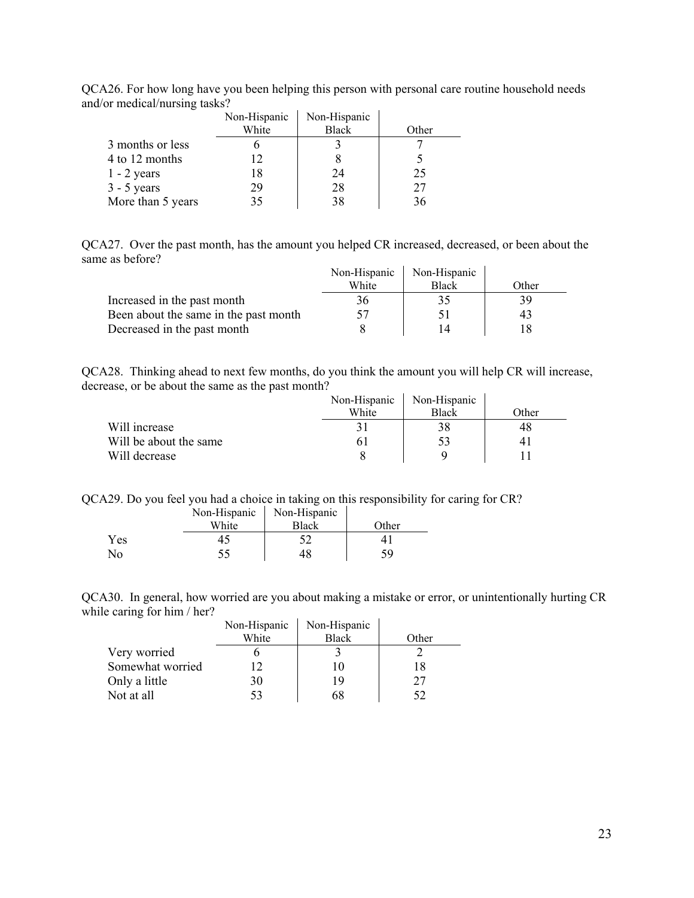| QCA26. For how long have you been helping this person with personal care routine household needs |  |  |  |
|--------------------------------------------------------------------------------------------------|--|--|--|
| and/or medical/nursing tasks?                                                                    |  |  |  |

|                   | Non-Hispanic | Non-Hispanic |       |
|-------------------|--------------|--------------|-------|
|                   | White        | <b>Black</b> | Other |
| 3 months or less  |              |              |       |
| 4 to 12 months    |              |              |       |
| $1 - 2$ years     |              | 24           | 25    |
| $3 - 5$ years     | 29           | 28           | 27    |
| More than 5 years |              | 38           |       |

QCA27. Over the past month, has the amount you helped CR increased, decreased, or been about the same as before?  $\mathbf{r}$  $\mathbf{r}$ 

|                                       | Non-Hispanic | Non-Hispanic |       |
|---------------------------------------|--------------|--------------|-------|
|                                       | White        | <b>Black</b> | Other |
| Increased in the past month           | 36           | 35           | 39    |
| Been about the same in the past month |              |              | 43    |
| Decreased in the past month           |              | 14           |       |

QCA28. Thinking ahead to next few months, do you think the amount you will help CR will increase, decrease, or be about the same as the past month?  $\mathcal{L}$ 

|                        | Non-Hispanic | Non-Hispanic |       |
|------------------------|--------------|--------------|-------|
|                        | White        | <b>Black</b> | Other |
| Will increase          |              |              | 48    |
| Will be about the same |              |              |       |
| Will decrease          |              |              |       |

QCA29. Do you feel you had a choice in taking on this responsibility for caring for CR?

|     | Non-Hispanic | Non-Hispanic |       |
|-----|--------------|--------------|-------|
|     | White        | Black        | Other |
| Yes |              |              |       |
| No  |              | 48           | 59    |

QCA30. In general, how worried are you about making a mistake or error, or unintentionally hurting CR while caring for him / her?  $\mathbf{L}$  $\mathbf{r}$ 

|                  | Non-Hispanic | Non-Hispanic |       |
|------------------|--------------|--------------|-------|
|                  | White        | <b>Black</b> | Other |
| Very worried     |              |              |       |
| Somewhat worried |              |              | 18    |
| Only a little    | 30           | 19           | 27    |
| Not at all       |              |              |       |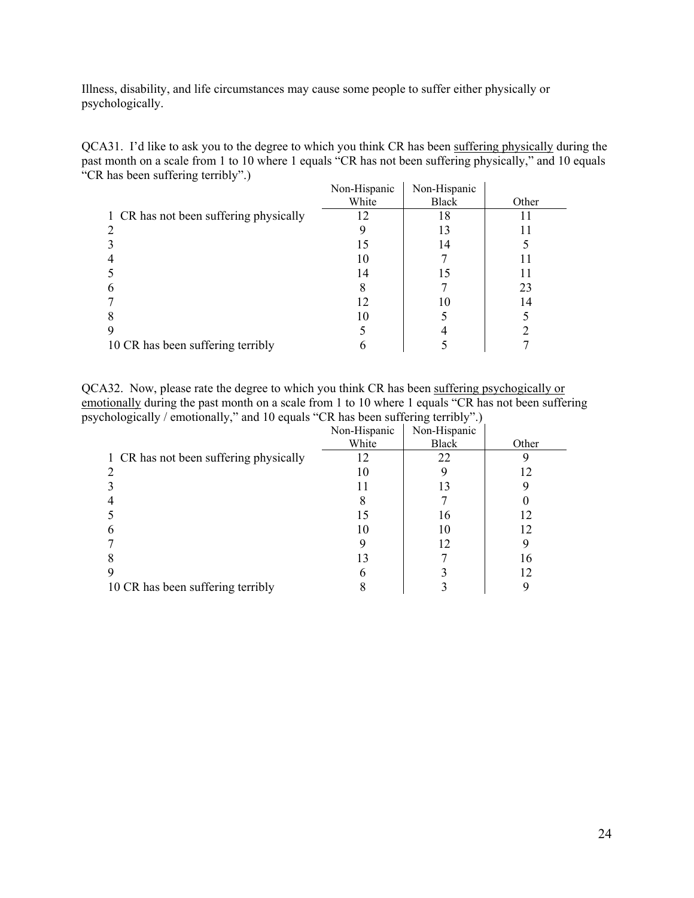Illness, disability, and life circumstances may cause some people to suffer either physically or psychologically.

QCA31. I'd like to ask you to the degree to which you think CR has been suffering physically during the past month on a scale from 1 to 10 where 1 equals "CR has not been suffering physically," and 10 equals "CR has been suffering terribly".)

|                                        | Non-Hispanic | Non-Hispanic |       |
|----------------------------------------|--------------|--------------|-------|
|                                        | White        | <b>Black</b> | Other |
| 1 CR has not been suffering physically | 12           | 18           |       |
|                                        |              | 13           |       |
|                                        | 15           | 14           |       |
|                                        | 10           |              |       |
|                                        | 14           | 15           |       |
| h                                      |              |              | 23    |
|                                        | 12           | 10           | 14    |
|                                        | 10           |              |       |
|                                        |              |              |       |
| 10 CR has been suffering terribly      |              |              |       |

QCA32. Now, please rate the degree to which you think CR has been suffering psychogically or emotionally during the past month on a scale from 1 to 10 where 1 equals "CR has not been suffering psychologically / emotionally," and 10 equals "CR has been suffering terribly".)

|                                        | Non-Hispanic | Non-Hispanic |       |
|----------------------------------------|--------------|--------------|-------|
|                                        | White        | Black        | Other |
| 1 CR has not been suffering physically | 12           | 22           |       |
|                                        | 10           |              | 12    |
|                                        |              | 13           |       |
|                                        |              |              |       |
|                                        | 15           | 16           | 12    |
|                                        | 10           | 10           | 12    |
|                                        |              | 12           |       |
|                                        | 13           |              | 16    |
|                                        |              |              | 12    |
| 10 CR has been suffering terribly      |              |              | 9     |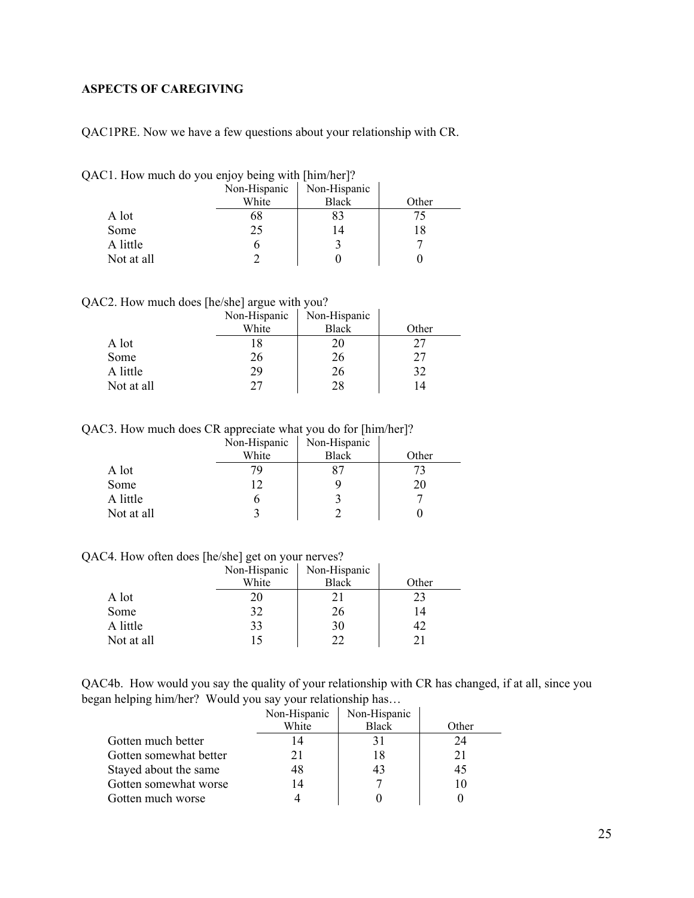## <span id="page-24-0"></span>**ASPECTS OF CAREGIVING**

QAC1PRE. Now we have a few questions about your relationship with CR.

|  |  |  |  | QAC1. How much do you enjoy being with [him/her]? |  |
|--|--|--|--|---------------------------------------------------|--|
|  |  |  |  |                                                   |  |

|            | Non-Hispanic | Non-Hispanic |       |
|------------|--------------|--------------|-------|
|            | White        | <b>Black</b> | Other |
| A lot      | bŏ           |              |       |
| Some       | 25           | 14           | 18    |
| A little   |              |              |       |
| Not at all |              |              |       |

QAC2. How much does [he/she] argue with you?

|            | Non-Hispanic | Non-Hispanic |       |
|------------|--------------|--------------|-------|
|            | White        | <b>Black</b> | Other |
| A lot      |              |              | 27    |
| Some       | 26           | 26           | 27    |
| A little   | 29           | 26           | 32    |
| Not at all | 77           |              |       |

k.

QAC3. How much does CR appreciate what you do for [him/her]?

|            | Non-Hispanic | Non-Hispanic |       |
|------------|--------------|--------------|-------|
|            | White        | <b>Black</b> | Other |
| A lot      |              |              |       |
| Some       |              |              |       |
| A little   |              |              |       |
| Not at all |              |              |       |

QAC4. How often does [he/she] get on your nerves?

|            | Non-Hispanic | Non-Hispanic |       |
|------------|--------------|--------------|-------|
|            | White        | <b>Black</b> | Other |
| A lot      | 20           |              | 23    |
| Some       | 32           | 26           | 14    |
| A little   | 33           | 30           |       |
| Not at all | 15           |              |       |

QAC4b. How would you say the quality of your relationship with CR has changed, if at all, since you began helping him/her? Would you say your relationship has…

|                        | Non-Hispanic<br>White | Non-Hispanic<br><b>Black</b> | Other |
|------------------------|-----------------------|------------------------------|-------|
| Gotten much better     | 14                    |                              | 24    |
| Gotten somewhat better |                       | 18                           |       |
| Stayed about the same  | 48                    | 43                           | 45    |
| Gotten somewhat worse  | 14                    |                              |       |
| Gotten much worse      |                       |                              |       |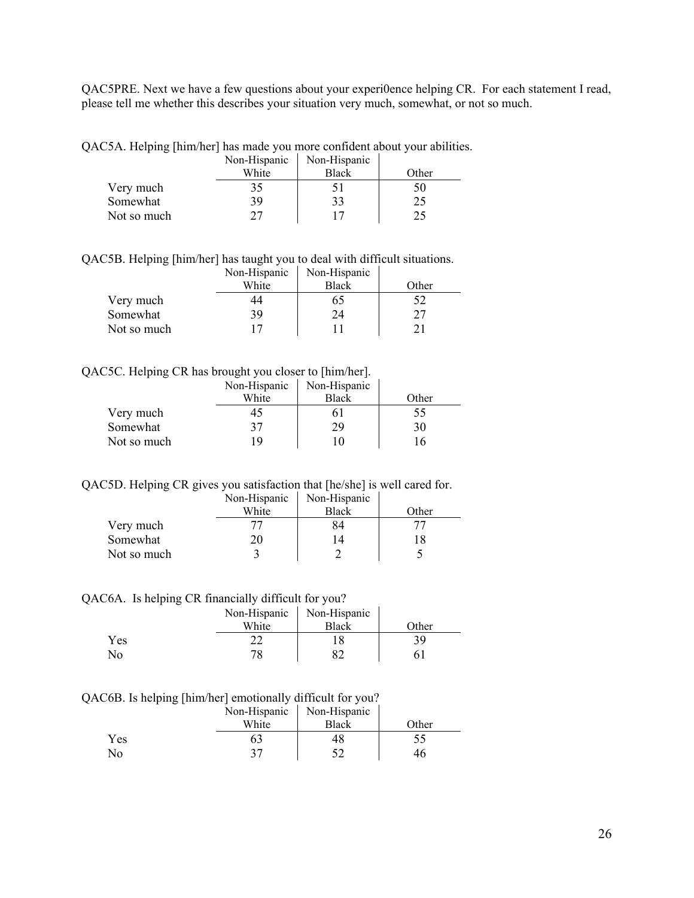QAC5PRE. Next we have a few questions about your experi0ence helping CR. For each statement I read, please tell me whether this describes your situation very much, somewhat, or not so much.

QAC5A. Helping [him/her] has made you more confident about your abilities.

|             | Non-Hispanic | Non-Hispanic |       |
|-------------|--------------|--------------|-------|
|             | White        | <b>Black</b> | Other |
| Very much   | 35           |              | 50    |
| Somewhat    | 39           | 33           | 25    |
| Not so much | 27           |              |       |

QAC5B. Helping [him/her] has taught you to deal with difficult situations.

|             | Non-Hispanic | Non-Hispanic |       |
|-------------|--------------|--------------|-------|
|             | White        | <b>Black</b> | Other |
| Very much   | 44           | 65           |       |
| Somewhat    | 39           | 24           |       |
| Not so much |              |              |       |

#### QAC5C. Helping CR has brought you closer to [him/her].

|             | Non-Hispanic | Non-Hispanic |       |
|-------------|--------------|--------------|-------|
|             | White        | <b>Black</b> | Other |
| Very much   | 45           | bΙ           | 55    |
| Somewhat    | 37           | 29           | 30    |
| Not so much | ۱9           | ۱0           | 16    |

QAC5D. Helping CR gives you satisfaction that [he/she] is well cared for.

|             | Non-Hispanic | Non-Hispanic |       |
|-------------|--------------|--------------|-------|
|             | White        | <b>Black</b> | Other |
| Very much   |              | 84           |       |
| Somewhat    | 20           |              |       |
| Not so much |              |              |       |

QAC6A. Is helping CR financially difficult for you?

|              | Non-Hispanic | Non-Hispanic |       |
|--------------|--------------|--------------|-------|
|              | White        | <b>Black</b> | Other |
| Yes          |              |              | 39    |
| $N_{\Omega}$ | 78           |              |       |

QAC6B. Is helping [him/her] emotionally difficult for you?

|     | Non-Hispanic | Non-Hispanic |       |
|-----|--------------|--------------|-------|
|     | White        | <b>Black</b> | Other |
| Yes |              |              |       |
| No  |              |              | 46    |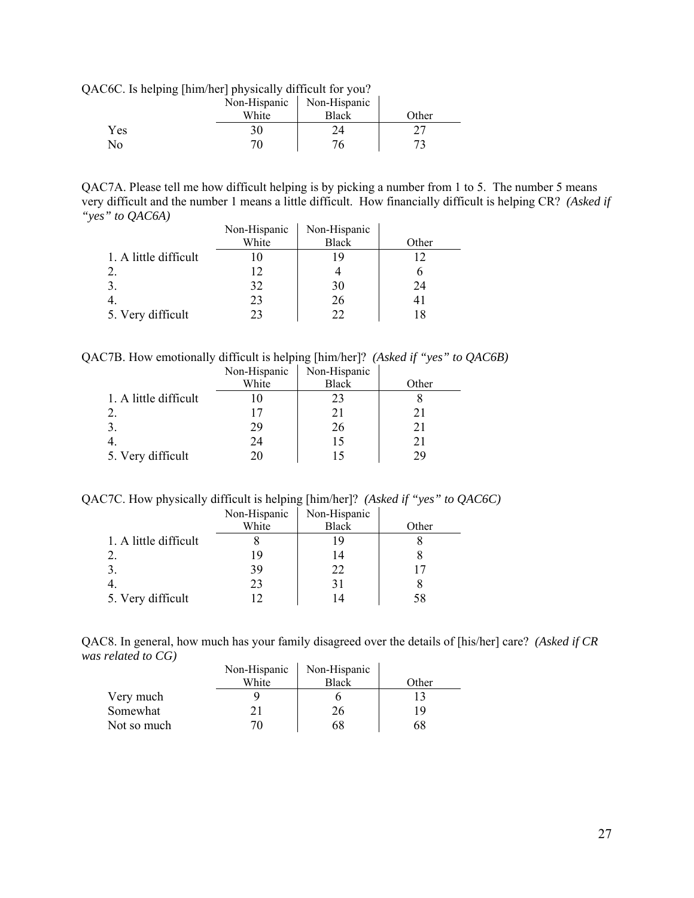QAC6C. Is helping [him/her] physically difficult for you?

|     | Non-Hispanic | Non-Hispanic |              |
|-----|--------------|--------------|--------------|
|     | White        | <b>Black</b> | <b>Other</b> |
| Yes | 30           |              |              |
| No  | 71           |              |              |

QAC7A. Please tell me how difficult helping is by picking a number from 1 to 5. The number 5 means very difficult and the number 1 means a little difficult. How financially difficult is helping CR? *(Asked if "yes" to QAC6A)*  $\mathbf{r}$ 

|                       | Non-Hispanic | Non-Hispanic |       |
|-----------------------|--------------|--------------|-------|
|                       | White        | <b>Black</b> | Other |
| 1. A little difficult |              |              |       |
|                       | 12           |              |       |
|                       | 32           | 30           | 24    |
|                       | 23           | 26           | 4 I   |
| 5. Very difficult     | 23           |              |       |

QAC7B. How emotionally difficult is helping [him/her]? *(Asked if "yes" to QAC6B)* 

|                       | Non-Hispanic | Non-Hispanic |       |
|-----------------------|--------------|--------------|-------|
|                       | White        | <b>Black</b> | Other |
| 1. A little difficult |              | 23           |       |
|                       |              | 21           | 21    |
|                       | 29           | 26           | 21    |
|                       | 24           | 15           | 21    |
| 5. Very difficult     | 20           |              | 79    |

QAC7C. How physically difficult is helping [him/her]? *(Asked if "yes" to QAC6C)*

|                       | Non-Hispanic | Non-Hispanic |       |
|-----------------------|--------------|--------------|-------|
|                       | White        | <b>Black</b> | Other |
| 1. A little difficult |              | 19           |       |
|                       | 19           | 14           |       |
|                       | 39           | 22           |       |
|                       | 23           | 31           |       |
| 5. Very difficult     |              |              | 58    |

QAC8. In general, how much has your family disagreed over the details of [his/her] care? *(Asked if CR was related to CG)*   $\mathbf{r}$  $\mathbf{r}$ 

|             | Non-Hispanic | Non-Hispanic |       |
|-------------|--------------|--------------|-------|
|             | White        | <b>Black</b> | Other |
| Very much   |              |              |       |
| Somewhat    |              | 26           | 19    |
| Not so much |              | 68           | 68    |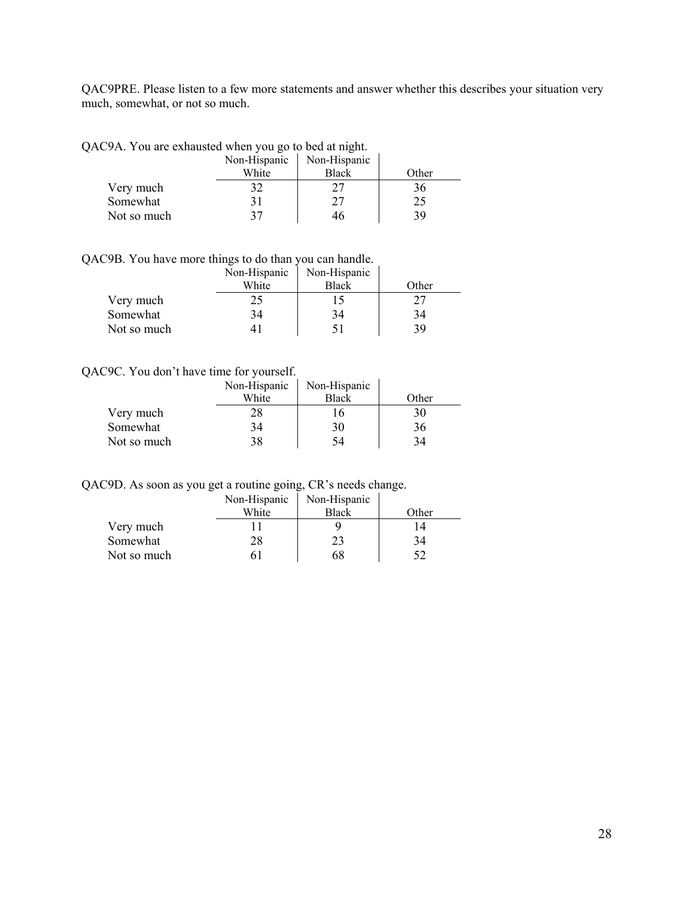QAC9PRE. Please listen to a few more statements and answer whether this describes your situation very much, somewhat, or not so much.

QAC9A. You are exhausted when you go to bed at night.

|             | Non-Hispanic | Non-Hispanic |       |
|-------------|--------------|--------------|-------|
|             | White        | <b>Black</b> | Other |
| Very much   | 32           |              | 36    |
| Somewhat    |              |              | 25    |
| Not so much | 27           |              | 39    |

QAC9B. You have more things to do than you can handle.

|             | Non-Hispanic | Non-Hispanic |       |
|-------------|--------------|--------------|-------|
|             | White        | <b>Black</b> | Other |
| Very much   | 25           |              |       |
| Somewhat    | 34           |              | 34    |
| Not so much |              |              | 39    |

#### QAC9C. You don't have time for yourself.

|             | Non-Hispanic | Non-Hispanic |       |
|-------------|--------------|--------------|-------|
|             | White        | <b>Black</b> | Other |
| Very much   | 28           |              | 30    |
| Somewhat    | 34           | 30           | 36    |
| Not so much | 38           | 54           | 34    |

QAC9D. As soon as you get a routine going, CR's needs change.

|             | Non-Hispanic | Non-Hispanic |       |
|-------------|--------------|--------------|-------|
|             | White        | <b>Black</b> | Other |
| Very much   |              |              |       |
| Somewhat    | 28           |              | 34    |
| Not so much |              | 68           |       |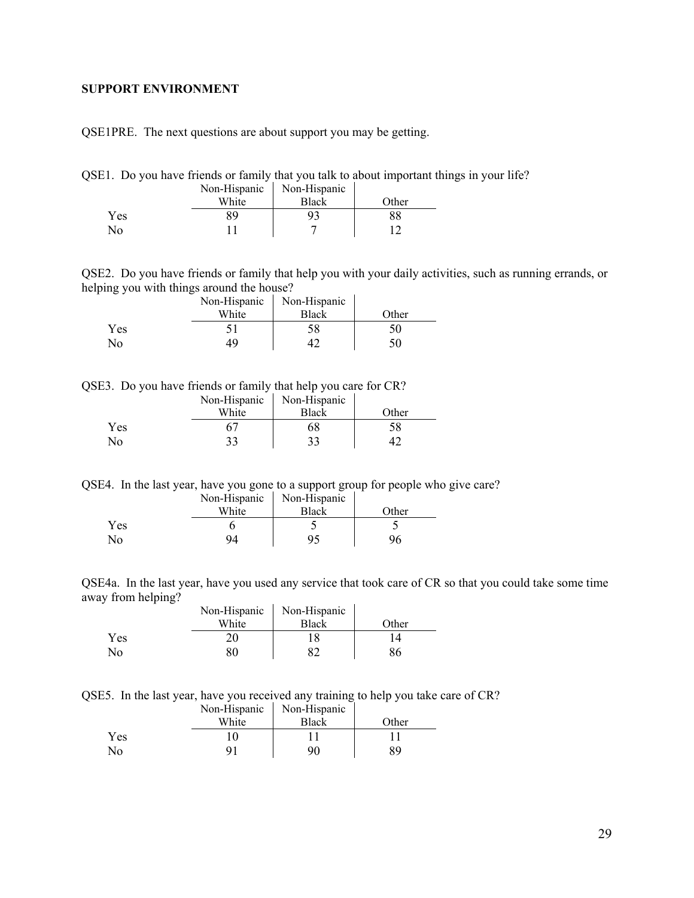#### <span id="page-28-0"></span>**SUPPORT ENVIRONMENT**

QSE1PRE. The next questions are about support you may be getting.

|  | QSE1. Do you have friends or family that you talk to about important things in your life? |  |  |  |  |  |  |  |  |
|--|-------------------------------------------------------------------------------------------|--|--|--|--|--|--|--|--|
|--|-------------------------------------------------------------------------------------------|--|--|--|--|--|--|--|--|

|              | Non-Hispanic | Non-Hispanic |       |
|--------------|--------------|--------------|-------|
|              | White        | <b>Black</b> | Other |
| Yes          | 89           |              |       |
| $N_{\Omega}$ |              |              |       |

QSE2. Do you have friends or family that help you with your daily activities, such as running errands, or helping you with things around the house?

|     | Non-Hispanic | Non-Hispanic |       |
|-----|--------------|--------------|-------|
|     | White        | <b>Black</b> | Other |
| Yes |              |              | 50    |
| Nο  | 49           |              | 50    |

QSE3. Do you have friends or family that help you care for CR?

|     | Non-Hispanic | Non-Hispanic |       |
|-----|--------------|--------------|-------|
|     | White        | <b>Black</b> | Other |
| Yes |              | hХ           | 58    |
| No  | 33           |              |       |

QSE4. In the last year, have you gone to a support group for people who give care?

|            | Non-Hispanic | Non-Hispanic |       |
|------------|--------------|--------------|-------|
|            | White        | Black        | Other |
| <b>Yes</b> |              |              |       |
| No.        | 94           | Q٢           |       |

QSE4a. In the last year, have you used any service that took care of CR so that you could take some time away from helping?  $\hat{\mathbf{r}}$ l.

|                | Non-Hispanic | Non-Hispanic |       |
|----------------|--------------|--------------|-------|
|                | White        | <b>Black</b> | Other |
| Yes            | 20           |              |       |
| N <sub>0</sub> | 80           | o^           | 86    |

QSE5. In the last year, have you received any training to help you take care of CR?

|     | Non-Hispanic | Non-Hispanic |       |
|-----|--------------|--------------|-------|
|     | White        | Black        | Other |
| Yes |              |              |       |
| No  |              | 90           | 89    |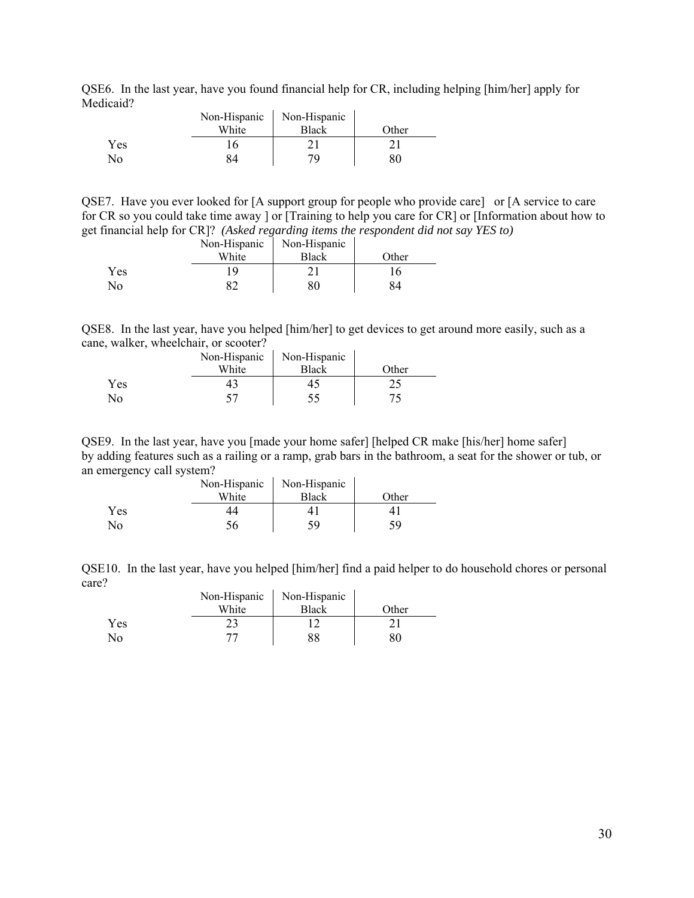QSE6. In the last year, have you found financial help for CR, including helping [him/her] apply for Medicaid?  $\mathbf{r}$  $\bar{a}$ 

|     | Non-Hispanic | Non-Hispanic |       |
|-----|--------------|--------------|-------|
|     | White        | <b>Black</b> | Other |
| Yes |              |              |       |
| No  | 34           | 7Ο           | 30    |

QSE7. Have you ever looked for [A support group for people who provide care] or [A service to care for CR so you could take time away ] or [Training to help you care for CR] or [Information about how to get financial help for CR]? *(Asked regarding items the respondent did not say YES to)* 

|              | Non-Hispanic | Non-Hispanic |       |
|--------------|--------------|--------------|-------|
|              | White        | <b>Black</b> | Other |
| <b>Yes</b>   |              |              | 16    |
| $N_{\Omega}$ |              | 80           |       |

QSE8. In the last year, have you helped [him/her] to get devices to get around more easily, such as a cane, walker, wheelchair, or scooter?

|            | Non-Hispanic | Non-Hispanic |       |
|------------|--------------|--------------|-------|
|            | White        | Black        | Other |
| <b>Yes</b> |              |              |       |
| No.        |              |              |       |

QSE9. In the last year, have you [made your home safer] [helped CR make [his/her] home safer] by adding features such as a railing or a ramp, grab bars in the bathroom, a seat for the shower or tub, or an emergency call system?  $\mathbf{r}$ 

|     | Non-Hispanic | Non-Hispanic |       |
|-----|--------------|--------------|-------|
|     | White        | <b>Black</b> | Other |
| Yes |              |              |       |
| No  | 56           | 59           | 59    |

QSE10. In the last year, have you helped [him/her] find a paid helper to do household chores or personal care?  $\mathcal{L}_{\mathcal{L}}$  $\mathcal{L}$ 

|     | Non-Hispanic | Non-Hispanic |       |
|-----|--------------|--------------|-------|
|     | White        | <b>Black</b> | Other |
| Yes |              |              |       |
| No  |              |              |       |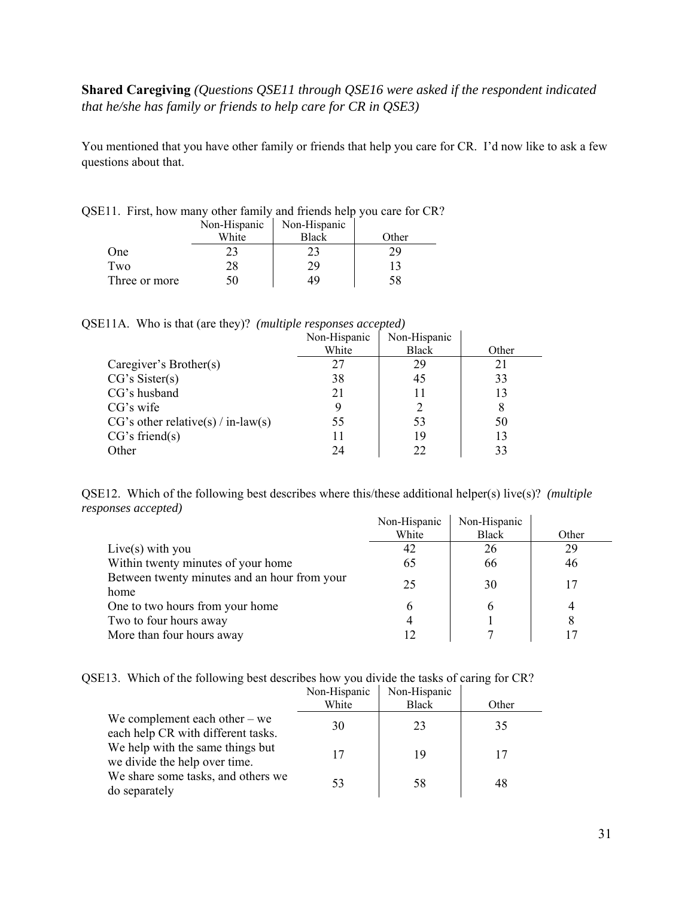# **Shared Caregiving** *(Questions QSE11 through QSE16 were asked if the respondent indicated that he/she has family or friends to help care for CR in QSE3)*

You mentioned that you have other family or friends that help you care for CR. I'd now like to ask a few questions about that.

| QUELLE THUG HOW HIGHLY UNION TOHING HIGHGING HOLD YOU COLOR CITY. |              |              |       |
|-------------------------------------------------------------------|--------------|--------------|-------|
|                                                                   | Non-Hispanic | Non-Hispanic |       |
|                                                                   | White        | Black        | Other |
| One                                                               |              |              |       |
| Two                                                               | 28           | 29           |       |
| Three or more                                                     | 50           | 49           | 58    |
|                                                                   |              |              |       |

### $OSE11$ . First, how many other family and friends help you care for  $CR$ ?

#### QSE11A. Who is that (are they)? *(multiple responses accepted)*

|                                      | Non-Hispanic | Non-Hispanic |       |
|--------------------------------------|--------------|--------------|-------|
|                                      | White        | <b>Black</b> | Other |
| Caregiver's Brother(s)               | 27           | 29           | 21    |
| CG's Sister(s)                       | 38           | 45           | 33    |
| CG's husband                         | 21           | 11           | 13    |
| CG's wife                            |              | 2            | 8     |
| $CG's other relative(s) / in-law(s)$ | 55           | 53           | 50    |
| CG's friend(s)                       | 11           | 19           | 13    |
| Other                                | 24           | 22           | 33    |

QSE12. Which of the following best describes where this/these additional helper(s) live(s)? *(multiple responses accepted)*

|                                                      | Non-Hispanic | Non-Hispanic |       |
|------------------------------------------------------|--------------|--------------|-------|
|                                                      | White        | <b>Black</b> | Other |
| Live $(s)$ with you                                  | 42           | 26           | 29    |
| Within twenty minutes of your home                   | 65           | 66           | 46    |
| Between twenty minutes and an hour from your<br>home | 25           | 30           |       |
| One to two hours from your home                      | O            | h            | 4     |
| Two to four hours away                               |              |              | 8     |
| More than four hours away                            |              |              |       |

#### QSE13. Which of the following best describes how you divide the tasks of caring for CR?

|                                                                       | Non-Hispanic | Non-Hispanic |       |
|-----------------------------------------------------------------------|--------------|--------------|-------|
|                                                                       | White        | <b>Black</b> | Other |
| We complement each other $-$ we<br>each help CR with different tasks. | 30           | 23           | 35    |
| We help with the same things but<br>we divide the help over time.     | 17           | 19           | 17    |
| We share some tasks, and others we<br>do separately                   | 53           | 58           | 48    |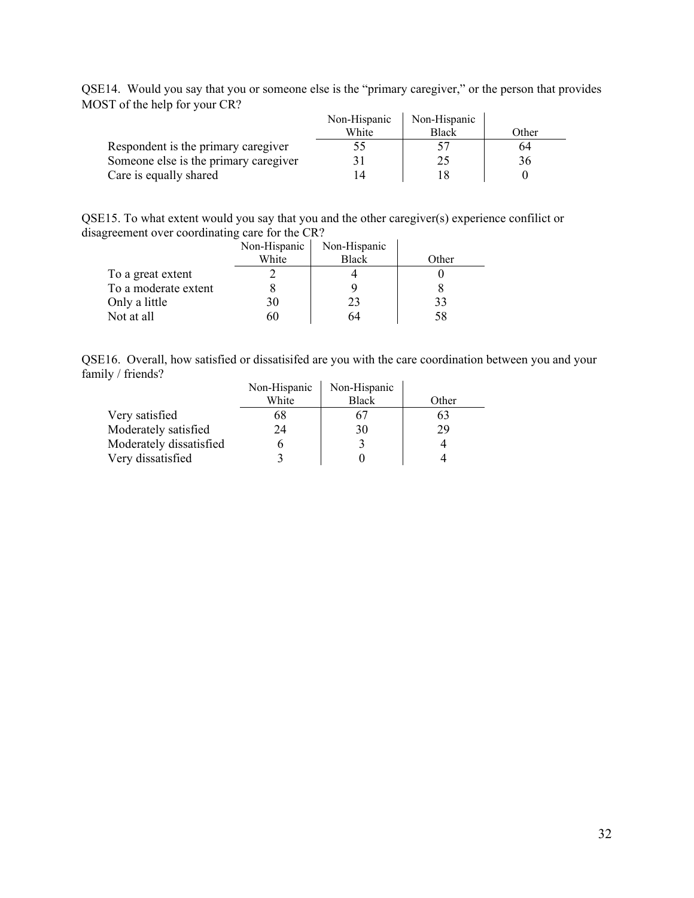|                                       | Non-Hispanic | Non-Hispanic |       |
|---------------------------------------|--------------|--------------|-------|
|                                       | White        | <b>Black</b> | Other |
| Respondent is the primary caregiver   |              |              | 64    |
| Someone else is the primary caregiver |              |              | 36    |
| Care is equally shared                |              |              |       |

QSE14. Would you say that you or someone else is the "primary caregiver," or the person that provides MOST of the help for your CR?

QSE15. To what extent would you say that you and the other caregiver(s) experience confilict or disagreement over coordinating care for the CR?

|                      | Non-Hispanic | Non-Hispanic |       |
|----------------------|--------------|--------------|-------|
|                      | White        | <b>Black</b> | Other |
| To a great extent    |              |              |       |
| To a moderate extent |              |              |       |
| Only a little        | 30           | 23           | 33    |
| Not at all           |              | 64           | 58    |

QSE16. Overall, how satisfied or dissatisifed are you with the care coordination between you and your family / friends?  $\mathbf{r}$ 

|                         | Non-Hispanic | Non-Hispanic |       |
|-------------------------|--------------|--------------|-------|
|                         | White        | <b>Black</b> | Other |
| Very satisfied          | 68           |              | 63    |
| Moderately satisfied    | 24           | 30           | 29    |
| Moderately dissatisfied |              |              |       |
| Very dissatisfied       |              |              |       |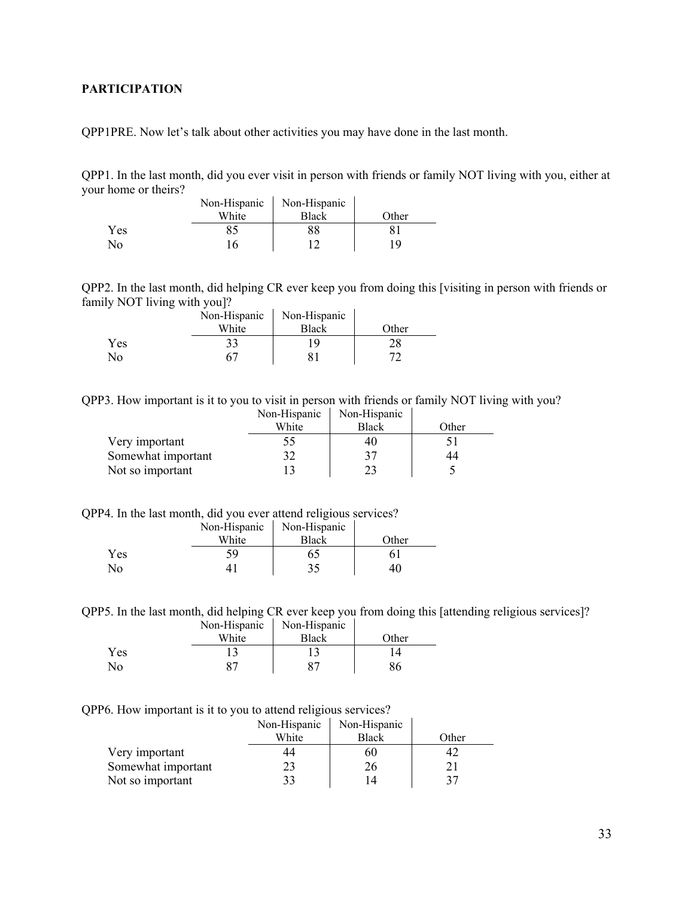### <span id="page-32-0"></span>**PARTICIPATION**

QPP1PRE. Now let's talk about other activities you may have done in the last month.

QPP1. In the last month, did you ever visit in person with friends or family NOT living with you, either at your home or theirs?

|     | Non-Hispanic | Non-Hispanic |       |
|-----|--------------|--------------|-------|
|     | White        | Black        | Other |
| Yes |              |              |       |
| No  |              |              | 1 Q   |

QPP2. In the last month, did helping CR ever keep you from doing this [visiting in person with friends or family NOT living with you]?

|              | Non-Hispanic | Non-Hispanic |       |
|--------------|--------------|--------------|-------|
|              | White        | Black        | Other |
| <b>Yes</b>   | 33           | 19           | 28    |
| $N_{\Omega}$ |              |              | רת    |

QPP3. How important is it to you to visit in person with friends or family NOT living with you?

|                    | Non-Hispanic | Non-Hispanic |       |
|--------------------|--------------|--------------|-------|
|                    | White        | <b>Black</b> | Other |
| Very important     |              | 40           |       |
| Somewhat important |              |              | 44    |
| Not so important   |              |              |       |

QPP4. In the last month, did you ever attend religious services?

|                        |       | Non-Hispanic   Non-Hispanic |       |
|------------------------|-------|-----------------------------|-------|
|                        | White | <b>Black</b>                | Other |
| <b>Yes</b>             | ٢q    | O.                          |       |
| $\mathcal{N}_{\Omega}$ |       |                             |       |

QPP5. In the last month, did helping CR ever keep you from doing this [attending religious services]?

|     | Non-Hispanic | Non-Hispanic |       |
|-----|--------------|--------------|-------|
|     | White        | <b>Black</b> | Other |
| Yes |              |              |       |
| No  |              |              |       |

QPP6. How important is it to you to attend religious services?

|                    | Non-Hispanic | Non-Hispanic |       |
|--------------------|--------------|--------------|-------|
|                    | White        | <b>Black</b> | Other |
| Very important     |              | 60           |       |
| Somewhat important |              | 26           |       |
| Not so important   |              |              |       |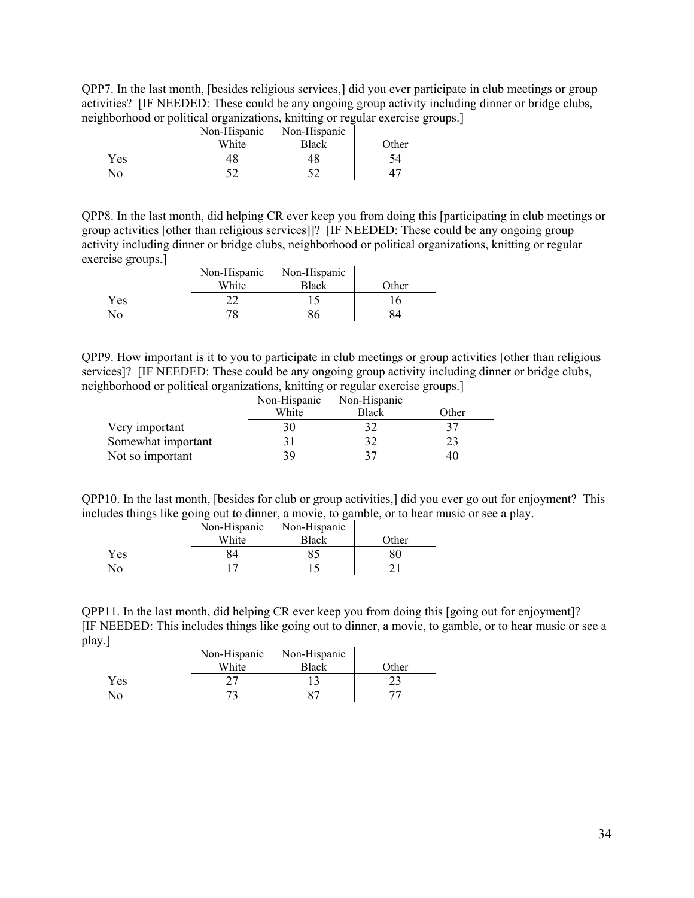QPP7. In the last month, [besides religious services,] did you ever participate in club meetings or group activities? [IF NEEDED: These could be any ongoing group activity including dinner or bridge clubs, neighborhood or political organizations, knitting or regular exercise groups.]

|     |       | Non-Hispanic   Non-Hispanic |       |
|-----|-------|-----------------------------|-------|
|     | White | <b>Black</b>                | Other |
| Yes |       |                             | 54    |
| Nο  |       |                             |       |

QPP8. In the last month, did helping CR ever keep you from doing this [participating in club meetings or group activities [other than religious services]]? [IF NEEDED: These could be any ongoing group activity including dinner or bridge clubs, neighborhood or political organizations, knitting or regular exercise groups.]

|     | Non-Hispanic | Non-Hispanic |       |
|-----|--------------|--------------|-------|
|     | White        | <b>Black</b> | Other |
| Yes |              |              | 16    |
| No  | 78           |              |       |

QPP9. How important is it to you to participate in club meetings or group activities [other than religious services]? [IF NEEDED: These could be any ongoing group activity including dinner or bridge clubs, neighborhood or political organizations, knitting or regular exercise groups.]

|                    | Non-Hispanic | Non-Hispanic |       |
|--------------------|--------------|--------------|-------|
|                    | White        | <b>Black</b> | Other |
| Very important     |              |              |       |
| Somewhat important |              | 32           |       |
| Not so important   | 39           | 37           | 40    |

QPP10. In the last month, [besides for club or group activities,] did you ever go out for enjoyment? This includes things like going out to dinner, a movie, to gamble, or to hear music or see a play.

|      | Non-Hispanic | Non-Hispanic |       |
|------|--------------|--------------|-------|
|      | White        | <b>Black</b> | Other |
| Yes. |              |              |       |
| Nο   |              |              |       |

QPP11. In the last month, did helping CR ever keep you from doing this [going out for enjoyment]? [IF NEEDED: This includes things like going out to dinner, a movie, to gamble, or to hear music or see a play.]  $\mathcal{L}_{\mathcal{A}}$ 

|     | Non-Hispanic | Non-Hispanic |       |
|-----|--------------|--------------|-------|
|     | White        | Black        | Other |
| Yes |              |              |       |
| No  |              |              |       |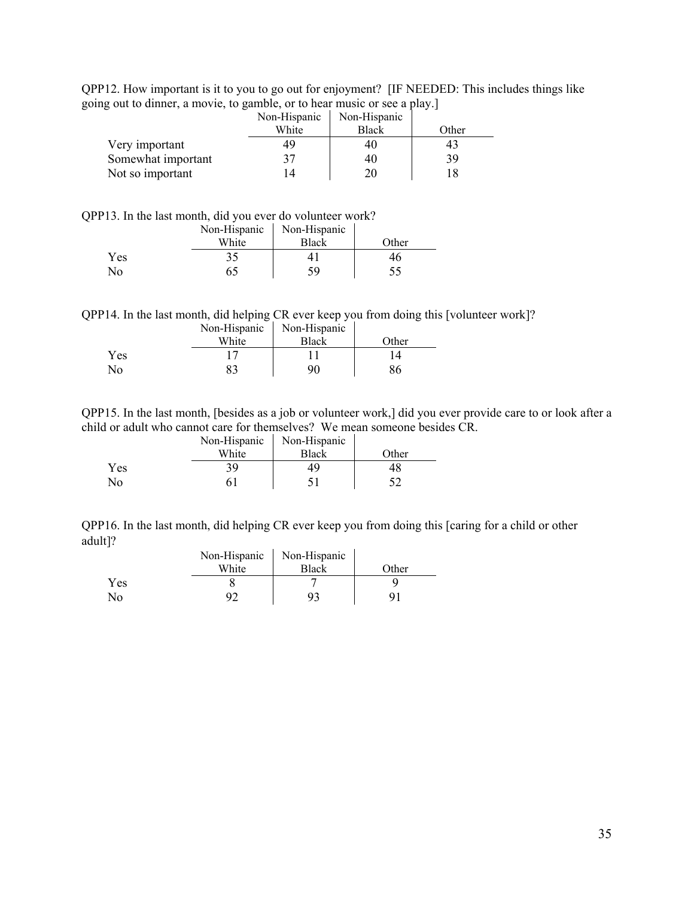QPP12. How important is it to you to go out for enjoyment? [IF NEEDED: This includes things like going out to dinner, a movie, to gamble, or to hear music or see a play.]

|                    | Non-Hispanic | Non-Hispanic |       |
|--------------------|--------------|--------------|-------|
|                    | White        | <b>Black</b> | Other |
| Very important     |              | 40           |       |
| Somewhat important |              | 40           | 39    |
| Not so important   |              | 20           |       |

QPP13. In the last month, did you ever do volunteer work?

|                        | Non-Hispanic | Non-Hispanic |       |
|------------------------|--------------|--------------|-------|
|                        | White        | <b>Black</b> | Other |
| <b>Yes</b>             | 35           |              | 40    |
| $\mathcal{N}_{\Omega}$ |              | 50           |       |

QPP14. In the last month, did helping CR ever keep you from doing this [volunteer work]?

|     | Non-Hispanic | Non-Hispanic |       |
|-----|--------------|--------------|-------|
|     | White        | <b>Black</b> | Other |
| Yes |              |              |       |
| No  |              | 90           | 86    |

QPP15. In the last month, [besides as a job or volunteer work,] did you ever provide care to or look after a child or adult who cannot care for themselves? We mean someone besides CR.

|     | Non-Hispanic | Non-Hispanic |       |
|-----|--------------|--------------|-------|
|     | White        | <b>Black</b> | Other |
| Yes | 39           |              | 48    |
| No  |              |              |       |

QPP16. In the last month, did helping CR ever keep you from doing this [caring for a child or other adult]? Non-Hispanic

|                | Non-Hispanic | Non-Hispanic |       |
|----------------|--------------|--------------|-------|
|                | White        | Black        | Other |
| Yes            |              |              |       |
| N <sub>o</sub> |              |              |       |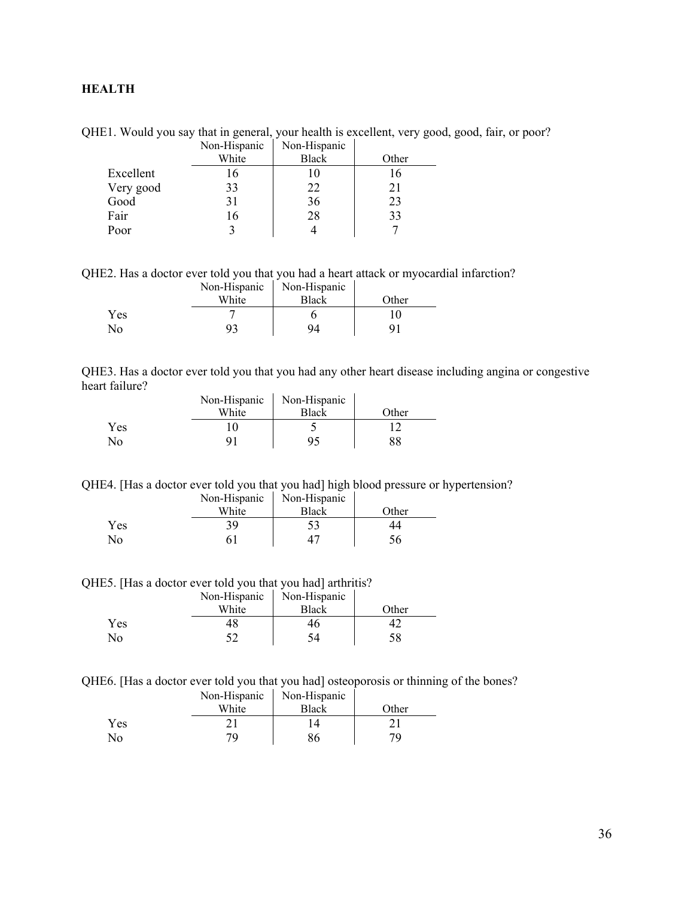### <span id="page-35-0"></span>**HEALTH**

QHE1. Would you say that in general, your health is excellent, very good, good, fair, or poor? Non-Hispanic Non-Hispanic

|           | TVUI-THSPAINU | TVUI-THSPAINC |       |
|-----------|---------------|---------------|-------|
|           | White         | <b>Black</b>  | Other |
| Excellent | 16            |               | 16    |
| Very good | 33            | 22            | 21    |
| Good      | 31            | 36            | 23    |
| Fair      | 16            | 28            | 33    |
| Poor      |               |               |       |

QHE2. Has a doctor ever told you that you had a heart attack or myocardial infarction?

|     | Non-Hispanic | Non-Hispanic |       |
|-----|--------------|--------------|-------|
|     | White        | <b>Black</b> | Other |
| Yes |              |              | ' U   |
| No  | q٤           | 94           |       |

| QHE3. Has a doctor ever told you that you had any other heart disease including angina or congestive |  |  |  |  |
|------------------------------------------------------------------------------------------------------|--|--|--|--|
| heart failure?                                                                                       |  |  |  |  |

|                |       | Non-Hispanic   Non-Hispanic |       |
|----------------|-------|-----------------------------|-------|
|                | White | <b>Black</b>                | Other |
| Yes            |       |                             |       |
| N <sub>o</sub> |       |                             |       |

QHE4. [Has a doctor ever told you that you had] high blood pressure or hypertension?

|     | Non-Hispanic | Non-Hispanic |       |
|-----|--------------|--------------|-------|
|     | White        | <b>Black</b> | Other |
| Yes | 39           |              |       |
| No  |              |              |       |

QHE5. [Has a doctor ever told you that you had] arthritis?

|            | Non-Hispanic | Non-Hispanic |       |
|------------|--------------|--------------|-------|
|            | White        | <b>Black</b> | Other |
| <b>Yes</b> |              | 46           |       |
| No.        |              |              | 58    |

QHE6. [Has a doctor ever told you that you had] osteoporosis or thinning of the bones?

|     | Non-Hispanic | Non-Hispanic |       |
|-----|--------------|--------------|-------|
|     | White        | <b>Black</b> | Other |
| Yes |              |              |       |
| No  | 70           | 36           | 7Ο    |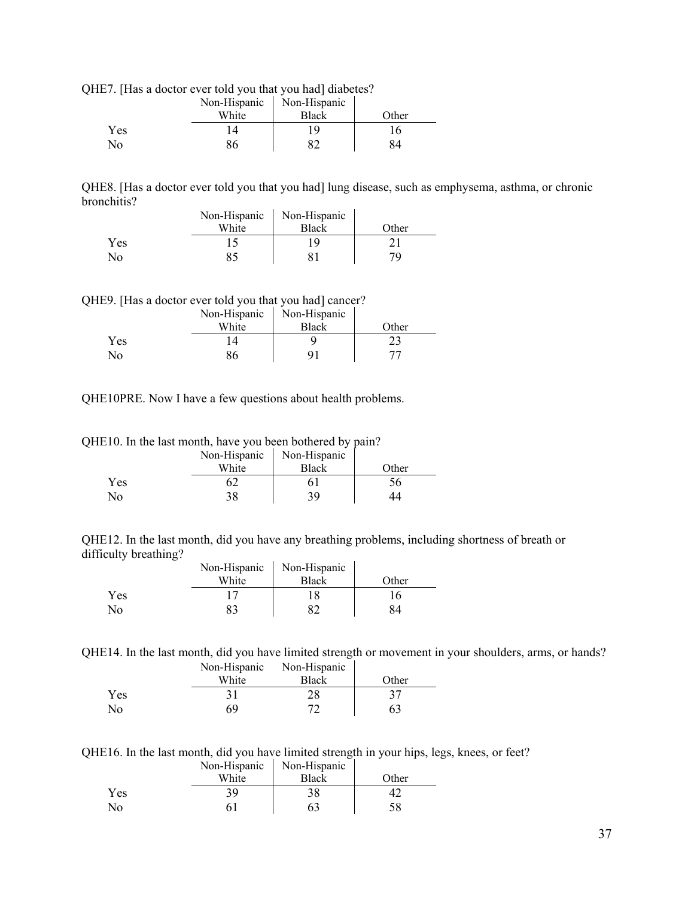| QHE7. [Has a doctor ever told you that you had] diabetes? |  |  |
|-----------------------------------------------------------|--|--|
|                                                           |  |  |

|     | Non-Hispanic | Non-Hispanic |       |
|-----|--------------|--------------|-------|
|     | White        | <b>Black</b> | Other |
| Yes |              |              |       |
| No  | 86           |              | 84    |

QHE8. [Has a doctor ever told you that you had] lung disease, such as emphysema, asthma, or chronic bronchitis?  $\mathbf{r}$ 

 $\overline{\phantom{a}}$ 

|     | Non-Hispanic | Non-Hispanic |       |
|-----|--------------|--------------|-------|
|     | White        | <b>Black</b> | Other |
| Yes |              |              |       |
| No  |              |              | 70    |

QHE9. [Has a doctor ever told you that you had] cancer?

|     | Non-Hispanic | Non-Hispanic |       |
|-----|--------------|--------------|-------|
|     | White        | <b>Black</b> | Other |
| Yes |              |              | 23    |
| No  |              |              |       |

QHE10PRE. Now I have a few questions about health problems.

|  |  | QHE10. In the last month, have you been bothered by pain? |  |  |  |
|--|--|-----------------------------------------------------------|--|--|--|
|--|--|-----------------------------------------------------------|--|--|--|

|     | Non-Hispanic | Non-Hispanic |       |
|-----|--------------|--------------|-------|
|     | White        | <b>Black</b> | Other |
| Yes |              |              | эb    |
| No  | 38           | 39           |       |

QHE12. In the last month, did you have any breathing problems, including shortness of breath or difficulty breathing?  $\mathbf{r}$  $\mathbf{u}$ 

|                | Non-Hispanic | Non-Hispanic |       |
|----------------|--------------|--------------|-------|
|                | White        | <b>Black</b> | Other |
| <b>Yes</b>     |              |              | i 6   |
| $\overline{N}$ |              |              | 34    |

QHE14. In the last month, did you have limited strength or movement in your shoulders, arms, or hands?

|     | Non-Hispanic | Non-Hispanic |       |
|-----|--------------|--------------|-------|
|     | White        | Black        | Other |
| Yes |              | 28           |       |
| No  | 69           |              |       |

QHE16. In the last month, did you have limited strength in your hips, legs, knees, or feet?

|            | Non-Hispanic | Non-Hispanic |       |
|------------|--------------|--------------|-------|
|            | White        | <b>Black</b> | Other |
| <b>Yes</b> |              |              |       |
| No         |              |              |       |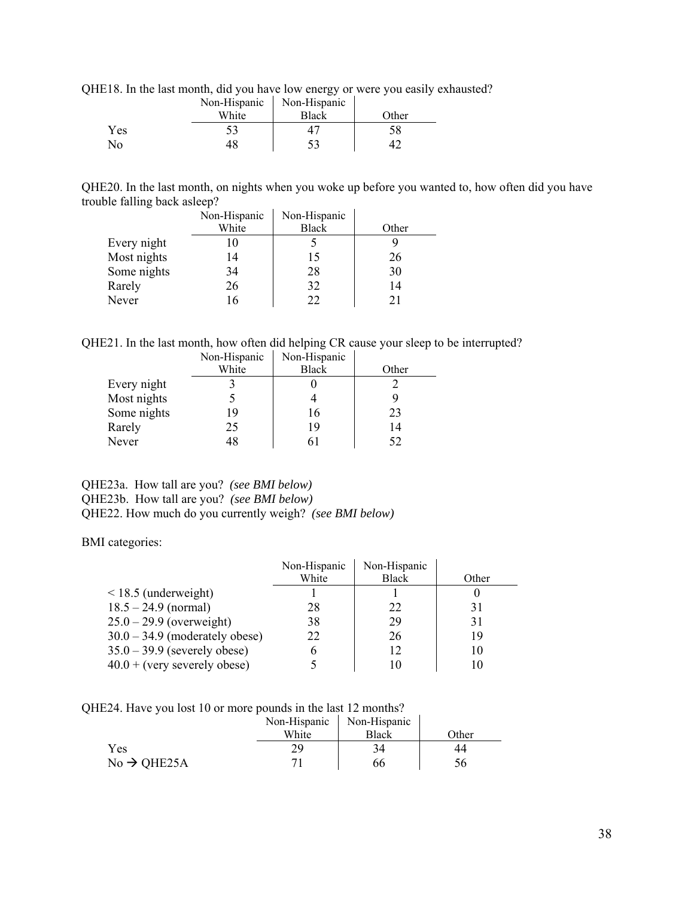QHE18. In the last month, did you have low energy or were you easily exhausted?

|     | Non-Hispanic | Non-Hispanic |       |
|-----|--------------|--------------|-------|
|     | White        | <b>Black</b> | Other |
| Yes |              |              |       |
| No  | 4Χ           |              |       |

QHE20. In the last month, on nights when you woke up before you wanted to, how often did you have trouble falling back asleep?  $\mathbf{r}$ 

|             | Non-Hispanic | Non-Hispanic |       |
|-------------|--------------|--------------|-------|
|             | White        | <b>Black</b> | Other |
| Every night | 10           |              |       |
| Most nights | 14           | 15           | 26    |
| Some nights | 34           | 28           | 30    |
| Rarely      | 26           | 32           | 14    |
| Never       | 16           | 22           | 21    |

QHE21. In the last month, how often did helping CR cause your sleep to be interrupted?

|             | Non-Hispanic | Non-Hispanic |       |
|-------------|--------------|--------------|-------|
|             | White        | <b>Black</b> | Other |
| Every night |              |              |       |
| Most nights |              |              |       |
| Some nights | 19           | 16           | 23    |
| Rarely      | 25           | 19           | 14    |
| Never       | 48           | 61           | 52    |

### QHE23a. How tall are you? *(see BMI below)* QHE23b. How tall are you? *(see BMI below)* QHE22. How much do you currently weigh? *(see BMI below)*

BMI categories:

|                                  | Non-Hispanic | Non-Hispanic |       |
|----------------------------------|--------------|--------------|-------|
|                                  | White        | <b>Black</b> | Other |
| $\leq$ 18.5 (underweight)        |              |              |       |
| $18.5 - 24.9$ (normal)           | 28           | 22           | 31    |
| $25.0 - 29.9$ (overweight)       | 38           | 29           | 31    |
| $30.0 - 34.9$ (moderately obese) | 22           | 26           | 19    |
| $35.0 - 39.9$ (severely obese)   |              | 12           | 10    |
| $40.0 + (very severely obese)$   |              | 10           |       |

QHE24. Have you lost 10 or more pounds in the last 12 months?

|                         | Non-Hispanic | Non-Hispanic |       |
|-------------------------|--------------|--------------|-------|
|                         | White        | <b>Black</b> | Other |
| Yes                     | 79           | 34           |       |
| $No \rightarrow QHE25A$ |              | 66           |       |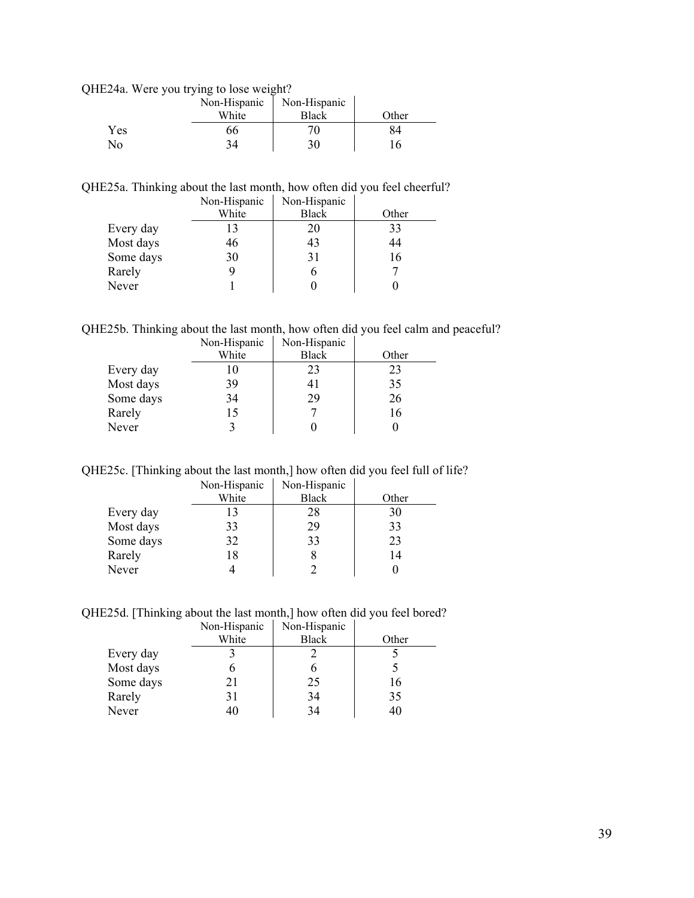QHE24a. Were you trying to lose weight?

|     | Non-Hispanic | Non-Hispanic |       |
|-----|--------------|--------------|-------|
|     | White        | <b>Black</b> | Other |
| Yes | 66           |              |       |
| No  | 34           | 30           |       |

QHE25a. Thinking about the last month, how often did you feel cheerful?

|           | Non-Hispanic | Non-Hispanic |       |
|-----------|--------------|--------------|-------|
|           | White        | <b>Black</b> | Other |
| Every day | 13           | 20           | 33    |
| Most days | 46           | 43           | 44    |
| Some days | 30           | 31           | 16    |
| Rarely    | 9            |              |       |
| Never     |              |              |       |

QHE25b. Thinking about the last month, how often did you feel calm and peaceful?

|           | Non-Hispanic | Non-Hispanic |       |
|-----------|--------------|--------------|-------|
|           | White        | <b>Black</b> | Other |
| Every day | 10           | 23           | 23    |
| Most days | 39           | 41           | 35    |
| Some days | 34           | 29           | 26    |
| Rarely    | 15           |              | 16    |
| Never     |              |              |       |

QHE25c. [Thinking about the last month,] how often did you feel full of life?

|           | Non-Hispanic | Non-Hispanic |       |
|-----------|--------------|--------------|-------|
|           | White        | <b>Black</b> | Other |
| Every day | 13           | 28           | 30    |
| Most days | 33           | 29           | 33    |
| Some days | 32           | 33           | 23    |
| Rarely    | 18           |              | 14    |
| Never     |              |              |       |

QHE25d. [Thinking about the last month,] how often did you feel bored?

|           | Non-Hispanic | Non-Hispanic |       |
|-----------|--------------|--------------|-------|
|           | White        | <b>Black</b> | Other |
| Every day |              |              |       |
| Most days |              |              |       |
| Some days | 21           | 25           | 16    |
| Rarely    | 31           | 34           | 35    |
| Never     | 40           | 34           | 40    |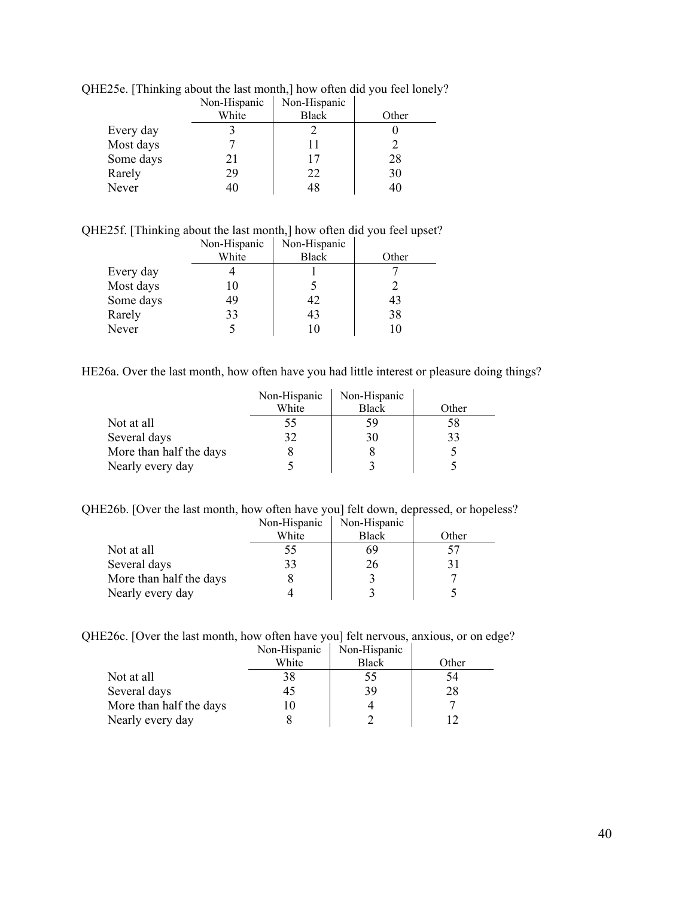|           | Non-Hispanic | Non-Hispanic |       |
|-----------|--------------|--------------|-------|
|           | White        | <b>Black</b> | Other |
| Every day |              |              |       |
| Most days |              |              |       |
| Some days | 21           | 17           | 28    |
| Rarely    | 29           | 22           | 30    |
| Never     | 40           | 48           |       |

QHE25e. [Thinking about the last month,] how often did you feel lonely?

QHE25f. [Thinking about the last month,] how often did you feel upset?

|           | Non-Hispanic | Non-Hispanic |       |
|-----------|--------------|--------------|-------|
|           | White        | <b>Black</b> | Other |
| Every day |              |              |       |
| Most days | 10           |              |       |
| Some days | 49           | 42           | 43    |
| Rarely    | 33           | 43           | 38    |
| Never     |              |              | 10    |

HE26a. Over the last month, how often have you had little interest or pleasure doing things?

÷,

|                         | Non-Hispanic | Non-Hispanic |       |
|-------------------------|--------------|--------------|-------|
|                         | White        | <b>Black</b> | Other |
| Not at all              |              | 59           | 58    |
| Several days            |              | 30           | 33    |
| More than half the days |              |              |       |
| Nearly every day        |              |              |       |

QHE26b. [Over the last month, how often have you] felt down, depressed, or hopeless?

|                         | Non-Hispanic | Non-Hispanic |       |
|-------------------------|--------------|--------------|-------|
|                         | White        | <b>Black</b> | Other |
| Not at all              | 55           | 69           |       |
| Several days            | 33           | 26           |       |
| More than half the days |              |              |       |
| Nearly every day        |              |              |       |

QHE26c. [Over the last month, how often have you] felt nervous, anxious, or on edge?

|                         | Non-Hispanic | Non-Hispanic |       |
|-------------------------|--------------|--------------|-------|
|                         | White        | <b>Black</b> | Other |
| Not at all              |              | 55           | 54    |
| Several days            |              | 39           | 28    |
| More than half the days |              |              |       |
| Nearly every day        |              |              |       |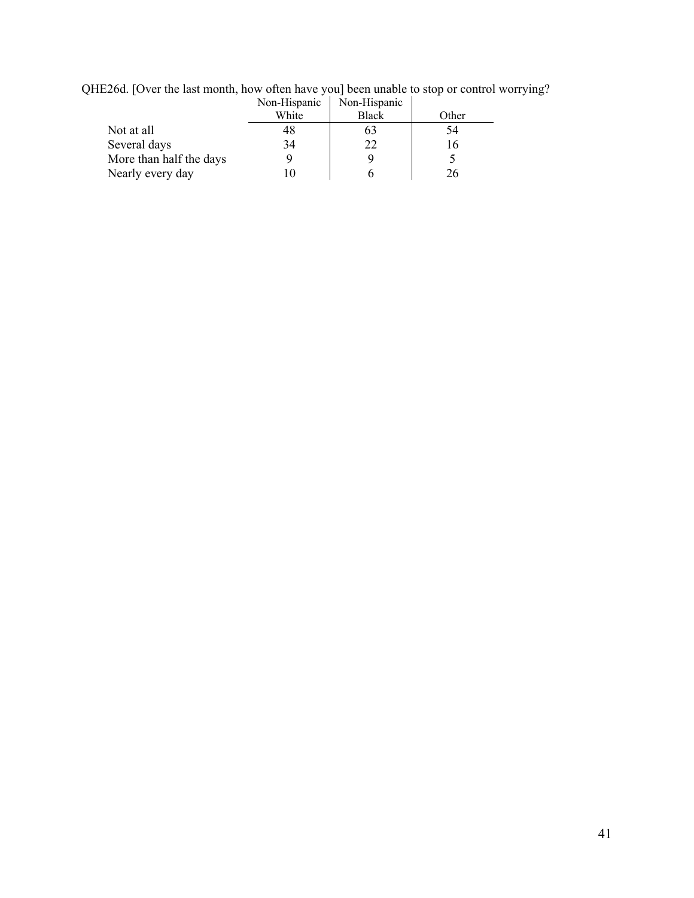|                         | Non-Hispanic | Non-Hispanic |       |
|-------------------------|--------------|--------------|-------|
|                         | White        | <b>Black</b> | Other |
| Not at all              | 48           | 05           | 54    |
| Several days            | 34           | 22           | 16    |
| More than half the days |              |              |       |
| Nearly every day        |              |              | 76.   |

QHE26d. [Over the last month, how often have you] been unable to stop or control worrying?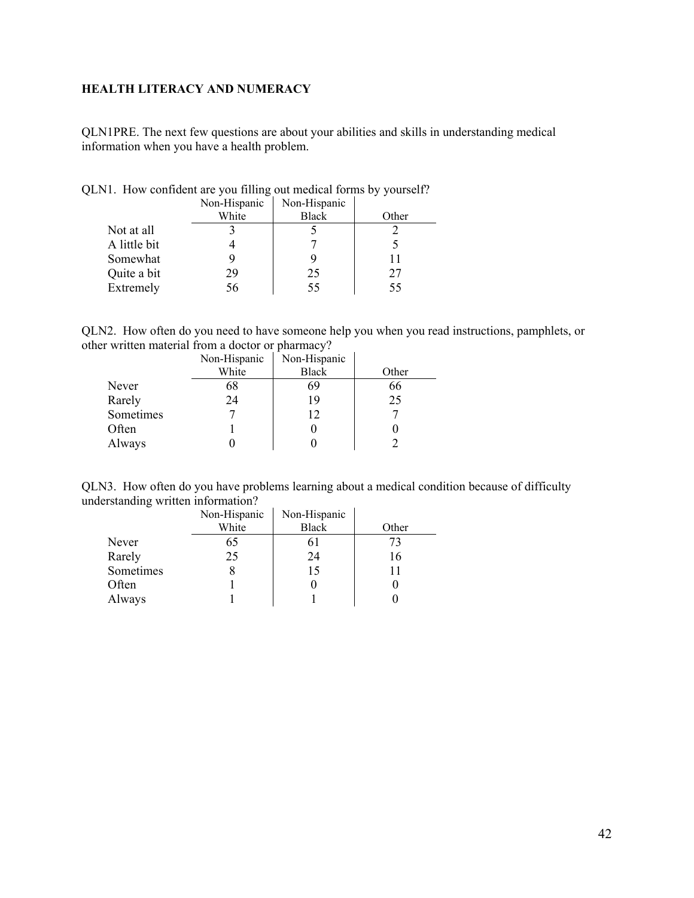# <span id="page-41-0"></span>**HEALTH LITERACY AND NUMERACY**

QLN1PRE. The next few questions are about your abilities and skills in understanding medical information when you have a health problem.

|              | Non-Hispanic | Non-Hispanic |       |
|--------------|--------------|--------------|-------|
|              | White        | <b>Black</b> | Other |
| Not at all   |              |              |       |
| A little bit |              |              |       |
| Somewhat     |              |              |       |
| Quite a bit  | 29           | 25           | 27    |
| Extremely    | 56           | 55           | 55    |

QLN1. How confident are you filling out medical forms by yourself?

QLN2. How often do you need to have someone help you when you read instructions, pamphlets, or other written material from a doctor or pharmacy?

|           | Non-Hispanic | Non-Hispanic |       |
|-----------|--------------|--------------|-------|
|           | White        | <b>Black</b> | Other |
| Never     | 68           | 69           | 66    |
| Rarely    | 24           | 19           | 25    |
| Sometimes |              | 12           |       |
| Often     |              |              |       |
| Always    |              |              |       |

|                                    |  |  |                                                                                                                 |  |  |  | QLN3. How often do you have problems learning about a medical condition because of difficulty |
|------------------------------------|--|--|-----------------------------------------------------------------------------------------------------------------|--|--|--|-----------------------------------------------------------------------------------------------|
| understanding written information? |  |  |                                                                                                                 |  |  |  |                                                                                               |
|                                    |  |  | the contract of the contract of the contract of the contract of the contract of the contract of the contract of |  |  |  |                                                                                               |

|           | Non-Hispanic | Non-Hispanic |       |
|-----------|--------------|--------------|-------|
|           | White        | <b>Black</b> | Other |
| Never     | 65           | 61           | 73    |
| Rarely    | 25           | 24           | 16    |
| Sometimes |              | 15           |       |
| Often     |              |              |       |
| Always    |              |              |       |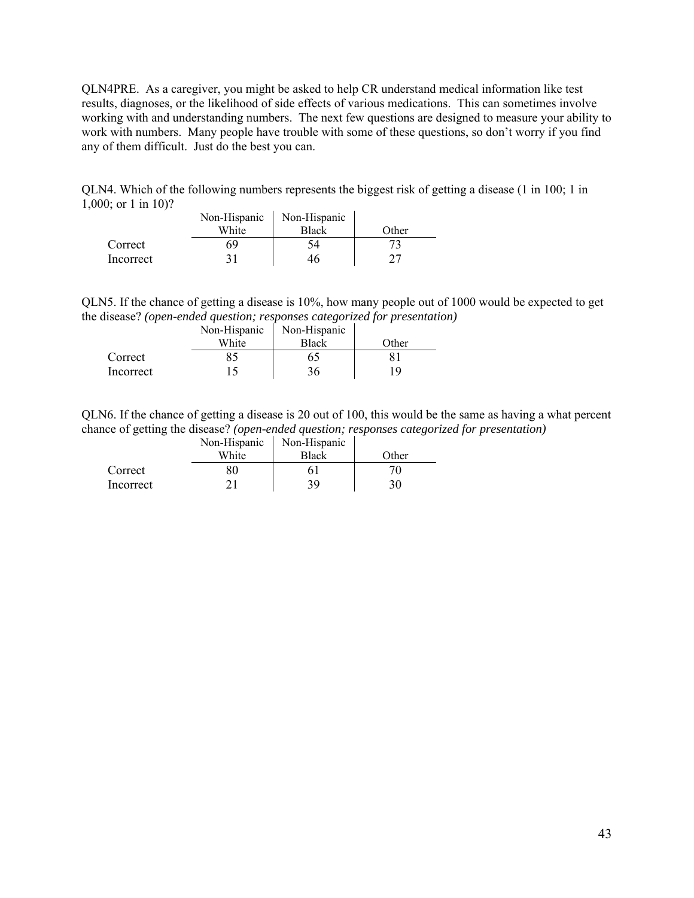QLN4PRE. As a caregiver, you might be asked to help CR understand medical information like test results, diagnoses, or the likelihood of side effects of various medications. This can sometimes involve working with and understanding numbers. The next few questions are designed to measure your ability to work with numbers. Many people have trouble with some of these questions, so don't worry if you find any of them difficult. Just do the best you can.

QLN4. Which of the following numbers represents the biggest risk of getting a disease (1 in 100; 1 in 1,000; or 1 in 10)?

|           | Non-Hispanic | Non-Hispanic  |        |
|-----------|--------------|---------------|--------|
|           | White        | <b>Black</b>  | Other: |
| Correct   | S٩           | $\mathcal{A}$ |        |
| Incorrect |              |               |        |

QLN5. If the chance of getting a disease is 10%, how many people out of 1000 would be expected to get the disease? *(open-ended question; responses categorized for presentation)*

|           | Non-Hispanic | Non-Hispanic |       |
|-----------|--------------|--------------|-------|
|           | White        | <b>Black</b> | Other |
| Correct   |              | 65.          |       |
| Incorrect |              | 36           | 19    |

QLN6. If the chance of getting a disease is 20 out of 100, this would be the same as having a what percent chance of getting the disease? *(open-ended question; responses categorized for presentation)*

|           | Non-Hispanic | Non-Hispanic |       |
|-----------|--------------|--------------|-------|
|           | White        | <b>Black</b> | Other |
| Correct   |              |              |       |
| Incorrect |              | 39           | 30    |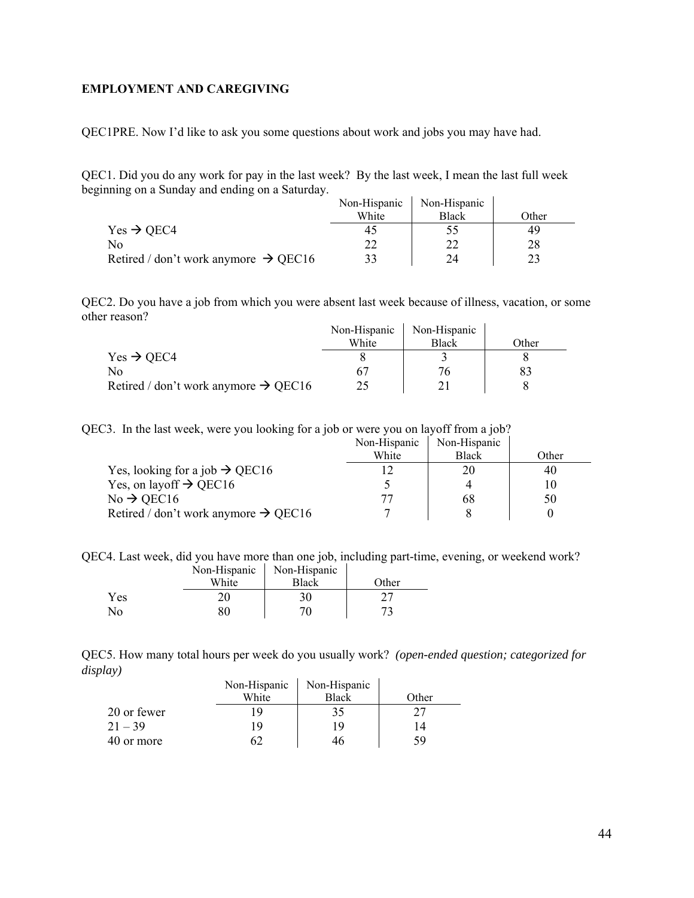### <span id="page-43-0"></span>**EMPLOYMENT AND CAREGIVING**

QEC1PRE. Now I'd like to ask you some questions about work and jobs you may have had.

QEC1. Did you do any work for pay in the last week? By the last week, I mean the last full week beginning on a Sunday and ending on a Saturday.

|                                                  | Non-Hispanic | Non-Hispanic |       |
|--------------------------------------------------|--------------|--------------|-------|
|                                                  | White        | <b>Black</b> | Other |
| $Yes \rightarrow OEC4$                           | 45           |              | 49    |
| No                                               |              |              |       |
| Retired / don't work anymore $\rightarrow$ QEC16 | 33           | 24           |       |

QEC2. Do you have a job from which you were absent last week because of illness, vacation, or some other reason?

|                                                  | Non-Hispanic | Non-Hispanic |       |
|--------------------------------------------------|--------------|--------------|-------|
|                                                  | White        | <b>Black</b> | Other |
| $Yes \rightarrow OEC4$                           |              |              |       |
| No                                               |              |              |       |
| Retired / don't work anymore $\rightarrow$ QEC16 |              |              |       |

QEC3. In the last week, were you looking for a job or were you on layoff from a job?

|                                                  | Non-Hispanic | Non-Hispanic |       |
|--------------------------------------------------|--------------|--------------|-------|
|                                                  | White        | <b>Black</b> | Other |
| Yes, looking for a job $\rightarrow$ QEC16       |              | 20           | 40    |
| Yes, on layoff $\rightarrow$ QEC16               |              |              |       |
| $No \rightarrow$ QEC16                           |              | 68           | 50    |
| Retired / don't work anymore $\rightarrow$ QEC16 |              |              |       |

QEC4. Last week, did you have more than one job, including part-time, evening, or weekend work?

|     | Non-Hispanic | Non-Hispanic |       |
|-----|--------------|--------------|-------|
|     | White        | Black        | Other |
| Yes | 20           | 30           |       |
| No  | 80           | 70.          |       |

QEC5. How many total hours per week do you usually work? *(open-ended question; categorized for display)* 

|             | Non-Hispanic | Non-Hispanic |       |
|-------------|--------------|--------------|-------|
|             | White        | Black        | Other |
| 20 or fewer | -Q           | 35           | 27    |
| $21 - 39$   | 19           | 19           | 14    |
| 40 or more  |              | 46           | 59    |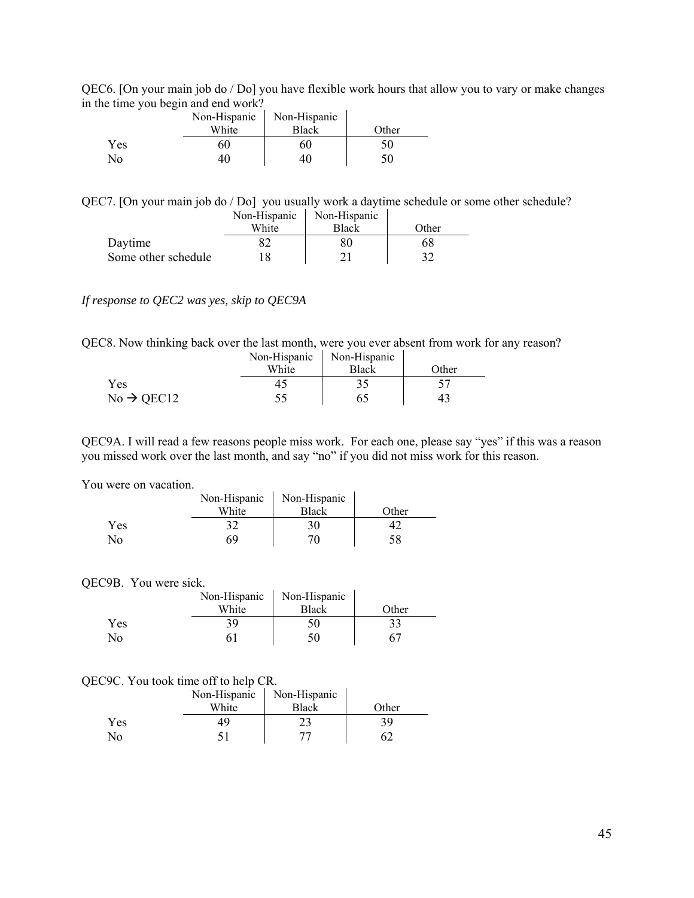QEC6. [On your main job do / Do] you have flexible work hours that allow you to vary or make changes in the time you begin and end work?

|     | Non-Hispanic | Non-Hispanic |       |
|-----|--------------|--------------|-------|
|     | White        | Black        | Other |
| Yes |              | 60           | 50    |
| No  |              | 40           | 50    |

QEC7. [On your main job do / Do] you usually work a daytime schedule or some other schedule?

|                     | Non-Hispanic | Non-Hispanic |       |
|---------------------|--------------|--------------|-------|
|                     | White        | Black        | Other |
| Daytime             |              |              | 68    |
| Some other schedule |              |              |       |

#### *If response to QEC2 was yes, skip to QEC9A*

QEC8. Now thinking back over the last month, were you ever absent from work for any reason?

|                        | Non-Hispanic | Non-Hispanic |       |
|------------------------|--------------|--------------|-------|
|                        | White        | Black        | Other |
| Yes                    |              |              |       |
| $No \rightarrow$ QEC12 |              |              | 43    |

QEC9A. I will read a few reasons people miss work. For each one, please say "yes" if this was a reason you missed work over the last month, and say "no" if you did not miss work for this reason.

 $\sim 10^{11}$ 

#### You were on vacation.

| WULU VII VAUALIVII. |       |                             |       |
|---------------------|-------|-----------------------------|-------|
|                     |       | Non-Hispanic   Non-Hispanic |       |
|                     | White | <b>Black</b>                | Other |
| Yes                 | 37    | 30                          |       |
| N <sub>0</sub>      | 69    | 70                          | 58    |

#### QEC9B. You were sick.

|     | Non-Hispanic | Non-Hispanic |       |
|-----|--------------|--------------|-------|
|     | White        | <b>Black</b> | Other |
| Yes | 39           | 50           |       |
| No  |              |              |       |

#### QEC9C. You took time off to help CR.

|     | Non-Hispanic | Non-Hispanic |       |
|-----|--------------|--------------|-------|
|     | White        | Black        | Other |
| Yes |              |              | 39    |
| N٥  |              |              |       |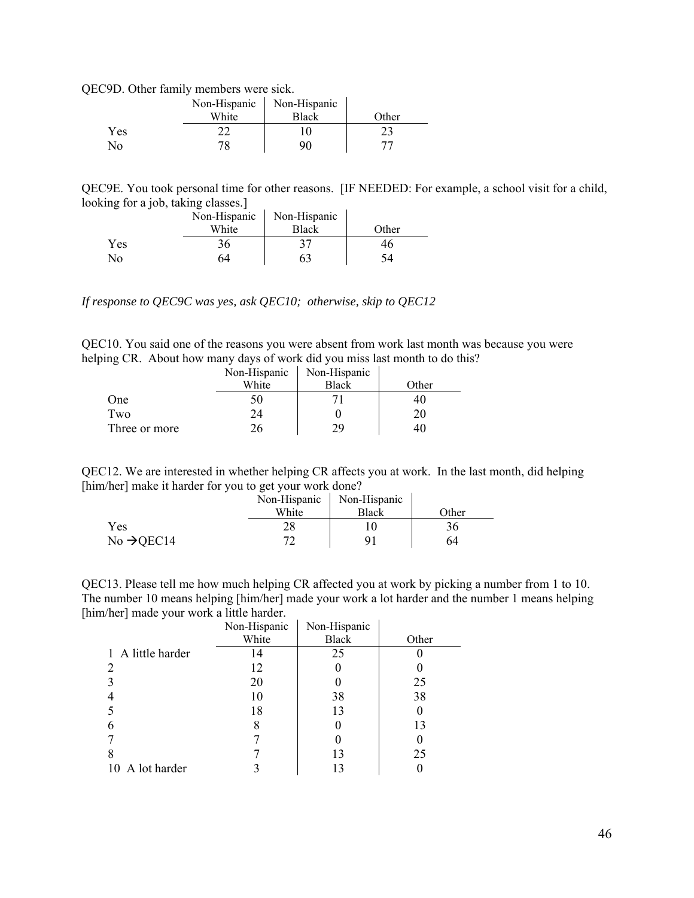QEC9D. Other family members were sick.

|     | Non-Hispanic | Non-Hispanic |       |
|-----|--------------|--------------|-------|
|     | White        | <b>Black</b> | Other |
| Yes |              |              |       |
| No  |              | 96           |       |

QEC9E. You took personal time for other reasons. [IF NEEDED: For example, a school visit for a child, looking for a job, taking classes.]

|            | Non-Hispanic | Non-Hispanic |       |
|------------|--------------|--------------|-------|
|            | White        | <b>Black</b> | Other |
| <b>Yes</b> | 36           |              | 46    |
| No         | 64           | 63           |       |

*If response to QEC9C was yes, ask QEC10; otherwise, skip to QEC12* 

QEC10. You said one of the reasons you were absent from work last month was because you were helping CR. About how many days of work did you miss last month to do this?

|               | Non-Hispanic | Non-Hispanic |       |
|---------------|--------------|--------------|-------|
|               | White        | <b>Black</b> | Other |
| One           |              |              | 4U    |
| Two           |              |              |       |
| Three or more |              | 29           |       |

QEC12. We are interested in whether helping CR affects you at work. In the last month, did helping [him/her] make it harder for you to get your work done?

|                        | Non-Hispanic | Non-Hispanic |       |
|------------------------|--------------|--------------|-------|
|                        | White        | <b>Black</b> | Other |
| Yes                    |              |              | 36    |
| No $\rightarrow$ QEC14 |              |              | 64    |

QEC13. Please tell me how much helping CR affected you at work by picking a number from 1 to 10. The number 10 means helping [him/her] made your work a lot harder and the number 1 means helping [him/her] made your work a little harder.

|                   | Non-Hispanic | Non-Hispanic |       |
|-------------------|--------------|--------------|-------|
|                   | White        | <b>Black</b> | Other |
| 1 A little harder | 14           | 25           |       |
|                   | 12           |              |       |
|                   | 20           |              | 25    |
|                   | 10           | 38           | 38    |
|                   | 18           | 13           | O     |
|                   | 8            |              | 13    |
|                   |              |              |       |
| 8                 |              | 13           | 25    |
| 10 A lot harder   |              |              |       |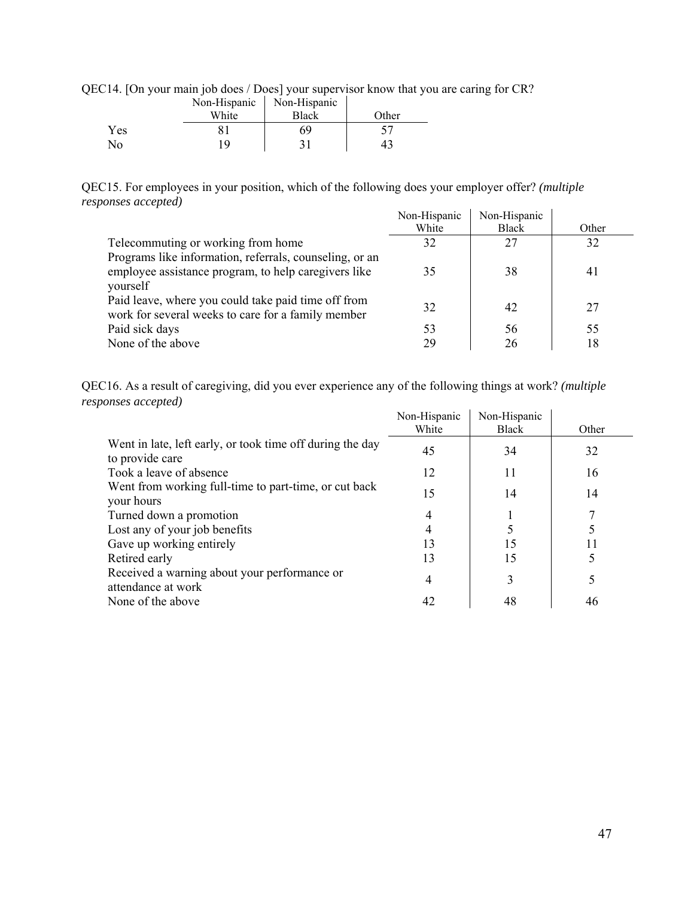|  |  | QEC14. [On your main job does / Does] your supervisor know that you are caring for CR? |  |  |  |  |  |  |  |  |
|--|--|----------------------------------------------------------------------------------------|--|--|--|--|--|--|--|--|
|--|--|----------------------------------------------------------------------------------------|--|--|--|--|--|--|--|--|

|     | Non-Hispanic | Non-Hispanic |       |
|-----|--------------|--------------|-------|
|     | White        | Black        | Other |
| Yes |              | 69           |       |
| No  | ıο           |              | 43    |

QEC15. For employees in your position, which of the following does your employer offer? *(multiple responses accepted)*

|                                                         | Non-Hispanic | Non-Hispanic |       |
|---------------------------------------------------------|--------------|--------------|-------|
|                                                         | White        | <b>Black</b> | Other |
| Telecommuting or working from home                      | 32           | 27           | 32    |
| Programs like information, referrals, counseling, or an |              |              |       |
| employee assistance program, to help caregivers like    | 35           | 38           | 41    |
| yourself                                                |              |              |       |
| Paid leave, where you could take paid time off from     | 32           | 42           | 27    |
| work for several weeks to care for a family member      |              |              |       |
| Paid sick days                                          | 53           | 56           | 55    |
| None of the above                                       | 29           | 26           | 18    |

QEC16. As a result of caregiving, did you ever experience any of the following things at work? *(multiple responses accepted)*

| ponses accepiea)                                                             |              |              |       |
|------------------------------------------------------------------------------|--------------|--------------|-------|
|                                                                              | Non-Hispanic | Non-Hispanic |       |
|                                                                              | White        | <b>Black</b> | Other |
| Went in late, left early, or took time off during the day<br>to provide care | 45           | 34           | 32    |
| Took a leave of absence                                                      | 12           | 11           | 16    |
| Went from working full-time to part-time, or cut back<br>your hours          | 15           | 14           | 14    |
| Turned down a promotion                                                      | 4            |              |       |
| Lost any of your job benefits                                                | 4            |              |       |
| Gave up working entirely                                                     | 13           | 15           |       |
| Retired early                                                                | 13           | 15           |       |
| Received a warning about your performance or<br>attendance at work           | 4            | 3            |       |
| None of the above                                                            | 42           | 48           | 46    |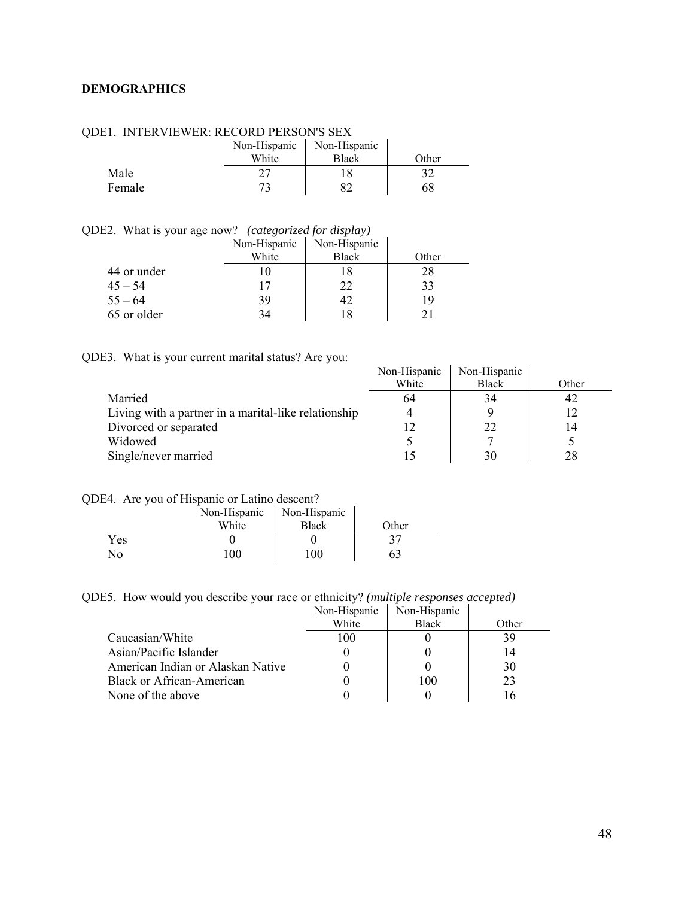### <span id="page-47-0"></span>**DEMOGRAPHICS**

|        | Non-Hispanic<br>White | Non-Hispanic<br><b>Black</b> | <b>Other</b> |
|--------|-----------------------|------------------------------|--------------|
| Male   |                       |                              | רי           |
| Female |                       |                              | 68           |

#### QDE1. INTERVIEWER: RECORD PERSON'S SEX

QDE2. What is your age now? *(categorized for display)* 

|             | Non-Hispanic | Non-Hispanic |       |
|-------------|--------------|--------------|-------|
|             | White        | <b>Black</b> | Other |
| 44 or under |              |              | 28    |
| $45 - 54$   |              | 22           | 33    |
| $55 - 64$   | 39           | 42           | 19    |
| 65 or older |              | 18           |       |

| QDE3. What is your current marital status? Are you: |
|-----------------------------------------------------|
|-----------------------------------------------------|

|                                                      | Non-Hispanic | Non-Hispanic |       |
|------------------------------------------------------|--------------|--------------|-------|
|                                                      | White        | Black        | Other |
| Married                                              | 64           | 34           | 42    |
| Living with a partner in a marital-like relationship | 4            |              | 12    |
| Divorced or separated                                |              | 22           | 14    |
| Widowed                                              |              |              |       |
| Single/never married                                 |              | 30           | 28    |

#### QDE4. Are you of Hispanic or Latino descent?

|            | Non-Hispanic | Non-Hispanic |       |
|------------|--------------|--------------|-------|
|            | White        | <b>Black</b> | Other |
| <b>Yes</b> |              |              |       |
| No         | 100.         | 100          | ን ኃ   |

QDE5. How would you describe your race or ethnicity? *(multiple responses accepted)* 

|                                   | Non-Hispanic | Non-Hispanic |       |
|-----------------------------------|--------------|--------------|-------|
|                                   | White        | <b>Black</b> | Other |
| Caucasian/White                   | 100          |              | 39    |
| Asian/Pacific Islander            |              |              | 14    |
| American Indian or Alaskan Native |              |              | 30    |
| Black or African-American         |              | 100          | 23    |
| None of the above                 |              |              | l 6   |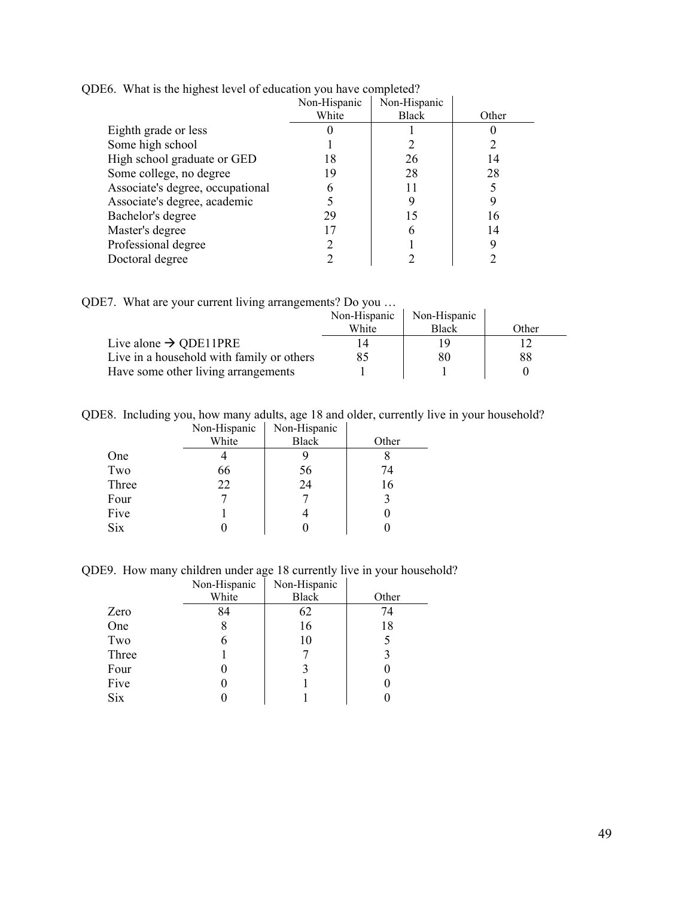|                                  | Non-Hispanic | Non-Hispanic |       |
|----------------------------------|--------------|--------------|-------|
|                                  | White        | <b>Black</b> | Other |
| Eighth grade or less             |              |              |       |
| Some high school                 |              |              |       |
| High school graduate or GED      | 18           | 26           | 14    |
| Some college, no degree          | 19           | 28           | 28    |
| Associate's degree, occupational |              |              |       |
| Associate's degree, academic     |              |              |       |
| Bachelor's degree                | 29           | 15           | 16    |
| Master's degree                  |              | h            | 14    |
| Professional degree              |              |              |       |
| Doctoral degree                  |              |              |       |

QDE6. What is the highest level of education you have completed?

QDE7. What are your current living arrangements? Do you …

|                                           | Non-Hispanic | Non-Hispanic |       |
|-------------------------------------------|--------------|--------------|-------|
|                                           | White        | <b>Black</b> | Other |
| Live alone $\rightarrow$ QDE11PRE         |              |              |       |
| Live in a household with family or others | 85           | 80           | 88    |
| Have some other living arrangements       |              |              |       |

QDE8. Including you, how many adults, age 18 and older, currently live in your household? Non-Hispanic Non-Hispanic

|            | - - - -- - - - - - - - - - | --- r ---- - |       |
|------------|----------------------------|--------------|-------|
|            | White                      | <b>Black</b> | Other |
| One        |                            |              |       |
| Two        | 66                         | 56           | 74    |
| Three      | 22                         | 24           | 16    |
| Four       |                            |              |       |
| Five       |                            |              |       |
| <b>Six</b> |                            | U            |       |
|            |                            |              |       |

QDE9. How many children under age 18 currently live in your household?

|            | Non-Hispanic | Non-Hispanic |       |
|------------|--------------|--------------|-------|
|            | White        | <b>Black</b> | Other |
| Zero       | 84           | 62           | 74    |
| One        |              | 16           | 18    |
| Two        |              | 10           |       |
| Three      |              |              |       |
| Four       |              | 3            |       |
| Five       |              |              |       |
| <b>Six</b> |              |              |       |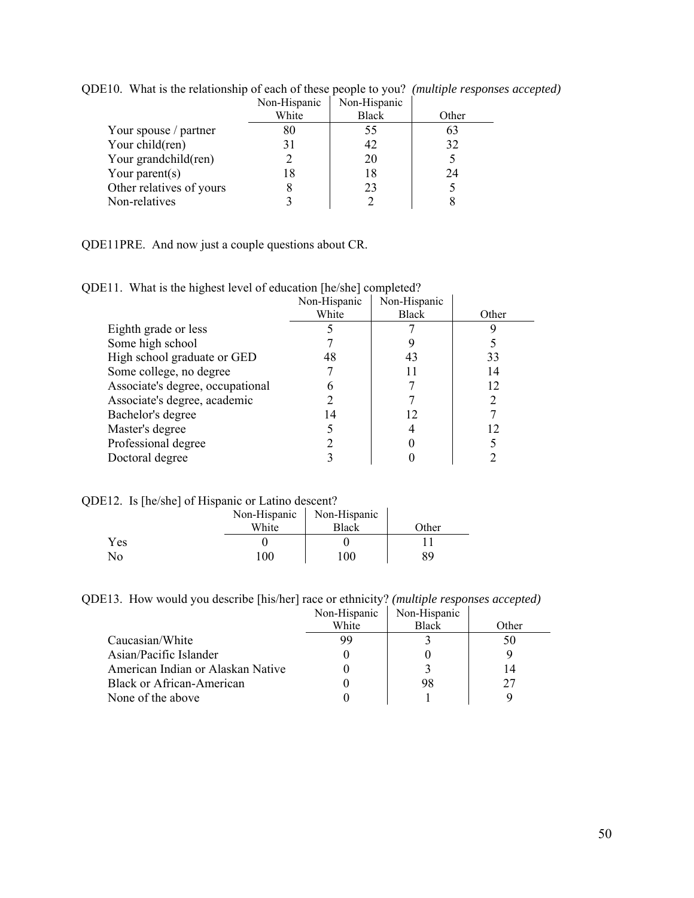|                          | Non-Hispanic | Non-Hispanic |       |
|--------------------------|--------------|--------------|-------|
|                          | White        | <b>Black</b> | Other |
| Your spouse / partner    | 80           | 55.          | 63    |
| Your child(ren)          | 31           | 42           | 32    |
| Your grandchild(ren)     |              | 20           |       |
| Your parent(s)           | 18           | 18           | 24    |
| Other relatives of yours |              | 23           |       |
| Non-relatives            |              |              |       |

QDE10. What is the relationship of each of these people to you? *(multiple responses accepted)* 

QDE11PRE. And now just a couple questions about CR.

|  |  |  | QDE11. What is the highest level of education [he/she] completed? |
|--|--|--|-------------------------------------------------------------------|
|  |  |  |                                                                   |

|                                  | Non-Hispanic | Non-Hispanic |       |
|----------------------------------|--------------|--------------|-------|
|                                  | White        | <b>Black</b> | Other |
| Eighth grade or less             |              |              |       |
| Some high school                 |              |              |       |
| High school graduate or GED      | 48           | 43           | 33    |
| Some college, no degree          |              |              | 14    |
| Associate's degree, occupational |              |              | 12    |
| Associate's degree, academic     |              |              |       |
| Bachelor's degree                | 14           | 12           |       |
| Master's degree                  |              |              | 12    |
| Professional degree              |              |              |       |
| Doctoral degree                  |              |              |       |

QDE12. Is [he/she] of Hispanic or Latino descent?

|     | White | Non-Hispanic   Non-Hispanic<br><b>Black</b> | Other |
|-----|-------|---------------------------------------------|-------|
| Yes |       |                                             |       |
| No  | 100   | $00^{\circ}$                                |       |

QDE13. How would you describe [his/her] race or ethnicity? *(multiple responses accepted)*

|                                   | Non-Hispanic | Non-Hispanic |       |
|-----------------------------------|--------------|--------------|-------|
|                                   | White        | <b>Black</b> | Other |
| Caucasian/White                   | 99           |              | 50    |
| Asian/Pacific Islander            |              |              |       |
| American Indian or Alaskan Native |              |              | 14    |
| Black or African-American         |              | 98           | 27    |
| None of the above                 |              |              |       |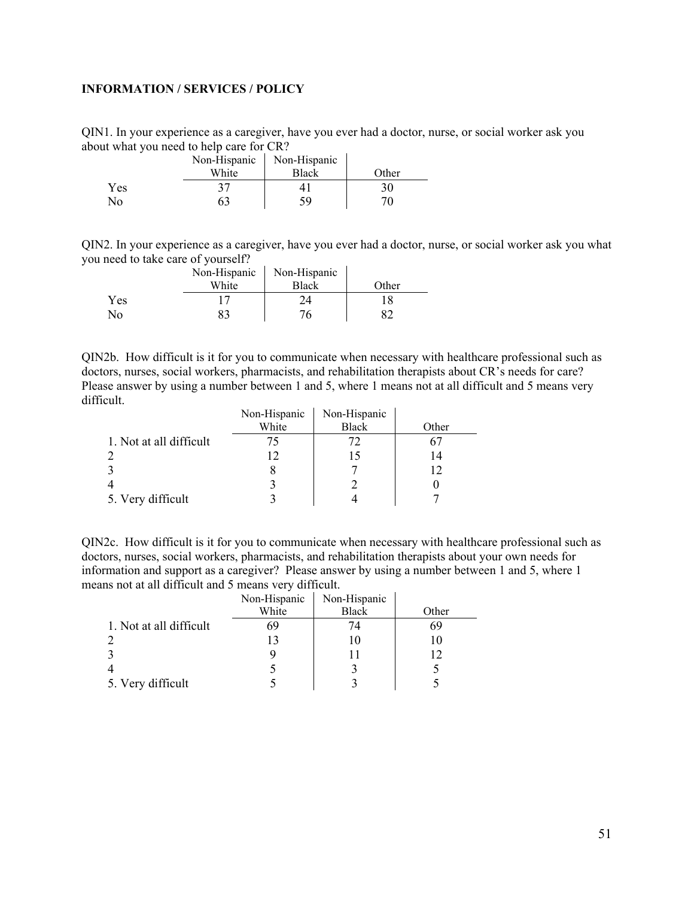### <span id="page-50-0"></span>**INFORMATION / SERVICES / POLICY**

QIN1. In your experience as a caregiver, have you ever had a doctor, nurse, or social worker ask you about what you need to help care for CR?

|     | Non-Hispanic<br>White | Non-Hispanic<br><b>Black</b> | Other |
|-----|-----------------------|------------------------------|-------|
| Yes |                       |                              |       |
| No  |                       | 59                           |       |

QIN2. In your experience as a caregiver, have you ever had a doctor, nurse, or social worker ask you what you need to take care of yourself?

|     | Non-Hispanic<br>White | Non-Hispanic<br>Black | Other |
|-----|-----------------------|-----------------------|-------|
| Yes |                       |                       |       |
| No  |                       |                       |       |

QIN2b. How difficult is it for you to communicate when necessary with healthcare professional such as doctors, nurses, social workers, pharmacists, and rehabilitation therapists about CR's needs for care? Please answer by using a number between 1 and 5, where 1 means not at all difficult and 5 means very difficult.  $\mathbf{r}$ 

|                         | Non-Hispanic | Non-Hispanic |       |
|-------------------------|--------------|--------------|-------|
|                         | White        | <b>Black</b> | Other |
| 1. Not at all difficult |              | 72           |       |
|                         |              |              | 14    |
|                         |              |              |       |
|                         |              |              |       |
| 5. Very difficult       |              |              |       |

QIN2c. How difficult is it for you to communicate when necessary with healthcare professional such as doctors, nurses, social workers, pharmacists, and rehabilitation therapists about your own needs for information and support as a caregiver? Please answer by using a number between 1 and 5, where 1 means not at all difficult and 5 means very difficult.

|                         | Non-Hispanic | Non-Hispanic |       |
|-------------------------|--------------|--------------|-------|
|                         | White        | <b>Black</b> | Other |
| 1. Not at all difficult | 69           | 74           | 69    |
|                         |              |              | I U   |
|                         |              |              | 12    |
|                         |              |              |       |
| 5. Very difficult       |              |              |       |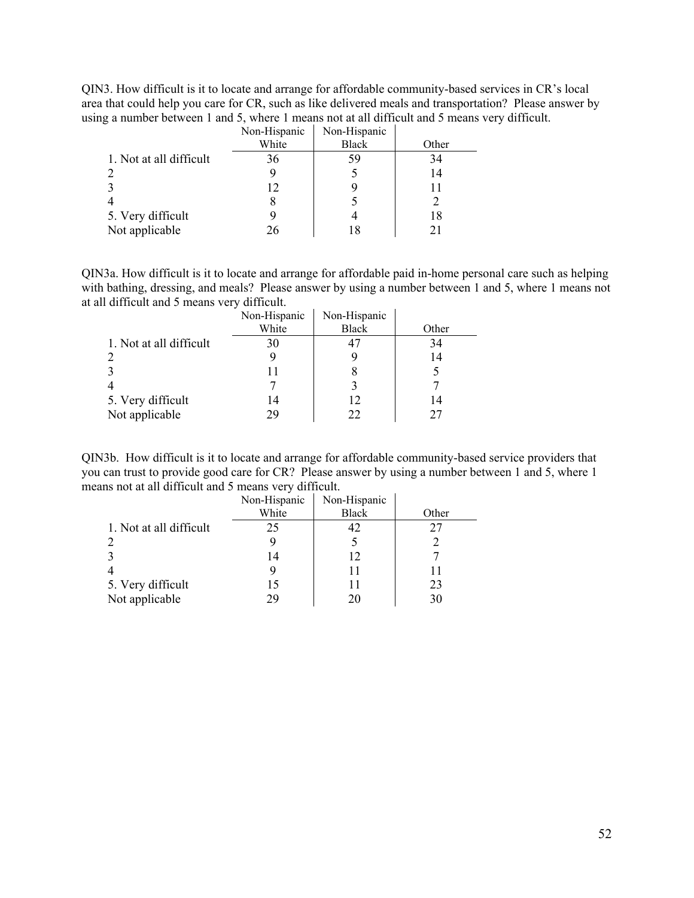QIN3. How difficult is it to locate and arrange for affordable community-based services in CR's local area that could help you care for CR, such as like delivered meals and transportation? Please answer by using a number between 1 and 5, where 1 means not at all difficult and 5 means very difficult.

|                         | Non-Hispanic | Non-Hispanic |       |
|-------------------------|--------------|--------------|-------|
|                         | White        | <b>Black</b> | Other |
| 1. Not at all difficult | 36           | 59           | 34    |
|                         |              |              | 14    |
|                         | 12           |              | 11    |
|                         |              |              |       |
| 5. Very difficult       |              |              | 18    |
| Not applicable          | 26           |              | 21    |

QIN3a. How difficult is it to locate and arrange for affordable paid in-home personal care such as helping with bathing, dressing, and meals? Please answer by using a number between 1 and 5, where 1 means not at all difficult and 5 means very difficult.

|                         | Non-Hispanic<br>White | Non-Hispanic<br><b>Black</b> | Other |
|-------------------------|-----------------------|------------------------------|-------|
| 1. Not at all difficult | 30                    |                              | 34    |
|                         |                       |                              | 14    |
|                         |                       |                              |       |
|                         |                       |                              |       |
| 5. Very difficult       | 14                    | 12                           | 14    |
| Not applicable          | 29                    | 22                           |       |

QIN3b. How difficult is it to locate and arrange for affordable community-based service providers that you can trust to provide good care for CR? Please answer by using a number between 1 and 5, where 1 means not at all difficult and 5 means very difficult.

|                         | Non-Hispanic | Non-Hispanic |       |
|-------------------------|--------------|--------------|-------|
|                         | White        | <b>Black</b> | Other |
| 1. Not at all difficult | 25           | 42           | 27    |
|                         |              |              |       |
|                         | 14           | 12           |       |
|                         |              | 11           | 11    |
| 5. Very difficult       | 15           | 11           | 23    |
| Not applicable          | 79           | 20           | 30    |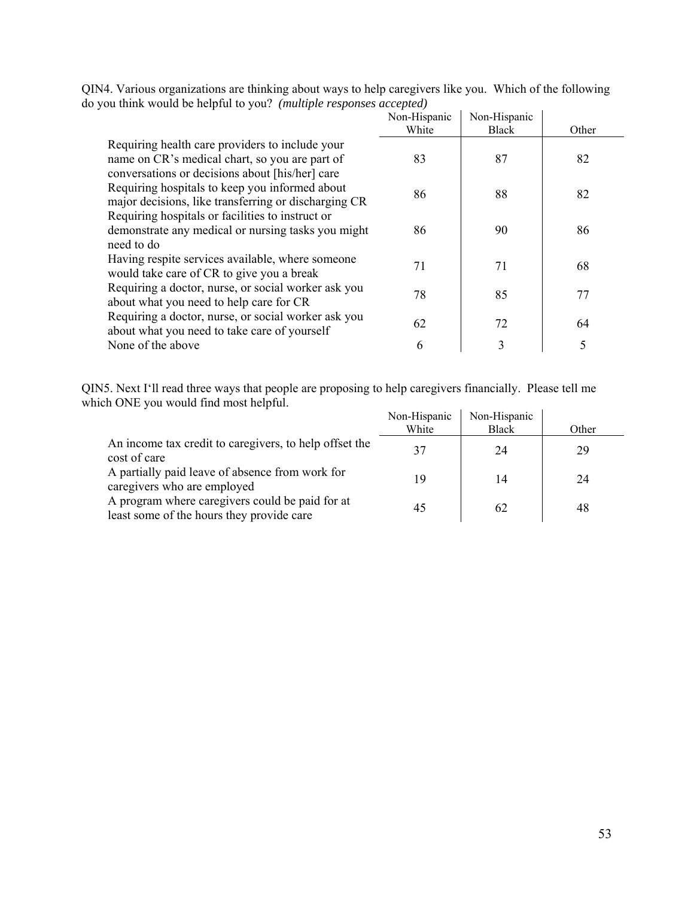|                                                                                                                                                      | Non-Hispanic<br>White | Non-Hispanic<br>Black | Other |
|------------------------------------------------------------------------------------------------------------------------------------------------------|-----------------------|-----------------------|-------|
| Requiring health care providers to include your<br>name on CR's medical chart, so you are part of<br>conversations or decisions about [his/her] care | 83                    | 87                    | 82    |
| Requiring hospitals to keep you informed about<br>major decisions, like transferring or discharging CR                                               | 86                    | 88                    | 82    |
| Requiring hospitals or facilities to instruct or<br>demonstrate any medical or nursing tasks you might<br>need to do                                 | 86                    | 90                    | 86    |
| Having respite services available, where someone<br>would take care of CR to give you a break                                                        | 71                    | 71                    | 68    |
| Requiring a doctor, nurse, or social worker ask you<br>about what you need to help care for CR                                                       | 78                    | 85                    | 77    |
| Requiring a doctor, nurse, or social worker ask you<br>about what you need to take care of yourself                                                  | 62                    | 72                    | 64    |
| None of the above                                                                                                                                    | 6                     | 3                     | 5     |

QIN4. Various organizations are thinking about ways to help caregivers like you. Which of the following do you think would be helpful to you? *(multiple responses accepted)* 

QIN5. Next I'll read three ways that people are proposing to help caregivers financially. Please tell me which ONE you would find most helpful.

|                                                                                              | Non-Hispanic<br>White | Non-Hispanic<br>Black | Other |
|----------------------------------------------------------------------------------------------|-----------------------|-----------------------|-------|
| An income tax credit to caregivers, to help offset the<br>cost of care                       | 37                    | 24                    | 29    |
| A partially paid leave of absence from work for<br>caregivers who are employed               | 19                    | 14                    | 24    |
| A program where caregivers could be paid for at<br>least some of the hours they provide care | 45                    | 62                    | 48    |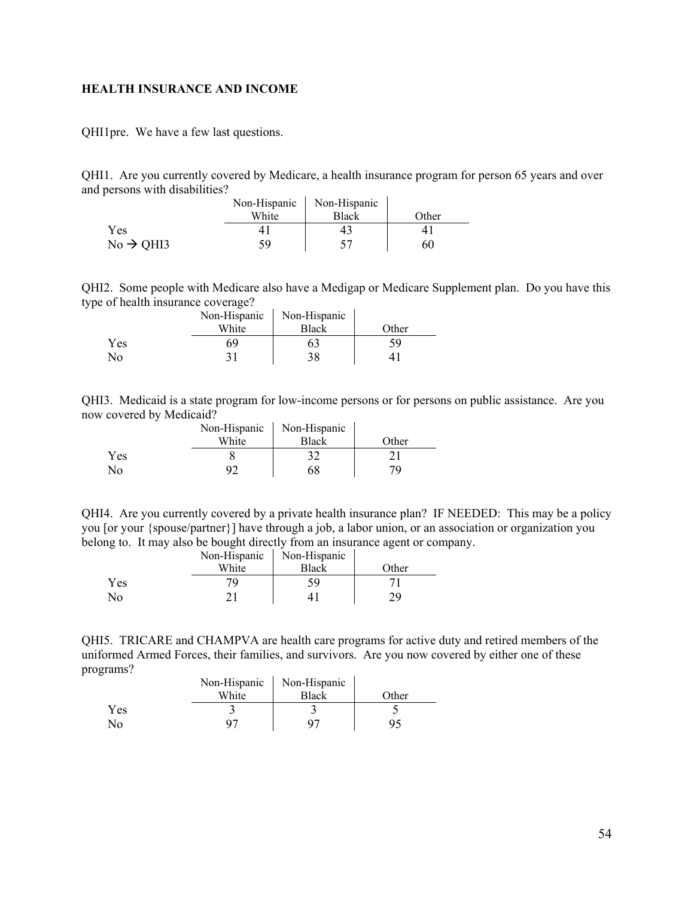#### <span id="page-53-0"></span>**HEALTH INSURANCE AND INCOME**

QHI1pre. We have a few last questions.

QHI1. Are you currently covered by Medicare, a health insurance program for person 65 years and over and persons with disabilities?

|                       | Non-Hispanic | Non-Hispanic |       |
|-----------------------|--------------|--------------|-------|
|                       | White        | Black        | Other |
| Yes.                  |              |              |       |
| $No \rightarrow QHI3$ |              |              | 60    |

QHI2. Some people with Medicare also have a Medigap or Medicare Supplement plan. Do you have this type of health insurance coverage?

|     | Non-Hispanic | Non-Hispanic |       |
|-----|--------------|--------------|-------|
|     | White        | <b>Black</b> | Other |
| Yes | 69           |              |       |
| Nο  |              | 38           |       |

QHI3. Medicaid is a state program for low-income persons or for persons on public assistance. Are you now covered by Medicaid?

|                | Non-Hispanic | Non-Hispanic |       |
|----------------|--------------|--------------|-------|
|                | White        | Black        | Other |
| Yes            |              | 32           |       |
| N <sub>0</sub> | 92           | 58           | 70.   |

QHI4. Are you currently covered by a private health insurance plan? IF NEEDED: This may be a policy you [or your {spouse/partner}] have through a job, a labor union, or an association or organization you belong to. It may also be bought directly from an insurance agent or company.

|     | Non-Hispanic | Non-Hispanic |       |
|-----|--------------|--------------|-------|
|     | White        | <b>Black</b> | Other |
| Yes |              |              |       |
| No  | ⌒            |              | n ( ) |

QHI5. TRICARE and CHAMPVA are health care programs for active duty and retired members of the uniformed Armed Forces, their families, and survivors. Are you now covered by either one of these programs?  $\mathbf{r}$ 

|     | Non-Hispanic | Non-Hispanic |       |
|-----|--------------|--------------|-------|
|     | White        | <b>Black</b> | Other |
| Yes |              |              |       |
| No  |              | ാ            |       |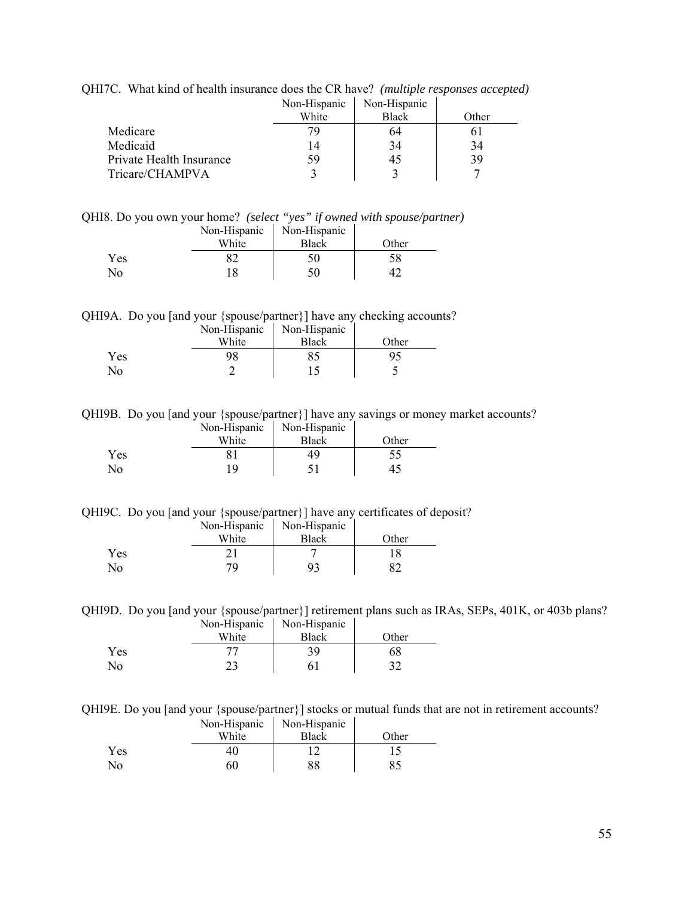|                          | Non-Hispanic | Non-Hispanic |       |
|--------------------------|--------------|--------------|-------|
|                          | White        | <b>Black</b> | Other |
| Medicare                 | 79           | 64           |       |
| Medicaid                 | 14           | 34           | 34    |
| Private Health Insurance | 59           | 45           | 39    |
| Tricare/CHAMPVA          |              |              |       |

QHI7C. What kind of health insurance does the CR have? *(multiple responses accepted)*

QHI8. Do you own your home? *(select "yes" if owned with spouse/partner)* 

|                        | Non-Hispanic | Non-Hispanic |       |
|------------------------|--------------|--------------|-------|
|                        | White        | <b>Black</b> | Other |
| <b>Yes</b>             |              |              |       |
| $\mathcal{N}_{\Omega}$ |              |              |       |

QHI9A. Do you [and your {spouse/partner}] have any checking accounts?

|     | Non-Hispanic | Non-Hispanic |       |
|-----|--------------|--------------|-------|
|     | White        | <b>Black</b> | Other |
| Yes |              |              |       |
| No  |              |              |       |

QHI9B. Do you [and your {spouse/partner}] have any savings or money market accounts? Non-Hispanic Non-Hispanic

|     | TVOII-TIIDPAIIIU | TVOII-TIIDPAIIIU |       |
|-----|------------------|------------------|-------|
|     | White            | <b>Black</b>     | Other |
| Yes |                  |                  | CC    |
| No  | 1 Q              |                  |       |

QHI9C. Do you [and your {spouse/partner}] have any certificates of deposit?

|            | Non-Hispanic | Non-Hispanic |       |
|------------|--------------|--------------|-------|
|            | White        | <b>Black</b> | Other |
| Yes        |              |              |       |
| $\sqrt{2}$ | 70           |              |       |

QHI9D. Do you [and your {spouse/partner}] retirement plans such as IRAs, SEPs, 401K, or 403b plans? Non-Hispanic Non-Hispanic

|     | TVOIT-THSPAIN | TVUI-THSPAINC |       |
|-----|---------------|---------------|-------|
|     | White         | <b>Black</b>  | Other |
| Yes |               | 39.           | 68    |
| No  | າາ            |               |       |

QHI9E. Do you [and your {spouse/partner}] stocks or mutual funds that are not in retirement accounts?

|     | Non-Hispanic | Non-Hispanic |       |
|-----|--------------|--------------|-------|
|     | White        | <b>Black</b> | Other |
| Yes |              |              |       |
| No  | 60           | 88           |       |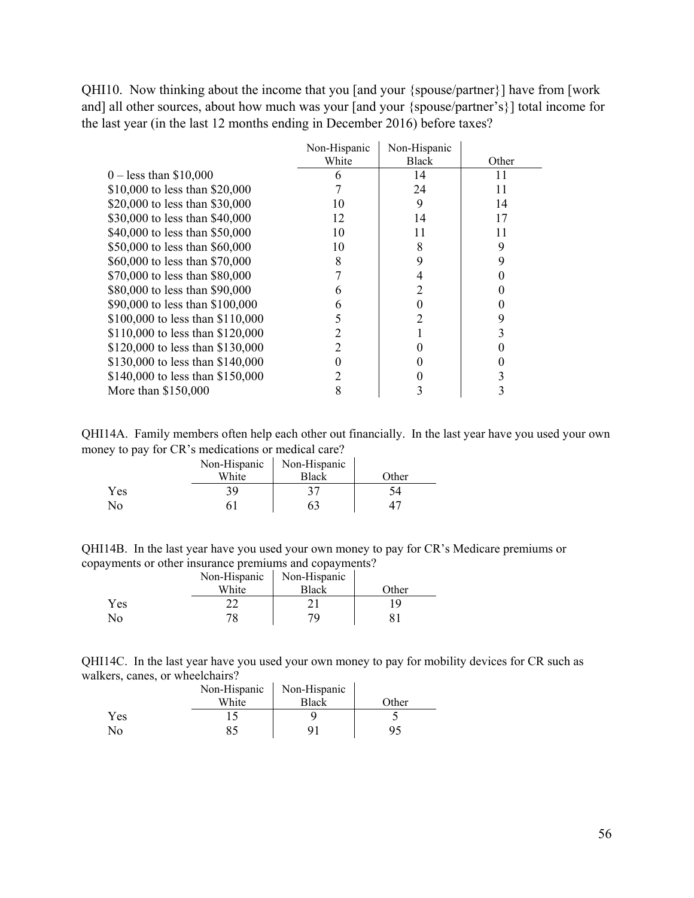QHI10. Now thinking about the income that you [and your {spouse/partner}] have from [work and] all other sources, about how much was your [and your {spouse/partner's}] total income for the last year (in the last 12 months ending in December 2016) before taxes?

|                                  | Non-Hispanic | Non-Hispanic |       |
|----------------------------------|--------------|--------------|-------|
|                                  | White        | Black        | Other |
| $0 -$ less than \$10,000         |              | 14           | 11    |
| \$10,000 to less than \$20,000   |              | 24           | 11    |
| \$20,000 to less than \$30,000   | 10           | 9            | 14    |
| \$30,000 to less than \$40,000   | 12           | 14           | 17    |
| \$40,000 to less than \$50,000   | 10           | 11           | 11    |
| \$50,000 to less than \$60,000   | 10           | 8            | 9     |
| \$60,000 to less than \$70,000   | 8            | 9            |       |
| \$70,000 to less than \$80,000   |              |              |       |
| \$80,000 to less than \$90,000   | n            |              |       |
| \$90,000 to less than \$100,000  | 6            |              |       |
| \$100,000 to less than \$110,000 |              |              |       |
| \$110,000 to less than \$120,000 |              |              |       |
| \$120,000 to less than \$130,000 |              |              |       |
| \$130,000 to less than \$140,000 |              |              |       |
| \$140,000 to less than \$150,000 |              |              |       |
| More than \$150,000              |              |              |       |

QHI14A. Family members often help each other out financially. In the last year have you used your own money to pay for CR's medications or medical care?

|     | Non-Hispanic | Non-Hispanic |       |
|-----|--------------|--------------|-------|
|     | White        | <b>Black</b> | Other |
| Yes | 39           |              |       |
| No  |              | 63           |       |

| QHI14B. In the last year have you used your own money to pay for CR's Medicare premiums or |  |  |  |
|--------------------------------------------------------------------------------------------|--|--|--|
| copayments or other insurance premiums and copayments?                                     |  |  |  |

|            | Non-Hispanic | Non-Hispanic |       |
|------------|--------------|--------------|-------|
|            | White        | <b>Black</b> | Other |
| <b>Yes</b> |              |              |       |
| No         | 78           | 70           |       |

QHI14C. In the last year have you used your own money to pay for mobility devices for CR such as walkers, canes, or wheelchairs?  $\mathbf{r}$ 

|            | Non-Hispanic | Non-Hispanic |       |
|------------|--------------|--------------|-------|
|            | White        | <b>Black</b> | Other |
| <b>Yes</b> |              |              |       |
| No         |              |              |       |